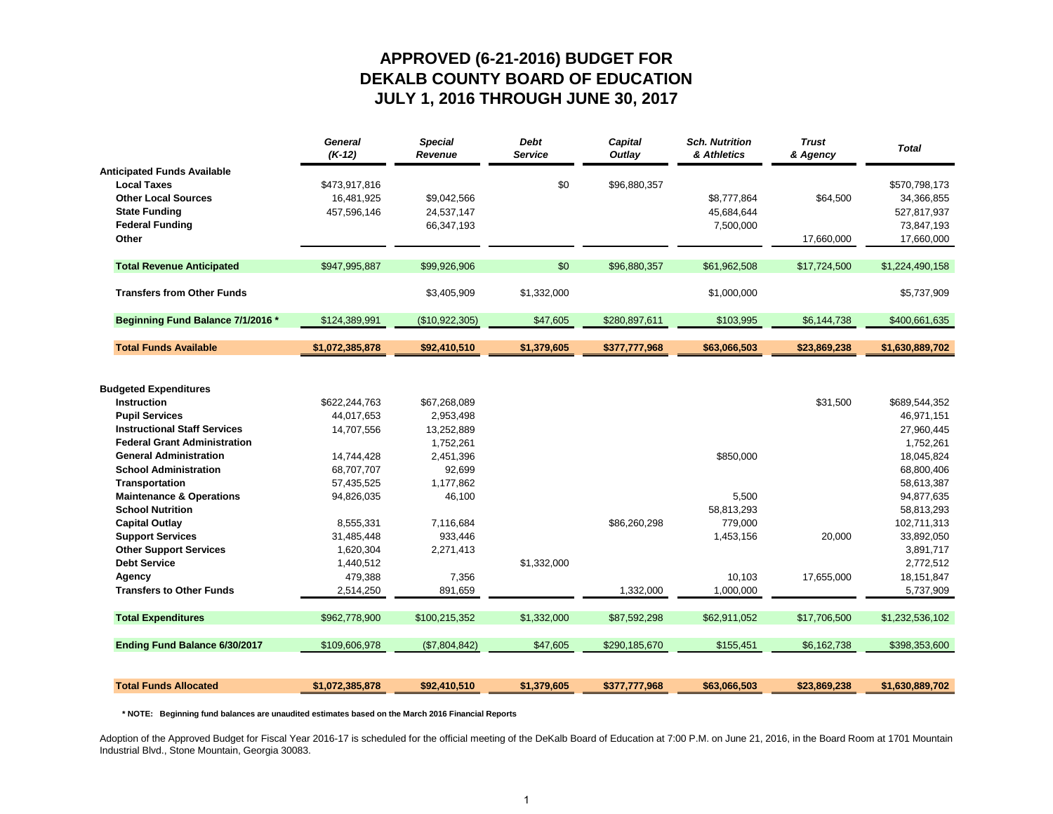### **APPROVED (6-21-2016) BUDGET FOR DEKALB COUNTY BOARD OF EDUCATION JULY 1, 2016 THROUGH JUNE 30, 2017**

|                                                      | <b>General</b><br>$(K-12)$ | <b>Special</b><br>Revenue | <b>Debt</b><br><b>Service</b> | Capital<br>Outlay | <b>Sch. Nutrition</b><br>& Athletics | <b>Trust</b><br>& Agency | <b>Total</b>            |
|------------------------------------------------------|----------------------------|---------------------------|-------------------------------|-------------------|--------------------------------------|--------------------------|-------------------------|
| <b>Anticipated Funds Available</b>                   |                            |                           |                               |                   |                                      |                          |                         |
| <b>Local Taxes</b>                                   | \$473,917,816              |                           | \$0                           | \$96,880,357      |                                      |                          | \$570,798,173           |
| <b>Other Local Sources</b>                           | 16,481,925                 | \$9,042,566               |                               |                   | \$8,777,864                          | \$64.500                 | 34,366,855              |
| <b>State Funding</b>                                 | 457,596,146                | 24,537,147                |                               |                   | 45,684,644                           |                          | 527,817,937             |
| <b>Federal Funding</b>                               |                            | 66,347,193                |                               |                   | 7,500,000                            |                          | 73,847,193              |
| Other                                                |                            |                           |                               |                   |                                      | 17,660,000               | 17,660,000              |
| <b>Total Revenue Anticipated</b>                     | \$947.995.887              | \$99.926.906              | \$0                           | \$96.880.357      | \$61.962.508                         | \$17,724,500             | \$1,224,490,158         |
|                                                      |                            |                           |                               |                   |                                      |                          |                         |
| <b>Transfers from Other Funds</b>                    |                            | \$3,405,909               | \$1,332,000                   |                   | \$1,000,000                          |                          | \$5,737,909             |
| Beginning Fund Balance 7/1/2016 *                    | \$124,389,991              | (\$10,922,305)            | \$47,605                      | \$280,897,611     | \$103,995                            | \$6,144,738              | \$400,661,635           |
| <b>Total Funds Available</b>                         | \$1,072,385,878            | \$92,410,510              | \$1,379,605                   | \$377,777,968     | \$63,066,503                         | \$23,869,238             | \$1,630,889,702         |
|                                                      |                            |                           |                               |                   |                                      |                          |                         |
|                                                      |                            |                           |                               |                   |                                      |                          |                         |
| <b>Budgeted Expenditures</b>                         |                            |                           |                               |                   |                                      |                          |                         |
| <b>Instruction</b>                                   | \$622,244,763              | \$67,268,089              |                               |                   |                                      | \$31,500                 | \$689,544,352           |
| <b>Pupil Services</b>                                | 44,017,653                 | 2,953,498                 |                               |                   |                                      |                          | 46,971,151              |
| <b>Instructional Staff Services</b>                  | 14,707,556                 | 13,252,889                |                               |                   |                                      |                          | 27,960,445              |
| <b>Federal Grant Administration</b>                  |                            | 1,752,261                 |                               |                   |                                      |                          | 1,752,261               |
| <b>General Administration</b>                        | 14,744,428                 | 2,451,396                 |                               |                   | \$850.000                            |                          | 18,045,824              |
| <b>School Administration</b>                         | 68,707,707                 | 92,699                    |                               |                   |                                      |                          | 68,800,406              |
| <b>Transportation</b>                                | 57,435,525                 | 1,177,862                 |                               |                   |                                      |                          | 58,613,387              |
| <b>Maintenance &amp; Operations</b>                  | 94,826,035                 | 46,100                    |                               |                   | 5,500                                |                          | 94,877,635              |
| <b>School Nutrition</b>                              |                            |                           |                               |                   | 58,813,293                           |                          | 58,813,293              |
| <b>Capital Outlay</b>                                | 8,555,331                  | 7,116,684                 |                               | \$86,260,298      | 779,000                              |                          | 102,711,313             |
| <b>Support Services</b>                              | 31,485,448                 | 933,446                   |                               |                   | 1,453,156                            | 20,000                   | 33,892,050              |
| <b>Other Support Services</b><br><b>Debt Service</b> | 1,620,304                  | 2,271,413                 |                               |                   |                                      |                          | 3,891,717               |
|                                                      | 1,440,512<br>479,388       | 7,356                     | \$1,332,000                   |                   | 10,103                               | 17,655,000               | 2,772,512<br>18,151,847 |
| Agency                                               |                            |                           |                               |                   |                                      |                          |                         |
| <b>Transfers to Other Funds</b>                      | 2,514,250                  | 891,659                   |                               | 1,332,000         | 1,000,000                            |                          | 5,737,909               |
| <b>Total Expenditures</b>                            | \$962,778,900              | \$100,215,352             | \$1,332,000                   | \$87,592,298      | \$62,911,052                         | \$17,706,500             | \$1,232,536,102         |
| Ending Fund Balance 6/30/2017                        | \$109,606,978              | (\$7,804,842)             | \$47,605                      | \$290,185,670     | \$155,451                            | \$6,162,738              | \$398,353,600           |
|                                                      |                            |                           |                               |                   |                                      |                          |                         |
| <b>Total Funds Allocated</b>                         | \$1,072,385,878            | \$92,410,510              | \$1,379,605                   | \$377,777,968     | \$63,066,503                         | \$23,869,238             | \$1,630,889,702         |

 **\* NOTE: Beginning fund balances are unaudited estimates based on the March 2016 Financial Reports**

Adoption of the Approved Budget for Fiscal Year 2016-17 is scheduled for the official meeting of the DeKalb Board of Education at 7:00 P.M. on June 21, 2016, in the Board Room at 1701 Mountain Industrial Blvd., Stone Mountain, Georgia 30083.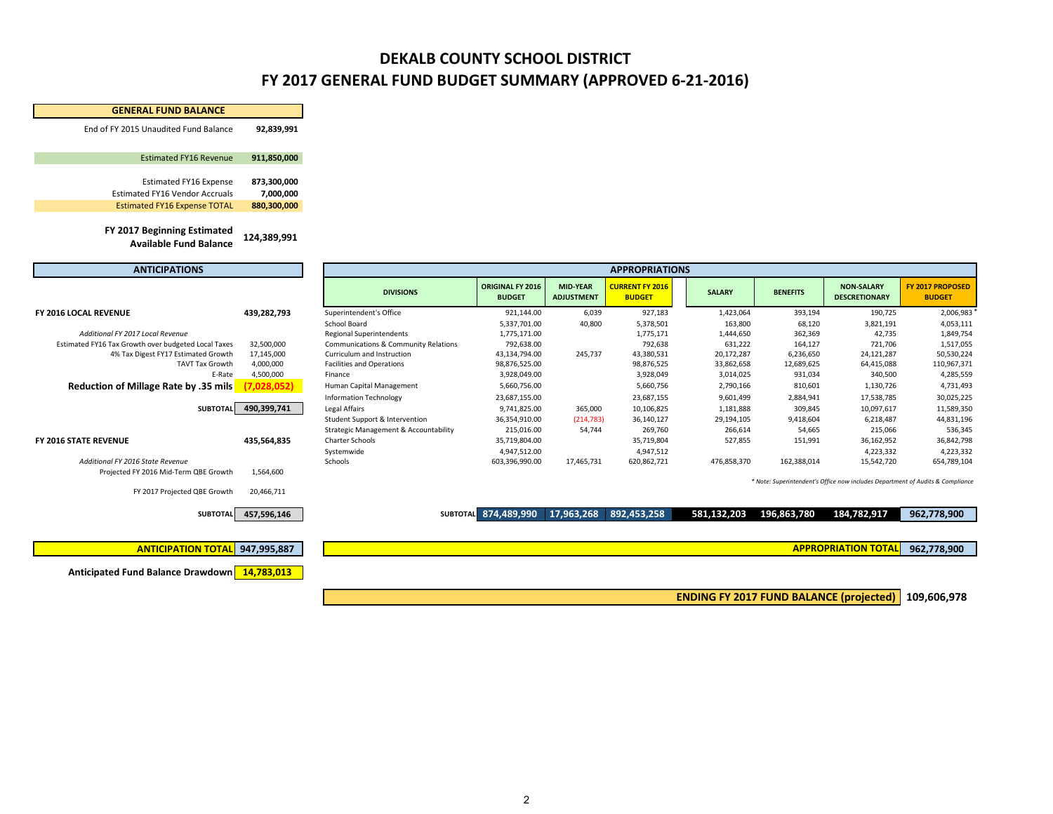### **DEKALB COUNTY SCHOOL DISTRICT FY 2017 GENERAL FUND BUDGET SUMMARY (APPROVED 6‐21‐2016)**

| <b>GENERAL FUND BALANCE</b>                                               |             |                                                  |                                   |                                      |                                         |               |                 |                                                                                |                                   |
|---------------------------------------------------------------------------|-------------|--------------------------------------------------|-----------------------------------|--------------------------------------|-----------------------------------------|---------------|-----------------|--------------------------------------------------------------------------------|-----------------------------------|
| End of FY 2015 Unaudited Fund Balance                                     | 92,839,991  |                                                  |                                   |                                      |                                         |               |                 |                                                                                |                                   |
| <b>Estimated FY16 Revenue</b>                                             | 911,850,000 |                                                  |                                   |                                      |                                         |               |                 |                                                                                |                                   |
| <b>Estimated FY16 Expense</b>                                             | 873,300,000 |                                                  |                                   |                                      |                                         |               |                 |                                                                                |                                   |
| <b>Estimated FY16 Vendor Accruals</b>                                     | 7,000,000   |                                                  |                                   |                                      |                                         |               |                 |                                                                                |                                   |
| <b>Estimated FY16 Expense TOTAL</b>                                       | 880,300,000 |                                                  |                                   |                                      |                                         |               |                 |                                                                                |                                   |
| FY 2017 Beginning Estimated<br><b>Available Fund Balance</b>              | 124,389,991 |                                                  |                                   |                                      |                                         |               |                 |                                                                                |                                   |
| <b>ANTICIPATIONS</b>                                                      |             |                                                  |                                   |                                      | <b>APPROPRIATIONS</b>                   |               |                 |                                                                                |                                   |
|                                                                           |             | <b>DIVISIONS</b>                                 | ORIGINAL FY 2016<br><b>BUDGET</b> | <b>MID-YEAR</b><br><b>ADJUSTMENT</b> | <b>CURRENT FY 2016</b><br><b>BUDGET</b> | <b>SALARY</b> | <b>BENEFITS</b> | <b>NON-SALARY</b><br><b>DESCRETIONARY</b>                                      | FY 2017 PROPOSED<br><b>BUDGET</b> |
| FY 2016 LOCAL REVENUE                                                     | 439,282,793 | Superintendent's Office                          | 921,144.00                        | 6,039                                | 927,183                                 | 1,423,064     | 393,194         | 190,725                                                                        | 2,006,983                         |
|                                                                           |             | School Board                                     | 5,337,701.00                      | 40,800                               | 5,378,501                               | 163,800       | 68,120          | 3,821,191                                                                      | 4,053,111                         |
| Additional FY 2017 Local Revenue                                          |             | <b>Regional Superintendents</b>                  | 1,775,171.00                      |                                      | 1,775,171                               | 1,444,650     | 362,369         | 42,735                                                                         | 1,849,754                         |
| Estimated FY16 Tax Growth over budgeted Local Taxes                       | 32,500,000  | Communications & Community Relations             | 792,638.00                        |                                      | 792,638                                 | 631,222       | 164,127         | 721,706                                                                        | 1,517,055                         |
| 4% Tax Digest FY17 Estimated Growth                                       | 17,145,000  | Curriculum and Instruction                       | 43,134,794.00                     | 245,737                              | 43,380,531                              | 20,172,287    | 6,236,650       | 24,121,287                                                                     | 50,530,224                        |
| <b>TAVT Tax Growth</b>                                                    | 4,000,000   | <b>Facilities and Operations</b>                 | 98,876,525.00                     |                                      | 98,876,525                              | 33,862,658    | 12,689,625      | 64,415,088                                                                     | 110,967,371                       |
| E-Rate                                                                    | 4,500,000   | Finance                                          | 3,928,049.00                      |                                      | 3,928,049                               | 3,014,025     | 931,034         | 340,500                                                                        | 4,285,559                         |
| Reduction of Millage Rate by .35 mils                                     | (7,028,052) | Human Capital Management                         | 5,660,756.00                      |                                      | 5,660,756                               | 2,790,166     | 810,601         | 1,130,726                                                                      | 4,731,493                         |
|                                                                           |             | <b>Information Technology</b>                    | 23,687,155.00                     |                                      | 23,687,155                              | 9,601,499     | 2,884,941       | 17,538,785                                                                     | 30,025,225                        |
| <b>SUBTOTAL</b>                                                           | 490,399,741 | Legal Affairs                                    | 9,741,825.00                      | 365,000                              | 10,106,825                              | 1,181,888     | 309,845         | 10,097,617                                                                     | 11,589,350                        |
|                                                                           |             | Student Support & Intervention                   | 36,354,910.00                     | (214, 783)                           | 36,140,127                              | 29,194,105    | 9,418,604       | 6,218,487                                                                      | 44,831,196                        |
|                                                                           |             | <b>Strategic Management &amp; Accountability</b> | 215,016.00                        | 54,744                               | 269,760                                 | 266,614       | 54,665          | 215,066                                                                        | 536,345                           |
| FY 2016 STATE REVENUE                                                     | 435,564,835 | <b>Charter Schools</b>                           | 35,719,804.00                     |                                      | 35,719,804                              | 527,855       | 151,991         | 36,162,952                                                                     | 36,842,798                        |
|                                                                           |             | Systemwide                                       | 4,947,512.00                      |                                      | 4,947,512                               |               |                 | 4,223,332                                                                      | 4,223,332                         |
| Additional FY 2016 State Revenue<br>Projected FY 2016 Mid-Term QBE Growth | 1,564,600   | Schools                                          | 603,396,990.00                    | 17,465,731                           | 620,862,721                             | 476,858,370   | 162,388,014     | 15,542,720                                                                     | 654,789,104                       |
|                                                                           |             |                                                  |                                   |                                      |                                         |               |                 | * Note: Superintendent's Office now includes Department of Audits & Compliance |                                   |
| FY 2017 Projected QBE Growth                                              | 20,466,711  |                                                  |                                   |                                      |                                         |               |                 |                                                                                |                                   |
| <b>SUBTOTAL</b>                                                           | 457,596,146 |                                                  | SUBTOTAL 874,489,990              | 17,963,268                           | 892,453,258                             | 581,132,203   | 196,863,780     | 184,782,917                                                                    | 962,778,900                       |
|                                                                           |             |                                                  |                                   |                                      |                                         |               |                 |                                                                                |                                   |
| <b>ANTICIPATION TOTAL</b>                                                 | 947,995,887 |                                                  |                                   |                                      |                                         |               |                 | <b>APPROPRIATION TOTAL</b>                                                     | 962,778,900                       |
|                                                                           |             |                                                  |                                   |                                      |                                         |               |                 |                                                                                |                                   |
| Anticipated Fund Balance Drawdown 14,783,013                              |             |                                                  |                                   |                                      |                                         |               |                 |                                                                                |                                   |

**109,606,978 ENDING FY 2017 FUND BALANCE (projected)**

2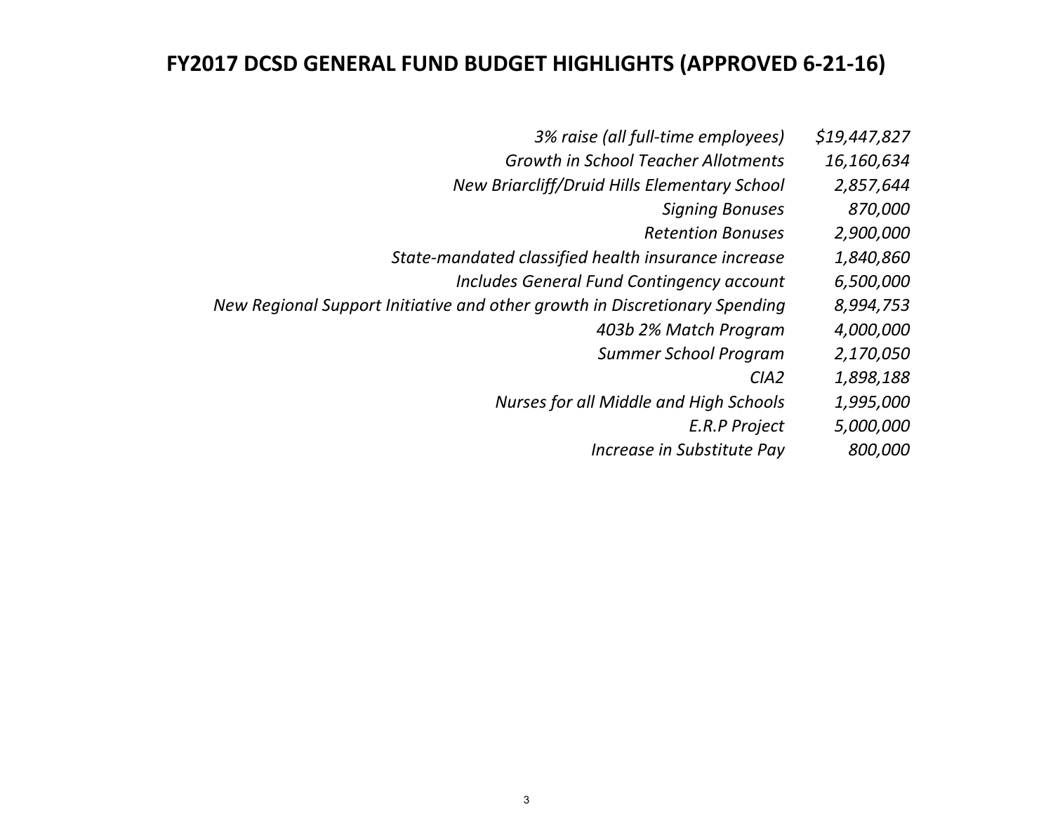### **FY2017 DCSD GENERAL FUND BUDGET HIGHLIGHTS (APPROVED 6‐21‐16)**

- *3% raise (all full‐time employees) \$19,447,827*
- *Growth in School Teacher Allotments 16,160,634*
- *New Briarcliff/Druid Hills Elementary School 2,857,644*
	- *Signing Bonuses 870,000*
	- *RetentionBonuses 2,900,000*
- *State‐mandated classified health insurance increase 1,840,860*
	- *Includes General Fund Contingency account 6,500,000*
- *New Regional Support Initiative and other growth in Discretionary Spending 8,994,753*
	- *403b 2% Match Program 4,000,000*
	- *Summer School Program 2,170,050*
		- *CIA2 1,898,188*
	- *Nurses for all Middle and High Schools 1,995,000*
		- *E.R.PProject 5,000,000*
		- *Increase in Substitute Pay 800,000*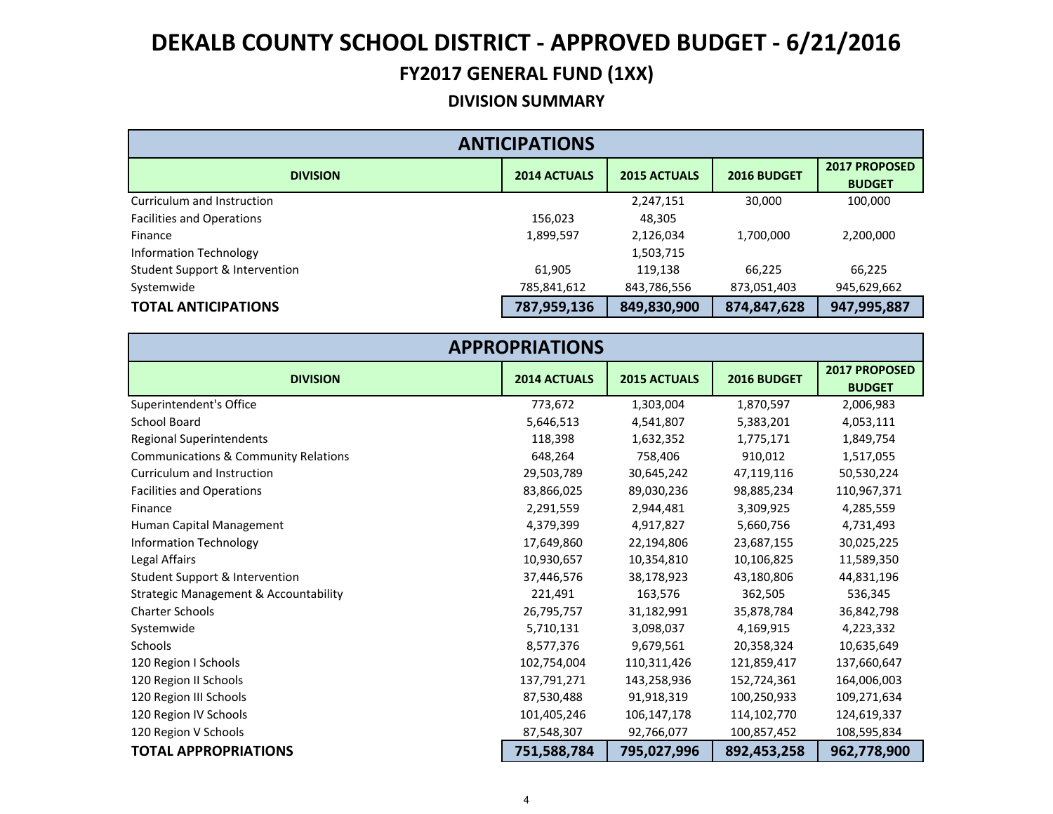#### **DIVISION SUMMARY**

| <b>ANTICIPATIONS</b>                      |                     |                     |             |                                       |  |  |  |
|-------------------------------------------|---------------------|---------------------|-------------|---------------------------------------|--|--|--|
| <b>DIVISION</b>                           | <b>2014 ACTUALS</b> | <b>2015 ACTUALS</b> | 2016 BUDGET | <b>2017 PROPOSED</b><br><b>BUDGET</b> |  |  |  |
| Curriculum and Instruction                |                     | 2,247,151           | 30,000      | 100,000                               |  |  |  |
| <b>Facilities and Operations</b>          | 156,023             | 48,305              |             |                                       |  |  |  |
| Finance                                   | 1,899,597           | 2,126,034           | 1,700,000   | 2,200,000                             |  |  |  |
| Information Technology                    |                     | 1,503,715           |             |                                       |  |  |  |
| <b>Student Support &amp; Intervention</b> | 61,905              | 119,138             | 66,225      | 66,225                                |  |  |  |
| Systemwide                                | 785,841,612         | 843,786,556         | 873,051,403 | 945,629,662                           |  |  |  |
| <b>TOTAL ANTICIPATIONS</b>                | 787,959,136         | 849,830,900         | 874,847,628 | 947,995,887                           |  |  |  |

| <b>APPROPRIATIONS</b>                            |                     |                     |             |                                |  |  |  |
|--------------------------------------------------|---------------------|---------------------|-------------|--------------------------------|--|--|--|
| <b>DIVISION</b>                                  | <b>2014 ACTUALS</b> | <b>2015 ACTUALS</b> | 2016 BUDGET | 2017 PROPOSED<br><b>BUDGET</b> |  |  |  |
| Superintendent's Office                          | 773,672             | 1,303,004           | 1,870,597   | 2,006,983                      |  |  |  |
| <b>School Board</b>                              | 5,646,513           | 4,541,807           | 5,383,201   | 4,053,111                      |  |  |  |
| <b>Regional Superintendents</b>                  | 118,398             | 1,632,352           | 1,775,171   | 1,849,754                      |  |  |  |
| <b>Communications &amp; Community Relations</b>  | 648,264             | 758,406             | 910,012     | 1,517,055                      |  |  |  |
| Curriculum and Instruction                       | 29,503,789          | 30,645,242          | 47,119,116  | 50,530,224                     |  |  |  |
| <b>Facilities and Operations</b>                 | 83,866,025          | 89,030,236          | 98,885,234  | 110,967,371                    |  |  |  |
| Finance                                          | 2,291,559           | 2,944,481           | 3,309,925   | 4,285,559                      |  |  |  |
| Human Capital Management                         | 4,379,399           | 4,917,827           | 5,660,756   | 4,731,493                      |  |  |  |
| <b>Information Technology</b>                    | 17,649,860          | 22,194,806          | 23,687,155  | 30,025,225                     |  |  |  |
| Legal Affairs                                    | 10,930,657          | 10,354,810          | 10,106,825  | 11,589,350                     |  |  |  |
| <b>Student Support &amp; Intervention</b>        | 37,446,576          | 38,178,923          | 43,180,806  | 44,831,196                     |  |  |  |
| <b>Strategic Management &amp; Accountability</b> | 221,491             | 163,576             | 362,505     | 536,345                        |  |  |  |
| <b>Charter Schools</b>                           | 26,795,757          | 31,182,991          | 35,878,784  | 36,842,798                     |  |  |  |
| Systemwide                                       | 5,710,131           | 3,098,037           | 4,169,915   | 4,223,332                      |  |  |  |
| <b>Schools</b>                                   | 8,577,376           | 9,679,561           | 20,358,324  | 10,635,649                     |  |  |  |
| 120 Region I Schools                             | 102,754,004         | 110,311,426         | 121,859,417 | 137,660,647                    |  |  |  |
| 120 Region II Schools                            | 137,791,271         | 143,258,936         | 152,724,361 | 164,006,003                    |  |  |  |
| 120 Region III Schools                           | 87,530,488          | 91,918,319          | 100,250,933 | 109,271,634                    |  |  |  |
| 120 Region IV Schools                            | 101,405,246         | 106,147,178         | 114,102,770 | 124,619,337                    |  |  |  |
| 120 Region V Schools                             | 87,548,307          | 92,766,077          | 100,857,452 | 108,595,834                    |  |  |  |
| <b>TOTAL APPROPRIATIONS</b>                      | 751,588,784         | 795,027,996         | 892,453,258 | 962,778,900                    |  |  |  |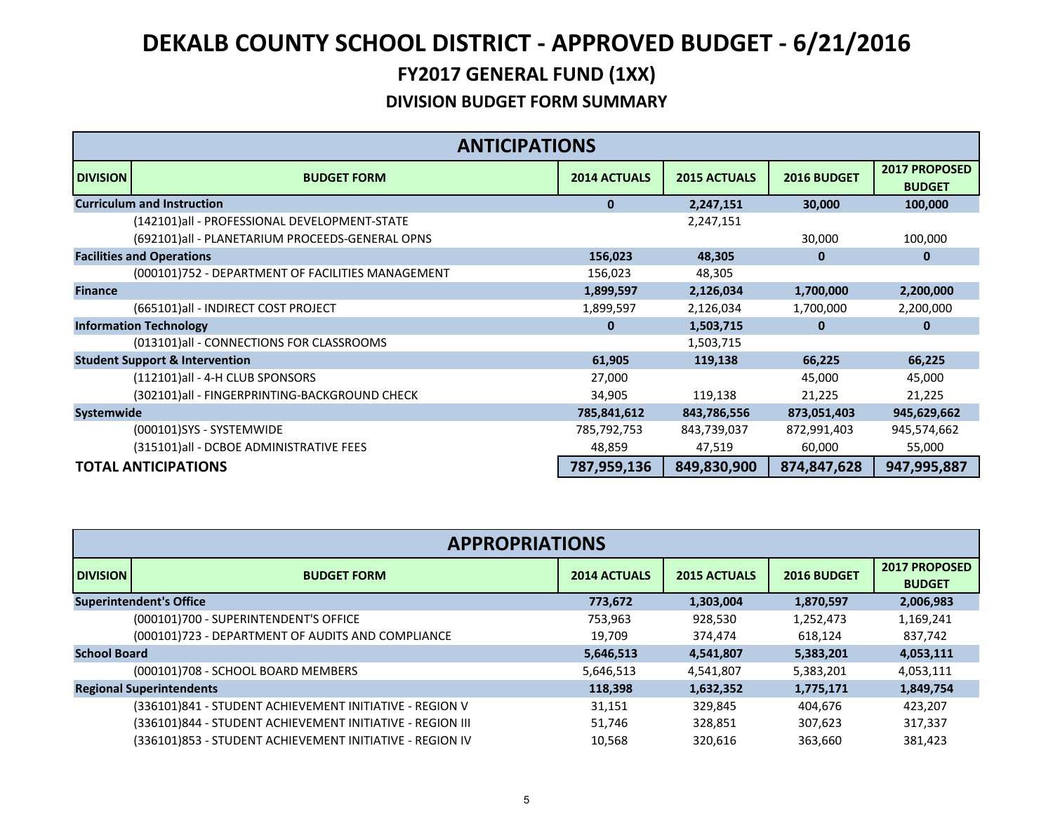|                 | <b>ANTICIPATIONS</b>                              |                     |                     |             |                                |
|-----------------|---------------------------------------------------|---------------------|---------------------|-------------|--------------------------------|
| <b>DIVISION</b> | <b>BUDGET FORM</b>                                | <b>2014 ACTUALS</b> | <b>2015 ACTUALS</b> | 2016 BUDGET | 2017 PROPOSED<br><b>BUDGET</b> |
|                 | <b>Curriculum and Instruction</b>                 | $\mathbf{0}$        | 2,247,151           | 30,000      | 100,000                        |
|                 | (142101)all - PROFESSIONAL DEVELOPMENT-STATE      |                     | 2,247,151           |             |                                |
|                 | (692101)all - PLANETARIUM PROCEEDS-GENERAL OPNS   |                     |                     | 30,000      | 100,000                        |
|                 | <b>Facilities and Operations</b>                  | 156,023             | 48,305              | 0           | 0                              |
|                 | (000101)752 - DEPARTMENT OF FACILITIES MANAGEMENT | 156,023             | 48,305              |             |                                |
| <b>Finance</b>  |                                                   | 1,899,597           | 2,126,034           | 1,700,000   | 2,200,000                      |
|                 | (665101)all - INDIRECT COST PROJECT               | 1,899,597           | 2,126,034           | 1,700,000   | 2,200,000                      |
|                 | <b>Information Technology</b>                     | $\bf{0}$            | 1,503,715           | $\bf{0}$    | 0                              |
|                 | (013101)all - CONNECTIONS FOR CLASSROOMS          |                     | 1,503,715           |             |                                |
|                 | <b>Student Support &amp; Intervention</b>         | 61,905              | 119,138             | 66,225      | 66,225                         |
|                 | (112101)all - 4-H CLUB SPONSORS                   | 27,000              |                     | 45,000      | 45,000                         |
|                 | (302101)all - FINGERPRINTING-BACKGROUND CHECK     | 34,905              | 119,138             | 21,225      | 21,225                         |
| Systemwide      |                                                   | 785,841,612         | 843,786,556         | 873,051,403 | 945,629,662                    |
|                 | (000101)SYS - SYSTEMWIDE                          | 785,792,753         | 843,739,037         | 872,991,403 | 945,574,662                    |
|                 | (315101)all - DCBOE ADMINISTRATIVE FEES           | 48,859              | 47,519              | 60,000      | 55,000                         |
|                 | <b>TOTAL ANTICIPATIONS</b>                        | 787,959,136         | 849,830,900         | 874,847,628 | 947,995,887                    |

|                     | <b>APPROPRIATIONS</b>                                     |                     |                     |             |                                       |  |  |
|---------------------|-----------------------------------------------------------|---------------------|---------------------|-------------|---------------------------------------|--|--|
| <b>DIVISION</b>     | <b>BUDGET FORM</b>                                        | <b>2014 ACTUALS</b> | <b>2015 ACTUALS</b> | 2016 BUDGET | <b>2017 PROPOSED</b><br><b>BUDGET</b> |  |  |
|                     | <b>Superintendent's Office</b>                            | 773,672             | 1,303,004           | 1,870,597   | 2,006,983                             |  |  |
|                     | (000101)700 - SUPERINTENDENT'S OFFICE                     | 753,963             | 928,530             | 1,252,473   | 1,169,241                             |  |  |
|                     | (000101)723 - DEPARTMENT OF AUDITS AND COMPLIANCE         | 19.709              | 374,474             | 618,124     | 837,742                               |  |  |
| <b>School Board</b> |                                                           | 5,646,513           | 4,541,807           | 5,383,201   | 4,053,111                             |  |  |
|                     | (000101)708 - SCHOOL BOARD MEMBERS                        | 5,646,513           | 4,541,807           | 5,383,201   | 4,053,111                             |  |  |
|                     | <b>Regional Superintendents</b>                           | 118,398             | 1,632,352           | 1,775,171   | 1,849,754                             |  |  |
|                     | (336101)841 - STUDENT ACHIEVEMENT INITIATIVE - REGION V   | 31,151              | 329,845             | 404,676     | 423,207                               |  |  |
|                     | (336101)844 - STUDENT ACHIEVEMENT INITIATIVE - REGION III | 51.746              | 328,851             | 307,623     | 317,337                               |  |  |
|                     | (336101)853 - STUDENT ACHIEVEMENT INITIATIVE - REGION IV  | 10.568              | 320,616             | 363,660     | 381,423                               |  |  |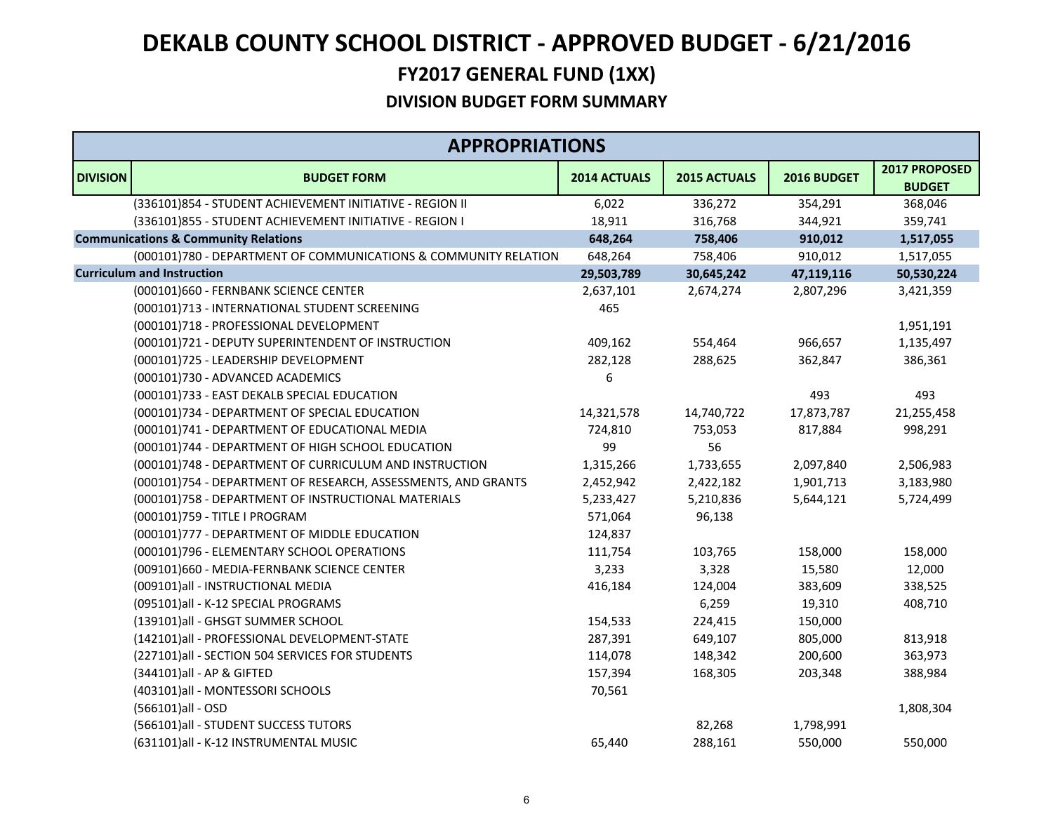|                 | <b>APPROPRIATIONS</b>                                           |                     |              |             |                                |
|-----------------|-----------------------------------------------------------------|---------------------|--------------|-------------|--------------------------------|
| <b>DIVISION</b> | <b>BUDGET FORM</b>                                              | <b>2014 ACTUALS</b> | 2015 ACTUALS | 2016 BUDGET | 2017 PROPOSED<br><b>BUDGET</b> |
|                 | (336101)854 - STUDENT ACHIEVEMENT INITIATIVE - REGION II        | 6,022               | 336,272      | 354,291     | 368,046                        |
|                 | (336101)855 - STUDENT ACHIEVEMENT INITIATIVE - REGION I         | 18,911              | 316,768      | 344,921     | 359,741                        |
|                 | <b>Communications &amp; Community Relations</b>                 | 648,264             | 758,406      | 910,012     | 1,517,055                      |
|                 | (000101)780 - DEPARTMENT OF COMMUNICATIONS & COMMUNITY RELATION | 648,264             | 758,406      | 910,012     | 1,517,055                      |
|                 | <b>Curriculum and Instruction</b>                               | 29,503,789          | 30,645,242   | 47,119,116  | 50,530,224                     |
|                 | (000101)660 - FERNBANK SCIENCE CENTER                           | 2,637,101           | 2,674,274    | 2,807,296   | 3,421,359                      |
|                 | (000101)713 - INTERNATIONAL STUDENT SCREENING                   | 465                 |              |             |                                |
|                 | (000101)718 - PROFESSIONAL DEVELOPMENT                          |                     |              |             | 1,951,191                      |
|                 | (000101)721 - DEPUTY SUPERINTENDENT OF INSTRUCTION              | 409,162             | 554,464      | 966,657     | 1,135,497                      |
|                 | (000101)725 - LEADERSHIP DEVELOPMENT                            | 282,128             | 288,625      | 362,847     | 386,361                        |
|                 | (000101)730 - ADVANCED ACADEMICS                                | 6                   |              |             |                                |
|                 | (000101)733 - EAST DEKALB SPECIAL EDUCATION                     |                     |              | 493         | 493                            |
|                 | (000101)734 - DEPARTMENT OF SPECIAL EDUCATION                   | 14,321,578          | 14,740,722   | 17,873,787  | 21,255,458                     |
|                 | (000101)741 - DEPARTMENT OF EDUCATIONAL MEDIA                   | 724,810             | 753,053      | 817,884     | 998,291                        |
|                 | (000101)744 - DEPARTMENT OF HIGH SCHOOL EDUCATION               | 99                  | 56           |             |                                |
|                 | (000101)748 - DEPARTMENT OF CURRICULUM AND INSTRUCTION          | 1,315,266           | 1,733,655    | 2,097,840   | 2,506,983                      |
|                 | (000101)754 - DEPARTMENT OF RESEARCH, ASSESSMENTS, AND GRANTS   | 2,452,942           | 2,422,182    | 1,901,713   | 3,183,980                      |
|                 | (000101)758 - DEPARTMENT OF INSTRUCTIONAL MATERIALS             | 5,233,427           | 5,210,836    | 5,644,121   | 5,724,499                      |
|                 | (000101)759 - TITLE I PROGRAM                                   | 571,064             | 96,138       |             |                                |
|                 | (000101)777 - DEPARTMENT OF MIDDLE EDUCATION                    | 124,837             |              |             |                                |
|                 | (000101)796 - ELEMENTARY SCHOOL OPERATIONS                      | 111,754             | 103,765      | 158,000     | 158,000                        |
|                 | (009101)660 - MEDIA-FERNBANK SCIENCE CENTER                     | 3,233               | 3,328        | 15,580      | 12,000                         |
|                 | (009101)all - INSTRUCTIONAL MEDIA                               | 416,184             | 124,004      | 383,609     | 338,525                        |
|                 | (095101)all - K-12 SPECIAL PROGRAMS                             |                     | 6,259        | 19,310      | 408,710                        |
|                 | (139101)all - GHSGT SUMMER SCHOOL                               | 154,533             | 224,415      | 150,000     |                                |
|                 | (142101)all - PROFESSIONAL DEVELOPMENT-STATE                    | 287,391             | 649,107      | 805,000     | 813,918                        |
|                 | (227101)all - SECTION 504 SERVICES FOR STUDENTS                 | 114,078             | 148,342      | 200,600     | 363,973                        |
|                 | (344101) all - AP & GIFTED                                      | 157,394             | 168,305      | 203,348     | 388,984                        |
|                 | (403101)all - MONTESSORI SCHOOLS                                | 70,561              |              |             |                                |
|                 | (566101)all - OSD                                               |                     |              |             | 1,808,304                      |
|                 | (566101)all - STUDENT SUCCESS TUTORS                            |                     | 82,268       | 1,798,991   |                                |
|                 | (631101)all - K-12 INSTRUMENTAL MUSIC                           | 65,440              | 288,161      | 550,000     | 550,000                        |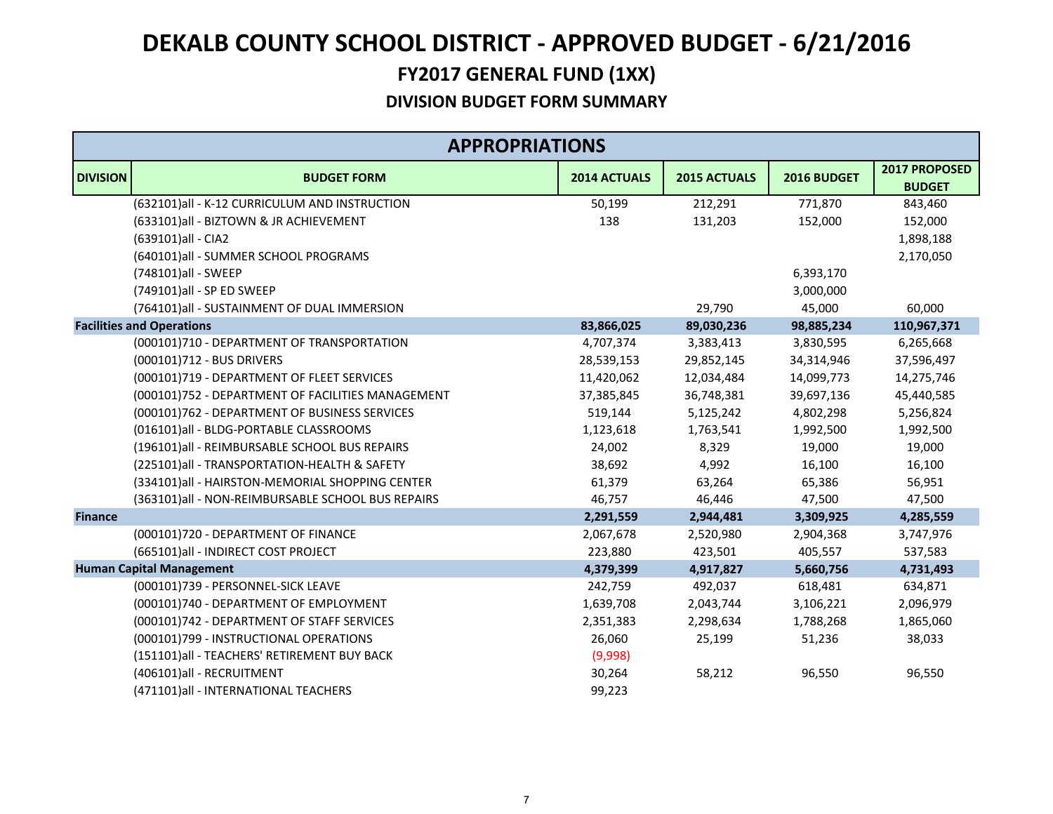|                 | <b>APPROPRIATIONS</b>                             |                     |                     |             |               |
|-----------------|---------------------------------------------------|---------------------|---------------------|-------------|---------------|
| <b>DIVISION</b> | <b>BUDGET FORM</b>                                | <b>2014 ACTUALS</b> | <b>2015 ACTUALS</b> | 2016 BUDGET | 2017 PROPOSED |
|                 |                                                   |                     |                     |             | <b>BUDGET</b> |
|                 | (632101)all - K-12 CURRICULUM AND INSTRUCTION     | 50,199              | 212,291             | 771,870     | 843,460       |
|                 | (633101)all - BIZTOWN & JR ACHIEVEMENT            | 138                 | 131,203             | 152,000     | 152,000       |
|                 | (639101)all - CIA2                                |                     |                     |             | 1,898,188     |
|                 | (640101)all - SUMMER SCHOOL PROGRAMS              |                     |                     |             | 2,170,050     |
|                 | (748101)all - SWEEP                               |                     |                     | 6,393,170   |               |
|                 | (749101)all - SP ED SWEEP                         |                     |                     | 3,000,000   |               |
|                 | (764101)all - SUSTAINMENT OF DUAL IMMERSION       |                     | 29,790              | 45,000      | 60,000        |
|                 | <b>Facilities and Operations</b>                  | 83,866,025          | 89,030,236          | 98,885,234  | 110,967,371   |
|                 | (000101)710 - DEPARTMENT OF TRANSPORTATION        | 4,707,374           | 3,383,413           | 3,830,595   | 6,265,668     |
|                 | (000101)712 - BUS DRIVERS                         | 28,539,153          | 29,852,145          | 34,314,946  | 37,596,497    |
|                 | (000101)719 - DEPARTMENT OF FLEET SERVICES        | 11,420,062          | 12,034,484          | 14,099,773  | 14,275,746    |
|                 | (000101)752 - DEPARTMENT OF FACILITIES MANAGEMENT | 37,385,845          | 36,748,381          | 39,697,136  | 45,440,585    |
|                 | (000101)762 - DEPARTMENT OF BUSINESS SERVICES     | 519,144             | 5,125,242           | 4,802,298   | 5,256,824     |
|                 | (016101)all - BLDG-PORTABLE CLASSROOMS            | 1,123,618           | 1,763,541           | 1,992,500   | 1,992,500     |
|                 | (196101)all - REIMBURSABLE SCHOOL BUS REPAIRS     | 24,002              | 8,329               | 19,000      | 19,000        |
|                 | (225101)all - TRANSPORTATION-HEALTH & SAFETY      | 38,692              | 4,992               | 16,100      | 16,100        |
|                 | (334101)all - HAIRSTON-MEMORIAL SHOPPING CENTER   | 61,379              | 63,264              | 65,386      | 56,951        |
|                 | (363101)all - NON-REIMBURSABLE SCHOOL BUS REPAIRS | 46,757              | 46,446              | 47,500      | 47,500        |
| <b>Finance</b>  |                                                   | 2,291,559           | 2,944,481           | 3,309,925   | 4,285,559     |
|                 | (000101)720 - DEPARTMENT OF FINANCE               | 2,067,678           | 2,520,980           | 2,904,368   | 3,747,976     |
|                 | (665101)all - INDIRECT COST PROJECT               | 223,880             | 423,501             | 405,557     | 537,583       |
|                 | <b>Human Capital Management</b>                   | 4,379,399           | 4,917,827           | 5,660,756   | 4,731,493     |
|                 | (000101)739 - PERSONNEL-SICK LEAVE                | 242,759             | 492,037             | 618,481     | 634,871       |
|                 | (000101)740 - DEPARTMENT OF EMPLOYMENT            | 1,639,708           | 2,043,744           | 3,106,221   | 2,096,979     |
|                 | (000101)742 - DEPARTMENT OF STAFF SERVICES        | 2,351,383           | 2,298,634           | 1,788,268   | 1,865,060     |
|                 | (000101)799 - INSTRUCTIONAL OPERATIONS            | 26,060              | 25,199              | 51,236      | 38,033        |
|                 | (151101)all - TEACHERS' RETIREMENT BUY BACK       | (9,998)             |                     |             |               |
|                 | (406101)all - RECRUITMENT                         | 30,264              | 58,212              | 96,550      | 96,550        |
|                 | (471101) all - INTERNATIONAL TEACHERS             | 99,223              |                     |             |               |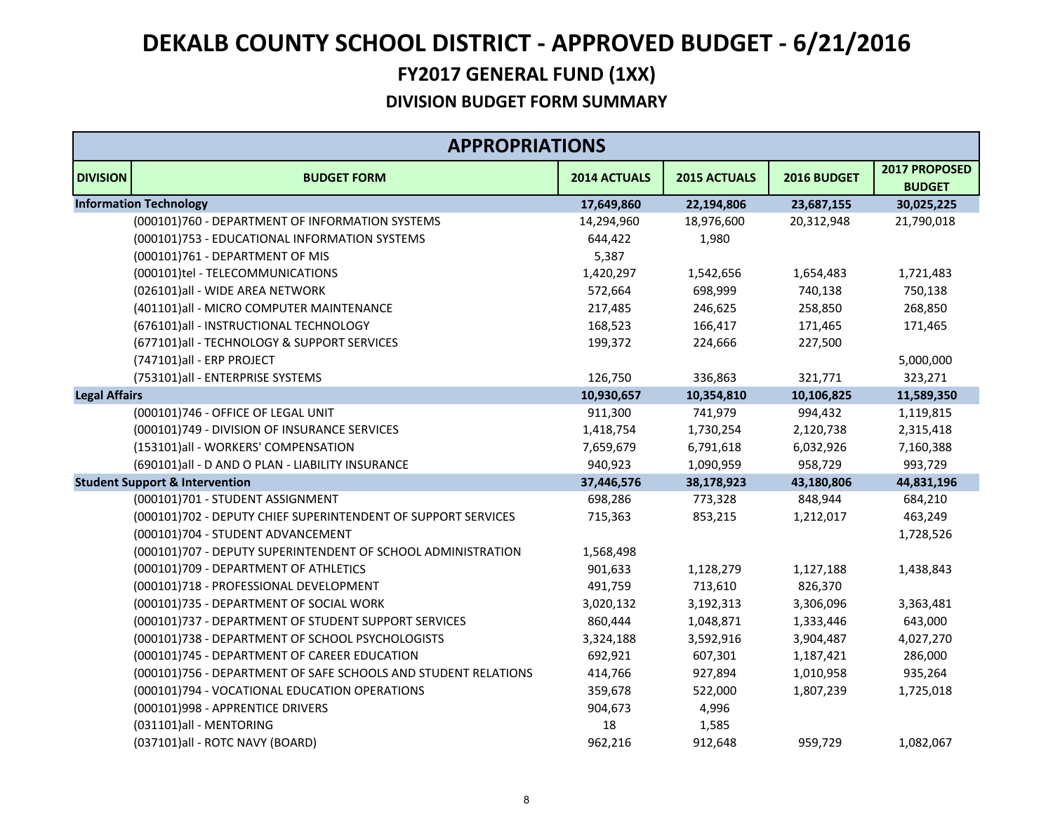|                      | <b>APPROPRIATIONS</b>                                          |              |              |             |                                |
|----------------------|----------------------------------------------------------------|--------------|--------------|-------------|--------------------------------|
| <b>DIVISION</b>      | <b>BUDGET FORM</b>                                             | 2014 ACTUALS | 2015 ACTUALS | 2016 BUDGET | 2017 PROPOSED<br><b>BUDGET</b> |
|                      | <b>Information Technology</b>                                  | 17,649,860   | 22,194,806   | 23,687,155  | 30,025,225                     |
|                      | (000101)760 - DEPARTMENT OF INFORMATION SYSTEMS                | 14,294,960   | 18,976,600   | 20,312,948  | 21,790,018                     |
|                      | (000101)753 - EDUCATIONAL INFORMATION SYSTEMS                  | 644,422      | 1,980        |             |                                |
|                      | (000101)761 - DEPARTMENT OF MIS                                | 5,387        |              |             |                                |
|                      | (000101)tel - TELECOMMUNICATIONS                               | 1,420,297    | 1,542,656    | 1,654,483   | 1,721,483                      |
|                      | (026101)all - WIDE AREA NETWORK                                | 572,664      | 698,999      | 740,138     | 750,138                        |
|                      | (401101)all - MICRO COMPUTER MAINTENANCE                       | 217,485      | 246,625      | 258,850     | 268,850                        |
|                      | (676101)all - INSTRUCTIONAL TECHNOLOGY                         | 168,523      | 166,417      | 171,465     | 171,465                        |
|                      | (677101)all - TECHNOLOGY & SUPPORT SERVICES                    | 199,372      | 224,666      | 227,500     |                                |
|                      | (747101)all - ERP PROJECT                                      |              |              |             | 5,000,000                      |
|                      | (753101)all - ENTERPRISE SYSTEMS                               | 126,750      | 336,863      | 321,771     | 323,271                        |
| <b>Legal Affairs</b> |                                                                | 10,930,657   | 10,354,810   | 10,106,825  | 11,589,350                     |
|                      | (000101)746 - OFFICE OF LEGAL UNIT                             | 911,300      | 741,979      | 994,432     | 1,119,815                      |
|                      | (000101)749 - DIVISION OF INSURANCE SERVICES                   | 1,418,754    | 1,730,254    | 2,120,738   | 2,315,418                      |
|                      | (153101)all - WORKERS' COMPENSATION                            | 7,659,679    | 6,791,618    | 6,032,926   | 7,160,388                      |
|                      | (690101)all - D AND O PLAN - LIABILITY INSURANCE               | 940,923      | 1,090,959    | 958,729     | 993,729                        |
|                      | <b>Student Support &amp; Intervention</b>                      | 37,446,576   | 38,178,923   | 43,180,806  | 44,831,196                     |
|                      | (000101)701 - STUDENT ASSIGNMENT                               | 698,286      | 773,328      | 848,944     | 684,210                        |
|                      | (000101)702 - DEPUTY CHIEF SUPERINTENDENT OF SUPPORT SERVICES  | 715,363      | 853,215      | 1,212,017   | 463,249                        |
|                      | (000101)704 - STUDENT ADVANCEMENT                              |              |              |             | 1,728,526                      |
|                      | (000101)707 - DEPUTY SUPERINTENDENT OF SCHOOL ADMINISTRATION   | 1,568,498    |              |             |                                |
|                      | (000101)709 - DEPARTMENT OF ATHLETICS                          | 901,633      | 1,128,279    | 1,127,188   | 1,438,843                      |
|                      | (000101)718 - PROFESSIONAL DEVELOPMENT                         | 491,759      | 713,610      | 826,370     |                                |
|                      | (000101)735 - DEPARTMENT OF SOCIAL WORK                        | 3,020,132    | 3,192,313    | 3,306,096   | 3,363,481                      |
|                      | (000101)737 - DEPARTMENT OF STUDENT SUPPORT SERVICES           | 860,444      | 1,048,871    | 1,333,446   | 643,000                        |
|                      | (000101)738 - DEPARTMENT OF SCHOOL PSYCHOLOGISTS               | 3,324,188    | 3,592,916    | 3,904,487   | 4,027,270                      |
|                      | (000101)745 - DEPARTMENT OF CAREER EDUCATION                   | 692,921      | 607,301      | 1,187,421   | 286,000                        |
|                      | (000101)756 - DEPARTMENT OF SAFE SCHOOLS AND STUDENT RELATIONS | 414,766      | 927,894      | 1,010,958   | 935,264                        |
|                      | (000101)794 - VOCATIONAL EDUCATION OPERATIONS                  | 359,678      | 522,000      | 1,807,239   | 1,725,018                      |
|                      | (000101)998 - APPRENTICE DRIVERS                               | 904,673      | 4,996        |             |                                |
|                      | (031101)all - MENTORING                                        | 18           | 1,585        |             |                                |
|                      | (037101)all - ROTC NAVY (BOARD)                                | 962,216      | 912,648      | 959,729     | 1,082,067                      |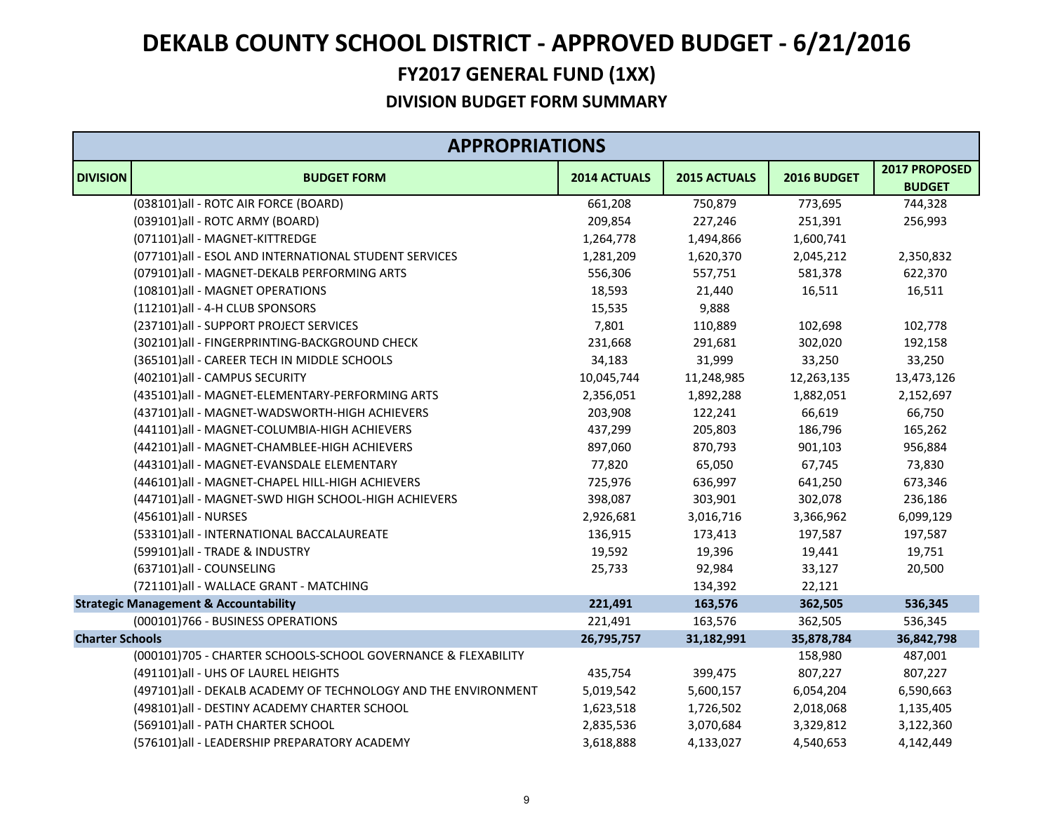|                        | <b>APPROPRIATIONS</b>                                          |              |              |             |                                |  |
|------------------------|----------------------------------------------------------------|--------------|--------------|-------------|--------------------------------|--|
| <b>DIVISION</b>        | <b>BUDGET FORM</b>                                             | 2014 ACTUALS | 2015 ACTUALS | 2016 BUDGET | 2017 PROPOSED<br><b>BUDGET</b> |  |
|                        | (038101)all - ROTC AIR FORCE (BOARD)                           | 661,208      | 750,879      | 773,695     | 744,328                        |  |
|                        | (039101)all - ROTC ARMY (BOARD)                                | 209,854      | 227,246      | 251,391     | 256,993                        |  |
|                        | (071101)all - MAGNET-KITTREDGE                                 | 1,264,778    | 1,494,866    | 1,600,741   |                                |  |
|                        | (077101)all - ESOL AND INTERNATIONAL STUDENT SERVICES          | 1,281,209    | 1,620,370    | 2,045,212   | 2,350,832                      |  |
|                        | (079101)all - MAGNET-DEKALB PERFORMING ARTS                    | 556,306      | 557,751      | 581,378     | 622,370                        |  |
|                        | (108101)all - MAGNET OPERATIONS                                | 18,593       | 21,440       | 16,511      | 16,511                         |  |
|                        | (112101)all - 4-H CLUB SPONSORS                                | 15,535       | 9,888        |             |                                |  |
|                        | (237101)all - SUPPORT PROJECT SERVICES                         | 7,801        | 110,889      | 102,698     | 102,778                        |  |
|                        | (302101)all - FINGERPRINTING-BACKGROUND CHECK                  | 231,668      | 291,681      | 302,020     | 192,158                        |  |
|                        | (365101)all - CAREER TECH IN MIDDLE SCHOOLS                    | 34,183       | 31,999       | 33,250      | 33,250                         |  |
|                        | (402101)all - CAMPUS SECURITY                                  | 10,045,744   | 11,248,985   | 12,263,135  | 13,473,126                     |  |
|                        | (435101)all - MAGNET-ELEMENTARY-PERFORMING ARTS                | 2,356,051    | 1,892,288    | 1,882,051   | 2,152,697                      |  |
|                        | (437101)all - MAGNET-WADSWORTH-HIGH ACHIEVERS                  | 203,908      | 122,241      | 66,619      | 66,750                         |  |
|                        | (441101)all - MAGNET-COLUMBIA-HIGH ACHIEVERS                   | 437,299      | 205,803      | 186,796     | 165,262                        |  |
|                        | (442101)all - MAGNET-CHAMBLEE-HIGH ACHIEVERS                   | 897,060      | 870,793      | 901,103     | 956,884                        |  |
|                        | (443101)all - MAGNET-EVANSDALE ELEMENTARY                      | 77,820       | 65,050       | 67,745      | 73,830                         |  |
|                        | (446101)all - MAGNET-CHAPEL HILL-HIGH ACHIEVERS                | 725,976      | 636,997      | 641,250     | 673,346                        |  |
|                        | (447101)all - MAGNET-SWD HIGH SCHOOL-HIGH ACHIEVERS            | 398,087      | 303,901      | 302,078     | 236,186                        |  |
|                        | (456101)all - NURSES                                           | 2,926,681    | 3,016,716    | 3,366,962   | 6,099,129                      |  |
|                        | (533101)all - INTERNATIONAL BACCALAUREATE                      | 136,915      | 173,413      | 197,587     | 197,587                        |  |
|                        | (599101)all - TRADE & INDUSTRY                                 | 19,592       | 19,396       | 19,441      | 19,751                         |  |
|                        | (637101)all - COUNSELING                                       | 25,733       | 92,984       | 33,127      | 20,500                         |  |
|                        | (721101)all - WALLACE GRANT - MATCHING                         |              | 134,392      | 22,121      |                                |  |
|                        | <b>Strategic Management &amp; Accountability</b>               | 221,491      | 163,576      | 362,505     | 536,345                        |  |
|                        | (000101)766 - BUSINESS OPERATIONS                              | 221,491      | 163,576      | 362,505     | 536,345                        |  |
| <b>Charter Schools</b> |                                                                | 26,795,757   | 31,182,991   | 35,878,784  | 36,842,798                     |  |
|                        | (000101)705 - CHARTER SCHOOLS-SCHOOL GOVERNANCE & FLEXABILITY  |              |              | 158,980     | 487,001                        |  |
|                        | (491101)all - UHS OF LAUREL HEIGHTS                            | 435,754      | 399,475      | 807,227     | 807,227                        |  |
|                        | (497101)all - DEKALB ACADEMY OF TECHNOLOGY AND THE ENVIRONMENT | 5,019,542    | 5,600,157    | 6,054,204   | 6,590,663                      |  |
|                        | (498101)all - DESTINY ACADEMY CHARTER SCHOOL                   | 1,623,518    | 1,726,502    | 2,018,068   | 1,135,405                      |  |
|                        | (569101)all - PATH CHARTER SCHOOL                              | 2,835,536    | 3,070,684    | 3,329,812   | 3,122,360                      |  |
|                        | (576101)all - LEADERSHIP PREPARATORY ACADEMY                   | 3,618,888    | 4,133,027    | 4,540,653   | 4,142,449                      |  |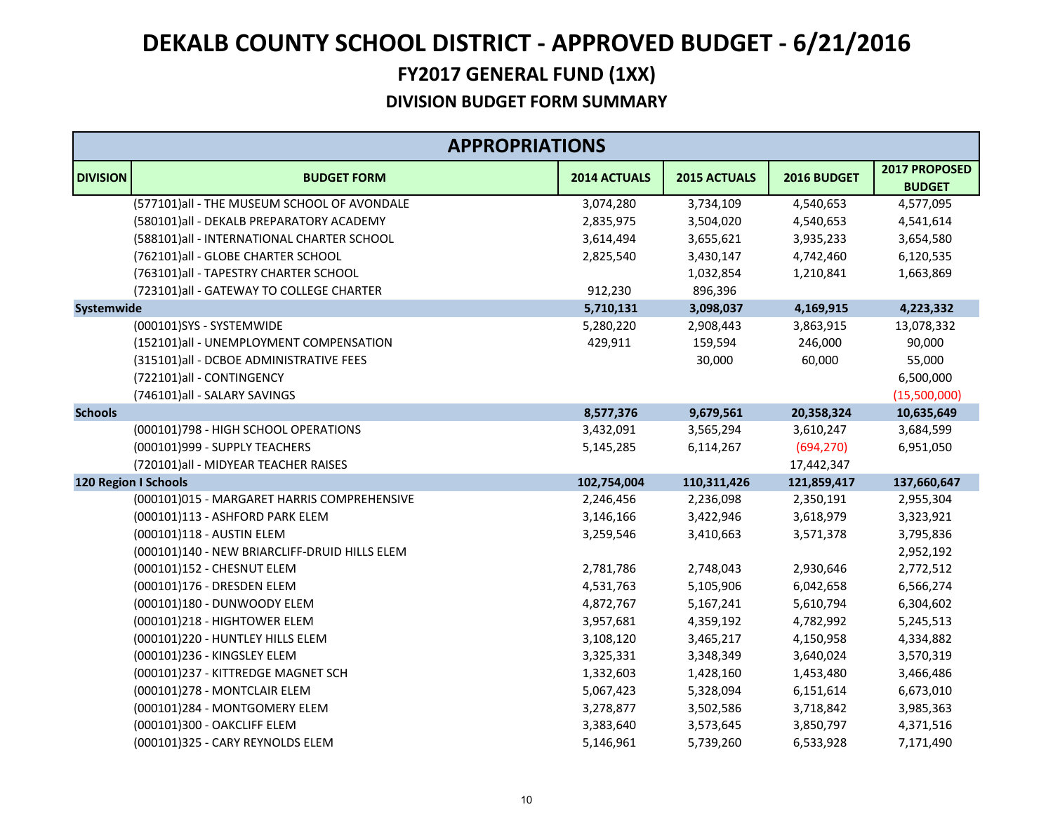|                 | <b>APPROPRIATIONS</b>                         |              |              |             |                                |
|-----------------|-----------------------------------------------|--------------|--------------|-------------|--------------------------------|
| <b>DIVISION</b> | <b>BUDGET FORM</b>                            | 2014 ACTUALS | 2015 ACTUALS | 2016 BUDGET | 2017 PROPOSED<br><b>BUDGET</b> |
|                 | (577101)all - THE MUSEUM SCHOOL OF AVONDALE   | 3,074,280    | 3,734,109    | 4,540,653   | 4,577,095                      |
|                 | (580101)all - DEKALB PREPARATORY ACADEMY      | 2,835,975    | 3,504,020    | 4,540,653   | 4,541,614                      |
|                 | (588101) all - INTERNATIONAL CHARTER SCHOOL   | 3,614,494    | 3,655,621    | 3,935,233   | 3,654,580                      |
|                 | (762101)all - GLOBE CHARTER SCHOOL            | 2,825,540    | 3,430,147    | 4,742,460   | 6,120,535                      |
|                 | (763101)all - TAPESTRY CHARTER SCHOOL         |              | 1,032,854    | 1,210,841   | 1,663,869                      |
|                 | (723101)all - GATEWAY TO COLLEGE CHARTER      | 912,230      | 896,396      |             |                                |
| Systemwide      |                                               | 5,710,131    | 3,098,037    | 4,169,915   | 4,223,332                      |
|                 | (000101)SYS - SYSTEMWIDE                      | 5,280,220    | 2,908,443    | 3,863,915   | 13,078,332                     |
|                 | (152101)all - UNEMPLOYMENT COMPENSATION       | 429,911      | 159,594      | 246,000     | 90,000                         |
|                 | (315101)all - DCBOE ADMINISTRATIVE FEES       |              | 30,000       | 60,000      | 55,000                         |
|                 | (722101)all - CONTINGENCY                     |              |              |             | 6,500,000                      |
|                 | (746101)all - SALARY SAVINGS                  |              |              |             | (15,500,000)                   |
| <b>Schools</b>  |                                               | 8,577,376    | 9,679,561    | 20,358,324  | 10,635,649                     |
|                 | (000101)798 - HIGH SCHOOL OPERATIONS          | 3,432,091    | 3,565,294    | 3,610,247   | 3,684,599                      |
|                 | (000101)999 - SUPPLY TEACHERS                 | 5,145,285    | 6,114,267    | (694, 270)  | 6,951,050                      |
|                 | (720101) all - MIDYEAR TEACHER RAISES         |              |              | 17,442,347  |                                |
|                 | <b>120 Region I Schools</b>                   | 102,754,004  | 110,311,426  | 121,859,417 | 137,660,647                    |
|                 | (000101)015 - MARGARET HARRIS COMPREHENSIVE   | 2,246,456    | 2,236,098    | 2,350,191   | 2,955,304                      |
|                 | (000101)113 - ASHFORD PARK ELEM               | 3,146,166    | 3,422,946    | 3,618,979   | 3,323,921                      |
|                 | (000101)118 - AUSTIN ELEM                     | 3,259,546    | 3,410,663    | 3,571,378   | 3,795,836                      |
|                 | (000101)140 - NEW BRIARCLIFF-DRUID HILLS ELEM |              |              |             | 2,952,192                      |
|                 | (000101)152 - CHESNUT ELEM                    | 2,781,786    | 2,748,043    | 2,930,646   | 2,772,512                      |
|                 | (000101)176 - DRESDEN ELEM                    | 4,531,763    | 5,105,906    | 6,042,658   | 6,566,274                      |
|                 | (000101)180 - DUNWOODY ELEM                   | 4,872,767    | 5,167,241    | 5,610,794   | 6,304,602                      |
|                 | (000101)218 - HIGHTOWER ELEM                  | 3,957,681    | 4,359,192    | 4,782,992   | 5,245,513                      |
|                 | (000101)220 - HUNTLEY HILLS ELEM              | 3,108,120    | 3,465,217    | 4,150,958   | 4,334,882                      |
|                 | (000101)236 - KINGSLEY ELEM                   | 3,325,331    | 3,348,349    | 3,640,024   | 3,570,319                      |
|                 | (000101)237 - KITTREDGE MAGNET SCH            | 1,332,603    | 1,428,160    | 1,453,480   | 3,466,486                      |
|                 | (000101)278 - MONTCLAIR ELEM                  | 5,067,423    | 5,328,094    | 6,151,614   | 6,673,010                      |
|                 | (000101)284 - MONTGOMERY ELEM                 | 3,278,877    | 3,502,586    | 3,718,842   | 3,985,363                      |
|                 | (000101)300 - OAKCLIFF ELEM                   | 3,383,640    | 3,573,645    | 3,850,797   | 4,371,516                      |
|                 | (000101)325 - CARY REYNOLDS ELEM              | 5,146,961    | 5,739,260    | 6,533,928   | 7,171,490                      |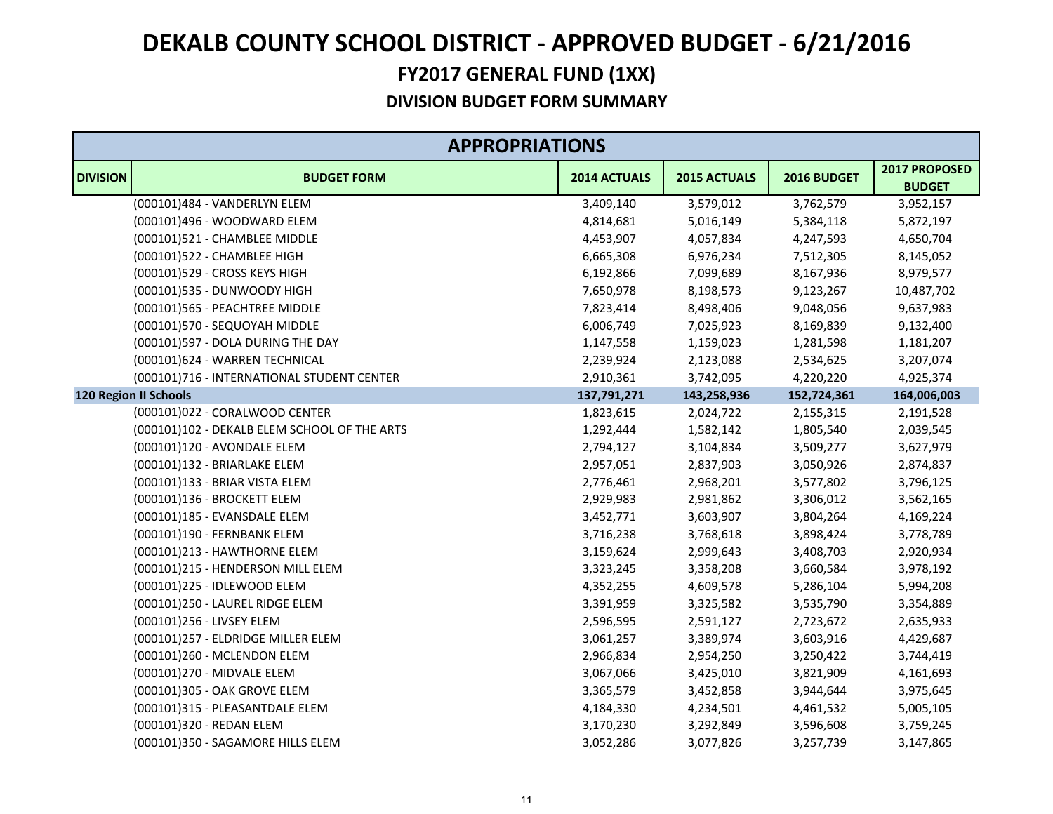|                 | <b>APPROPRIATIONS</b>                        |              |              |             |                                |
|-----------------|----------------------------------------------|--------------|--------------|-------------|--------------------------------|
| <b>DIVISION</b> | <b>BUDGET FORM</b>                           | 2014 ACTUALS | 2015 ACTUALS | 2016 BUDGET | 2017 PROPOSED<br><b>BUDGET</b> |
|                 | (000101)484 - VANDERLYN ELEM                 | 3,409,140    | 3,579,012    | 3,762,579   | 3,952,157                      |
|                 | (000101)496 - WOODWARD ELEM                  | 4,814,681    | 5,016,149    | 5,384,118   | 5,872,197                      |
|                 | (000101)521 - CHAMBLEE MIDDLE                | 4,453,907    | 4,057,834    | 4,247,593   | 4,650,704                      |
|                 | (000101)522 - CHAMBLEE HIGH                  | 6,665,308    | 6,976,234    | 7,512,305   | 8,145,052                      |
|                 | (000101)529 - CROSS KEYS HIGH                | 6,192,866    | 7,099,689    | 8,167,936   | 8,979,577                      |
|                 | (000101)535 - DUNWOODY HIGH                  | 7,650,978    | 8,198,573    | 9,123,267   | 10,487,702                     |
|                 | (000101)565 - PEACHTREE MIDDLE               | 7,823,414    | 8,498,406    | 9,048,056   | 9,637,983                      |
|                 | (000101)570 - SEQUOYAH MIDDLE                | 6,006,749    | 7,025,923    | 8,169,839   | 9,132,400                      |
|                 | (000101)597 - DOLA DURING THE DAY            | 1,147,558    | 1,159,023    | 1,281,598   | 1,181,207                      |
|                 | (000101)624 - WARREN TECHNICAL               | 2,239,924    | 2,123,088    | 2,534,625   | 3,207,074                      |
|                 | (000101)716 - INTERNATIONAL STUDENT CENTER   | 2,910,361    | 3,742,095    | 4,220,220   | 4,925,374                      |
|                 | <b>120 Region II Schools</b>                 | 137,791,271  | 143,258,936  | 152,724,361 | 164,006,003                    |
|                 | (000101)022 - CORALWOOD CENTER               | 1,823,615    | 2,024,722    | 2,155,315   | 2,191,528                      |
|                 | (000101)102 - DEKALB ELEM SCHOOL OF THE ARTS | 1,292,444    | 1,582,142    | 1,805,540   | 2,039,545                      |
|                 | (000101)120 - AVONDALE ELEM                  | 2,794,127    | 3,104,834    | 3,509,277   | 3,627,979                      |
|                 | (000101)132 - BRIARLAKE ELEM                 | 2,957,051    | 2,837,903    | 3,050,926   | 2,874,837                      |
|                 | (000101)133 - BRIAR VISTA ELEM               | 2,776,461    | 2,968,201    | 3,577,802   | 3,796,125                      |
|                 | (000101)136 - BROCKETT ELEM                  | 2,929,983    | 2,981,862    | 3,306,012   | 3,562,165                      |
|                 | (000101)185 - EVANSDALE ELEM                 | 3,452,771    | 3,603,907    | 3,804,264   | 4,169,224                      |
|                 | (000101)190 - FERNBANK ELEM                  | 3,716,238    | 3,768,618    | 3,898,424   | 3,778,789                      |
|                 | (000101)213 - HAWTHORNE ELEM                 | 3,159,624    | 2,999,643    | 3,408,703   | 2,920,934                      |
|                 | (000101)215 - HENDERSON MILL ELEM            | 3,323,245    | 3,358,208    | 3,660,584   | 3,978,192                      |
|                 | (000101)225 - IDLEWOOD ELEM                  | 4,352,255    | 4,609,578    | 5,286,104   | 5,994,208                      |
|                 | (000101)250 - LAUREL RIDGE ELEM              | 3,391,959    | 3,325,582    | 3,535,790   | 3,354,889                      |
|                 | (000101)256 - LIVSEY ELEM                    | 2,596,595    | 2,591,127    | 2,723,672   | 2,635,933                      |
|                 | (000101)257 - ELDRIDGE MILLER ELEM           | 3,061,257    | 3,389,974    | 3,603,916   | 4,429,687                      |
|                 | (000101)260 - MCLENDON ELEM                  | 2,966,834    | 2,954,250    | 3,250,422   | 3,744,419                      |
|                 | (000101)270 - MIDVALE ELEM                   | 3,067,066    | 3,425,010    | 3,821,909   | 4,161,693                      |
|                 | (000101)305 - OAK GROVE ELEM                 | 3,365,579    | 3,452,858    | 3,944,644   | 3,975,645                      |
|                 | (000101)315 - PLEASANTDALE ELEM              | 4,184,330    | 4,234,501    | 4,461,532   | 5,005,105                      |
|                 | (000101)320 - REDAN ELEM                     | 3,170,230    | 3,292,849    | 3,596,608   | 3,759,245                      |
|                 | (000101)350 - SAGAMORE HILLS ELEM            | 3,052,286    | 3,077,826    | 3,257,739   | 3,147,865                      |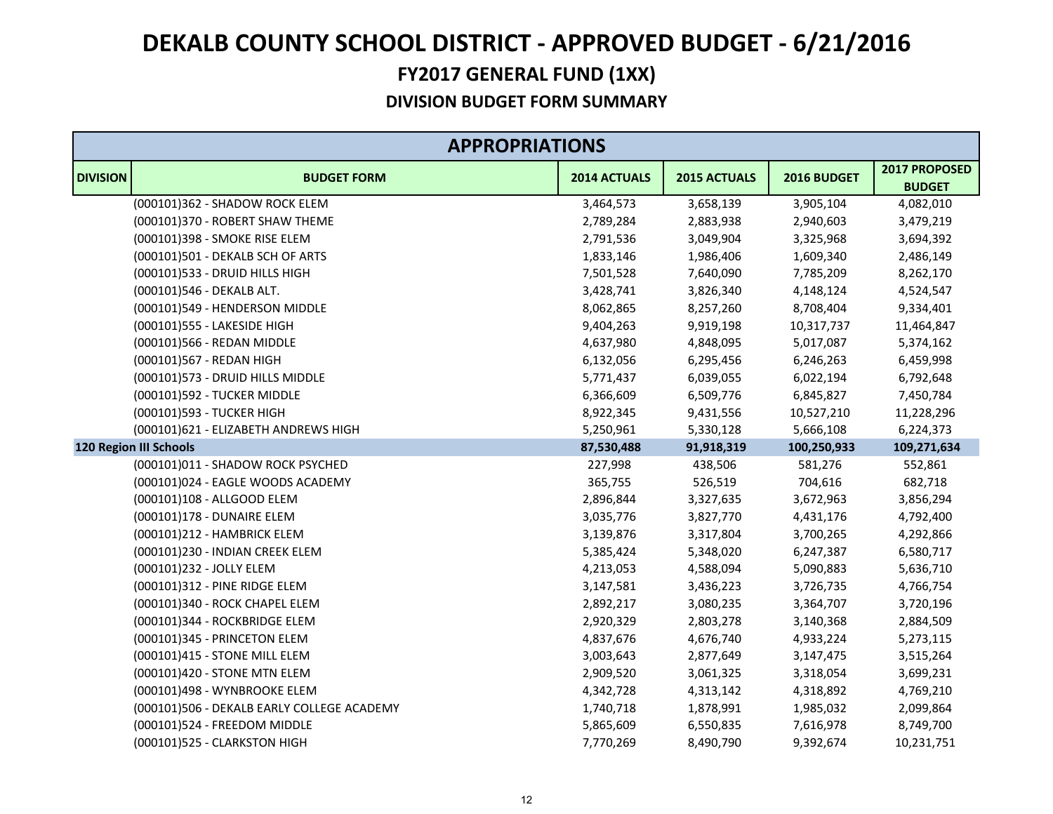| <b>APPROPRIATIONS</b> |                                            |              |              |             |                                |  |
|-----------------------|--------------------------------------------|--------------|--------------|-------------|--------------------------------|--|
| <b>DIVISION</b>       | <b>BUDGET FORM</b>                         | 2014 ACTUALS | 2015 ACTUALS | 2016 BUDGET | 2017 PROPOSED<br><b>BUDGET</b> |  |
|                       | (000101)362 - SHADOW ROCK ELEM             | 3,464,573    | 3,658,139    | 3,905,104   | 4,082,010                      |  |
|                       | (000101)370 - ROBERT SHAW THEME            | 2,789,284    | 2,883,938    | 2,940,603   | 3,479,219                      |  |
|                       | (000101)398 - SMOKE RISE ELEM              | 2,791,536    | 3,049,904    | 3,325,968   | 3,694,392                      |  |
|                       | (000101)501 - DEKALB SCH OF ARTS           | 1,833,146    | 1,986,406    | 1,609,340   | 2,486,149                      |  |
|                       | (000101)533 - DRUID HILLS HIGH             | 7,501,528    | 7,640,090    | 7,785,209   | 8,262,170                      |  |
|                       | (000101)546 - DEKALB ALT.                  | 3,428,741    | 3,826,340    | 4,148,124   | 4,524,547                      |  |
|                       | (000101)549 - HENDERSON MIDDLE             | 8,062,865    | 8,257,260    | 8,708,404   | 9,334,401                      |  |
|                       | (000101)555 - LAKESIDE HIGH                | 9,404,263    | 9,919,198    | 10,317,737  | 11,464,847                     |  |
|                       | (000101)566 - REDAN MIDDLE                 | 4,637,980    | 4,848,095    | 5,017,087   | 5,374,162                      |  |
|                       | (000101)567 - REDAN HIGH                   | 6,132,056    | 6,295,456    | 6,246,263   | 6,459,998                      |  |
|                       | (000101)573 - DRUID HILLS MIDDLE           | 5,771,437    | 6,039,055    | 6,022,194   | 6,792,648                      |  |
|                       | (000101)592 - TUCKER MIDDLE                | 6,366,609    | 6,509,776    | 6,845,827   | 7,450,784                      |  |
|                       | (000101)593 - TUCKER HIGH                  | 8,922,345    | 9,431,556    | 10,527,210  | 11,228,296                     |  |
|                       | (000101)621 - ELIZABETH ANDREWS HIGH       | 5,250,961    | 5,330,128    | 5,666,108   | 6,224,373                      |  |
|                       | <b>120 Region III Schools</b>              | 87,530,488   | 91,918,319   | 100,250,933 | 109,271,634                    |  |
|                       | (000101)011 - SHADOW ROCK PSYCHED          | 227,998      | 438,506      | 581,276     | 552,861                        |  |
|                       | (000101)024 - EAGLE WOODS ACADEMY          | 365,755      | 526,519      | 704,616     | 682,718                        |  |
|                       | (000101)108 - ALLGOOD ELEM                 | 2,896,844    | 3,327,635    | 3,672,963   | 3,856,294                      |  |
|                       | (000101)178 - DUNAIRE ELEM                 | 3,035,776    | 3,827,770    | 4,431,176   | 4,792,400                      |  |
|                       | (000101)212 - HAMBRICK ELEM                | 3,139,876    | 3,317,804    | 3,700,265   | 4,292,866                      |  |
|                       | (000101)230 - INDIAN CREEK ELEM            | 5,385,424    | 5,348,020    | 6,247,387   | 6,580,717                      |  |
|                       | (000101)232 - JOLLY ELEM                   | 4,213,053    | 4,588,094    | 5,090,883   | 5,636,710                      |  |
|                       | (000101)312 - PINE RIDGE ELEM              | 3,147,581    | 3,436,223    | 3,726,735   | 4,766,754                      |  |
|                       | (000101)340 - ROCK CHAPEL ELEM             | 2,892,217    | 3,080,235    | 3,364,707   | 3,720,196                      |  |
|                       | (000101)344 - ROCKBRIDGE ELEM              | 2,920,329    | 2,803,278    | 3,140,368   | 2,884,509                      |  |
|                       | (000101)345 - PRINCETON ELEM               | 4,837,676    | 4,676,740    | 4,933,224   | 5,273,115                      |  |
|                       | (000101)415 - STONE MILL ELEM              | 3,003,643    | 2,877,649    | 3,147,475   | 3,515,264                      |  |
|                       | (000101)420 - STONE MTN ELEM               | 2,909,520    | 3,061,325    | 3,318,054   | 3,699,231                      |  |
|                       | (000101)498 - WYNBROOKE ELEM               | 4,342,728    | 4,313,142    | 4,318,892   | 4,769,210                      |  |
|                       | (000101)506 - DEKALB EARLY COLLEGE ACADEMY | 1,740,718    | 1,878,991    | 1,985,032   | 2,099,864                      |  |
|                       | (000101)524 - FREEDOM MIDDLE               | 5,865,609    | 6,550,835    | 7,616,978   | 8,749,700                      |  |
|                       | (000101)525 - CLARKSTON HIGH               | 7,770,269    | 8,490,790    | 9,392,674   | 10,231,751                     |  |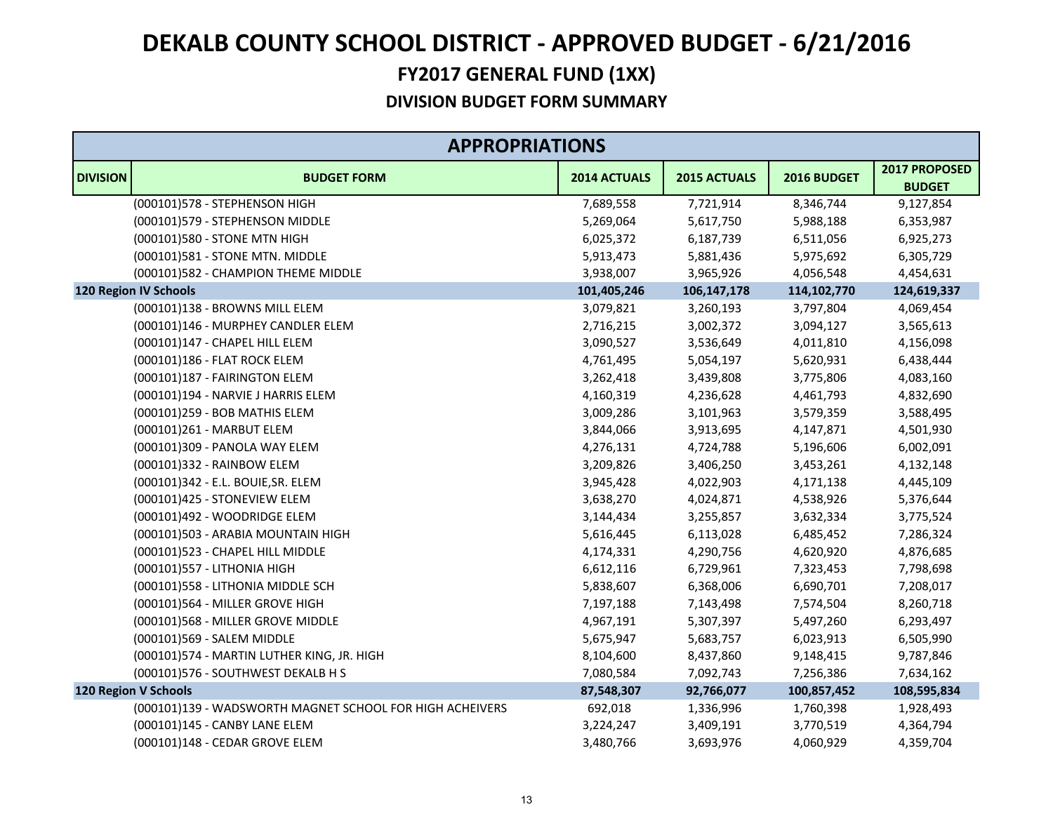| <b>APPROPRIATIONS</b> |                                                          |              |               |               |                                |  |
|-----------------------|----------------------------------------------------------|--------------|---------------|---------------|--------------------------------|--|
| <b>DIVISION</b>       | <b>BUDGET FORM</b>                                       | 2014 ACTUALS | 2015 ACTUALS  | 2016 BUDGET   | 2017 PROPOSED<br><b>BUDGET</b> |  |
|                       | (000101)578 - STEPHENSON HIGH                            | 7,689,558    | 7,721,914     | 8,346,744     | 9,127,854                      |  |
|                       | (000101)579 - STEPHENSON MIDDLE                          | 5,269,064    | 5,617,750     | 5,988,188     | 6,353,987                      |  |
|                       | (000101)580 - STONE MTN HIGH                             | 6,025,372    | 6,187,739     | 6,511,056     | 6,925,273                      |  |
|                       | (000101)581 - STONE MTN. MIDDLE                          | 5,913,473    | 5,881,436     | 5,975,692     | 6,305,729                      |  |
|                       | (000101)582 - CHAMPION THEME MIDDLE                      | 3,938,007    | 3,965,926     | 4,056,548     | 4,454,631                      |  |
|                       | <b>120 Region IV Schools</b>                             | 101,405,246  | 106, 147, 178 | 114, 102, 770 | 124,619,337                    |  |
|                       | (000101)138 - BROWNS MILL ELEM                           | 3,079,821    | 3,260,193     | 3,797,804     | 4,069,454                      |  |
|                       | (000101)146 - MURPHEY CANDLER ELEM                       | 2,716,215    | 3,002,372     | 3,094,127     | 3,565,613                      |  |
|                       | (000101)147 - CHAPEL HILL ELEM                           | 3,090,527    | 3,536,649     | 4,011,810     | 4,156,098                      |  |
|                       | (000101)186 - FLAT ROCK ELEM                             | 4,761,495    | 5,054,197     | 5,620,931     | 6,438,444                      |  |
|                       | (000101)187 - FAIRINGTON ELEM                            | 3,262,418    | 3,439,808     | 3,775,806     | 4,083,160                      |  |
|                       | (000101)194 - NARVIE J HARRIS ELEM                       | 4,160,319    | 4,236,628     | 4,461,793     | 4,832,690                      |  |
|                       | (000101)259 - BOB MATHIS ELEM                            | 3,009,286    | 3,101,963     | 3,579,359     | 3,588,495                      |  |
|                       | (000101)261 - MARBUT ELEM                                | 3,844,066    | 3,913,695     | 4,147,871     | 4,501,930                      |  |
|                       | (000101)309 - PANOLA WAY ELEM                            | 4,276,131    | 4,724,788     | 5,196,606     | 6,002,091                      |  |
|                       | (000101)332 - RAINBOW ELEM                               | 3,209,826    | 3,406,250     | 3,453,261     | 4,132,148                      |  |
|                       | (000101)342 - E.L. BOUIE, SR. ELEM                       | 3,945,428    | 4,022,903     | 4,171,138     | 4,445,109                      |  |
|                       | (000101)425 - STONEVIEW ELEM                             | 3,638,270    | 4,024,871     | 4,538,926     | 5,376,644                      |  |
|                       | (000101)492 - WOODRIDGE ELEM                             | 3,144,434    | 3,255,857     | 3,632,334     | 3,775,524                      |  |
|                       | (000101)503 - ARABIA MOUNTAIN HIGH                       | 5,616,445    | 6,113,028     | 6,485,452     | 7,286,324                      |  |
|                       | (000101)523 - CHAPEL HILL MIDDLE                         | 4,174,331    | 4,290,756     | 4,620,920     | 4,876,685                      |  |
|                       | (000101)557 - LITHONIA HIGH                              | 6,612,116    | 6,729,961     | 7,323,453     | 7,798,698                      |  |
|                       | (000101)558 - LITHONIA MIDDLE SCH                        | 5,838,607    | 6,368,006     | 6,690,701     | 7,208,017                      |  |
|                       | (000101)564 - MILLER GROVE HIGH                          | 7,197,188    | 7,143,498     | 7,574,504     | 8,260,718                      |  |
|                       | (000101)568 - MILLER GROVE MIDDLE                        | 4,967,191    | 5,307,397     | 5,497,260     | 6,293,497                      |  |
|                       | (000101)569 - SALEM MIDDLE                               | 5,675,947    | 5,683,757     | 6,023,913     | 6,505,990                      |  |
|                       | (000101)574 - MARTIN LUTHER KING, JR. HIGH               | 8,104,600    | 8,437,860     | 9,148,415     | 9,787,846                      |  |
|                       | (000101)576 - SOUTHWEST DEKALB H S                       | 7,080,584    | 7,092,743     | 7,256,386     | 7,634,162                      |  |
|                       | 120 Region V Schools                                     | 87,548,307   | 92,766,077    | 100,857,452   | 108,595,834                    |  |
|                       | (000101)139 - WADSWORTH MAGNET SCHOOL FOR HIGH ACHEIVERS | 692,018      | 1,336,996     | 1,760,398     | 1,928,493                      |  |
|                       | (000101)145 - CANBY LANE ELEM                            | 3,224,247    | 3,409,191     | 3,770,519     | 4,364,794                      |  |
|                       | (000101)148 - CEDAR GROVE ELEM                           | 3,480,766    | 3,693,976     | 4,060,929     | 4,359,704                      |  |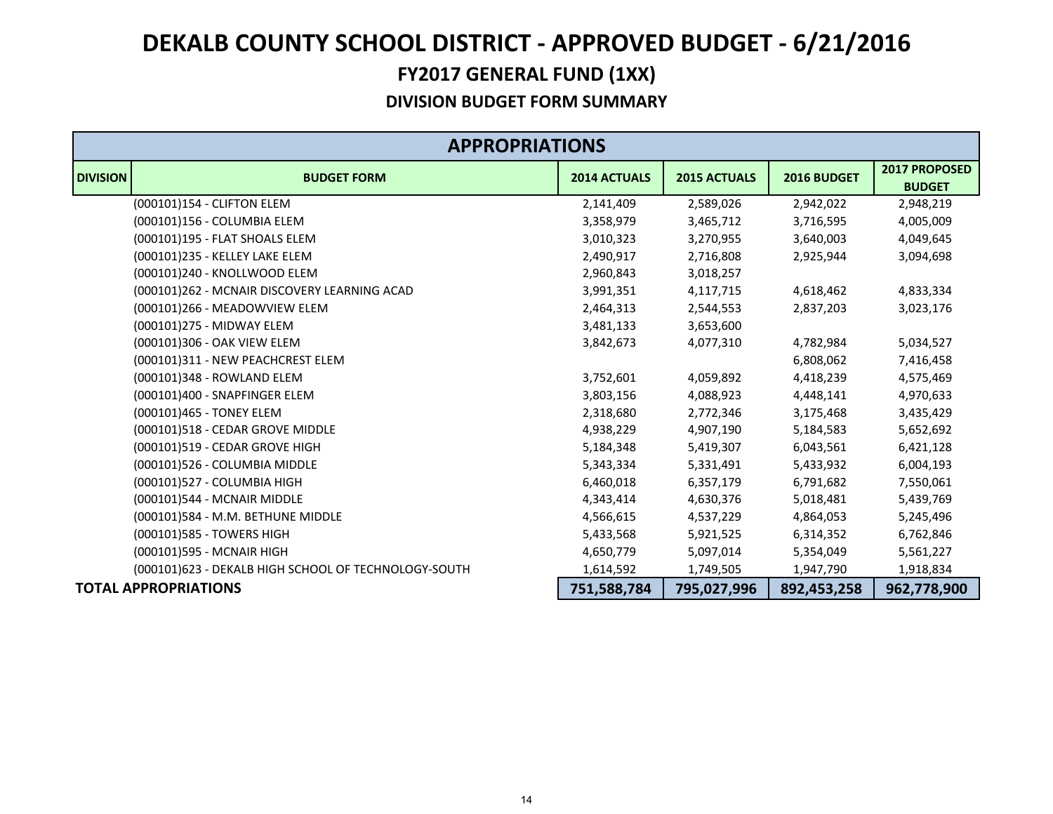|                 | <b>APPROPRIATIONS</b>                                |                     |                     |             |                                       |  |
|-----------------|------------------------------------------------------|---------------------|---------------------|-------------|---------------------------------------|--|
| <b>DIVISION</b> | <b>BUDGET FORM</b>                                   | <b>2014 ACTUALS</b> | <b>2015 ACTUALS</b> | 2016 BUDGET | <b>2017 PROPOSED</b><br><b>BUDGET</b> |  |
|                 | (000101)154 - CLIFTON ELEM                           | 2,141,409           | 2,589,026           | 2,942,022   | 2,948,219                             |  |
|                 | (000101)156 - COLUMBIA ELEM                          | 3,358,979           | 3,465,712           | 3,716,595   | 4,005,009                             |  |
|                 | (000101)195 - FLAT SHOALS ELEM                       | 3,010,323           | 3,270,955           | 3,640,003   | 4,049,645                             |  |
|                 | (000101)235 - KELLEY LAKE ELEM                       | 2,490,917           | 2,716,808           | 2,925,944   | 3,094,698                             |  |
|                 | (000101)240 - KNOLLWOOD ELEM                         | 2,960,843           | 3,018,257           |             |                                       |  |
|                 | (000101)262 - MCNAIR DISCOVERY LEARNING ACAD         | 3,991,351           | 4,117,715           | 4,618,462   | 4,833,334                             |  |
|                 | (000101)266 - MEADOWVIEW ELEM                        | 2,464,313           | 2,544,553           | 2,837,203   | 3,023,176                             |  |
|                 | (000101)275 - MIDWAY ELEM                            | 3,481,133           | 3,653,600           |             |                                       |  |
|                 | (000101)306 - OAK VIEW ELEM                          | 3,842,673           | 4,077,310           | 4,782,984   | 5,034,527                             |  |
|                 | (000101)311 - NEW PEACHCREST ELEM                    |                     |                     | 6,808,062   | 7,416,458                             |  |
|                 | (000101)348 - ROWLAND ELEM                           | 3,752,601           | 4,059,892           | 4,418,239   | 4,575,469                             |  |
|                 | (000101)400 - SNAPFINGER ELEM                        | 3,803,156           | 4,088,923           | 4,448,141   | 4,970,633                             |  |
|                 | (000101)465 - TONEY ELEM                             | 2,318,680           | 2,772,346           | 3,175,468   | 3,435,429                             |  |
|                 | (000101)518 - CEDAR GROVE MIDDLE                     | 4,938,229           | 4,907,190           | 5,184,583   | 5,652,692                             |  |
|                 | (000101)519 - CEDAR GROVE HIGH                       | 5,184,348           | 5,419,307           | 6,043,561   | 6,421,128                             |  |
|                 | (000101)526 - COLUMBIA MIDDLE                        | 5,343,334           | 5,331,491           | 5,433,932   | 6,004,193                             |  |
|                 | (000101)527 - COLUMBIA HIGH                          | 6,460,018           | 6,357,179           | 6,791,682   | 7,550,061                             |  |
|                 | (000101)544 - MCNAIR MIDDLE                          | 4,343,414           | 4,630,376           | 5,018,481   | 5,439,769                             |  |
|                 | (000101)584 - M.M. BETHUNE MIDDLE                    | 4,566,615           | 4,537,229           | 4,864,053   | 5,245,496                             |  |
|                 | (000101)585 - TOWERS HIGH                            | 5,433,568           | 5,921,525           | 6,314,352   | 6,762,846                             |  |
|                 | (000101)595 - MCNAIR HIGH                            | 4,650,779           | 5,097,014           | 5,354,049   | 5,561,227                             |  |
|                 | (000101)623 - DEKALB HIGH SCHOOL OF TECHNOLOGY-SOUTH | 1,614,592           | 1,749,505           | 1,947,790   | 1,918,834                             |  |
|                 | <b>TOTAL APPROPRIATIONS</b>                          | 751,588,784         | 795,027,996         | 892,453,258 | 962,778,900                           |  |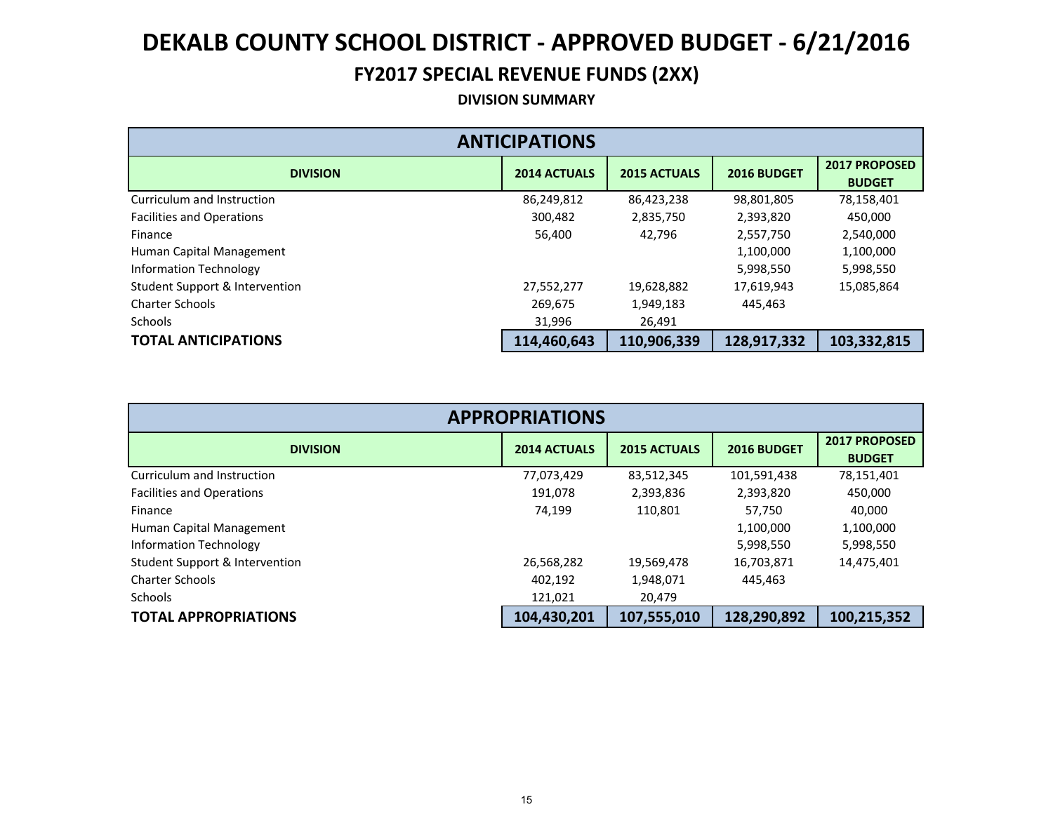### **FY2017 SPECIAL REVENUE FUNDS (2XX)**

#### **DIVISION SUMMARY**

| <b>ANTICIPATIONS</b>                      |                     |                     |             |                                       |  |  |  |  |
|-------------------------------------------|---------------------|---------------------|-------------|---------------------------------------|--|--|--|--|
| <b>DIVISION</b>                           | <b>2014 ACTUALS</b> | <b>2015 ACTUALS</b> | 2016 BUDGET | <b>2017 PROPOSED</b><br><b>BUDGET</b> |  |  |  |  |
| Curriculum and Instruction                | 86,249,812          | 86,423,238          | 98,801,805  | 78,158,401                            |  |  |  |  |
| <b>Facilities and Operations</b>          | 300,482             | 2,835,750           | 2,393,820   | 450,000                               |  |  |  |  |
| Finance                                   | 56,400              | 42.796              | 2,557,750   | 2,540,000                             |  |  |  |  |
| Human Capital Management                  |                     |                     | 1,100,000   | 1,100,000                             |  |  |  |  |
| Information Technology                    |                     |                     | 5,998,550   | 5,998,550                             |  |  |  |  |
| <b>Student Support &amp; Intervention</b> | 27,552,277          | 19,628,882          | 17,619,943  | 15,085,864                            |  |  |  |  |
| <b>Charter Schools</b>                    | 269,675             | 1,949,183           | 445,463     |                                       |  |  |  |  |
| <b>Schools</b>                            | 31,996              | 26,491              |             |                                       |  |  |  |  |
| <b>TOTAL ANTICIPATIONS</b>                | 114,460,643         | 110,906,339         | 128,917,332 | 103,332,815                           |  |  |  |  |

| <b>APPROPRIATIONS</b>                     |                     |                     |             |                                       |  |  |  |  |
|-------------------------------------------|---------------------|---------------------|-------------|---------------------------------------|--|--|--|--|
| <b>DIVISION</b>                           | <b>2014 ACTUALS</b> | <b>2015 ACTUALS</b> | 2016 BUDGET | <b>2017 PROPOSED</b><br><b>BUDGET</b> |  |  |  |  |
| Curriculum and Instruction                | 77,073,429          | 83,512,345          | 101,591,438 | 78,151,401                            |  |  |  |  |
| <b>Facilities and Operations</b>          | 191,078             | 2,393,836           | 2,393,820   | 450,000                               |  |  |  |  |
| Finance                                   | 74,199              | 110,801             | 57,750      | 40,000                                |  |  |  |  |
| Human Capital Management                  |                     |                     | 1,100,000   | 1,100,000                             |  |  |  |  |
| <b>Information Technology</b>             |                     |                     | 5,998,550   | 5,998,550                             |  |  |  |  |
| <b>Student Support &amp; Intervention</b> | 26,568,282          | 19,569,478          | 16,703,871  | 14,475,401                            |  |  |  |  |
| <b>Charter Schools</b>                    | 402,192             | 1,948,071           | 445,463     |                                       |  |  |  |  |
| <b>Schools</b>                            | 121,021             | 20,479              |             |                                       |  |  |  |  |
| <b>TOTAL APPROPRIATIONS</b>               | 104,430,201         | 107,555,010         | 128,290,892 | 100,215,352                           |  |  |  |  |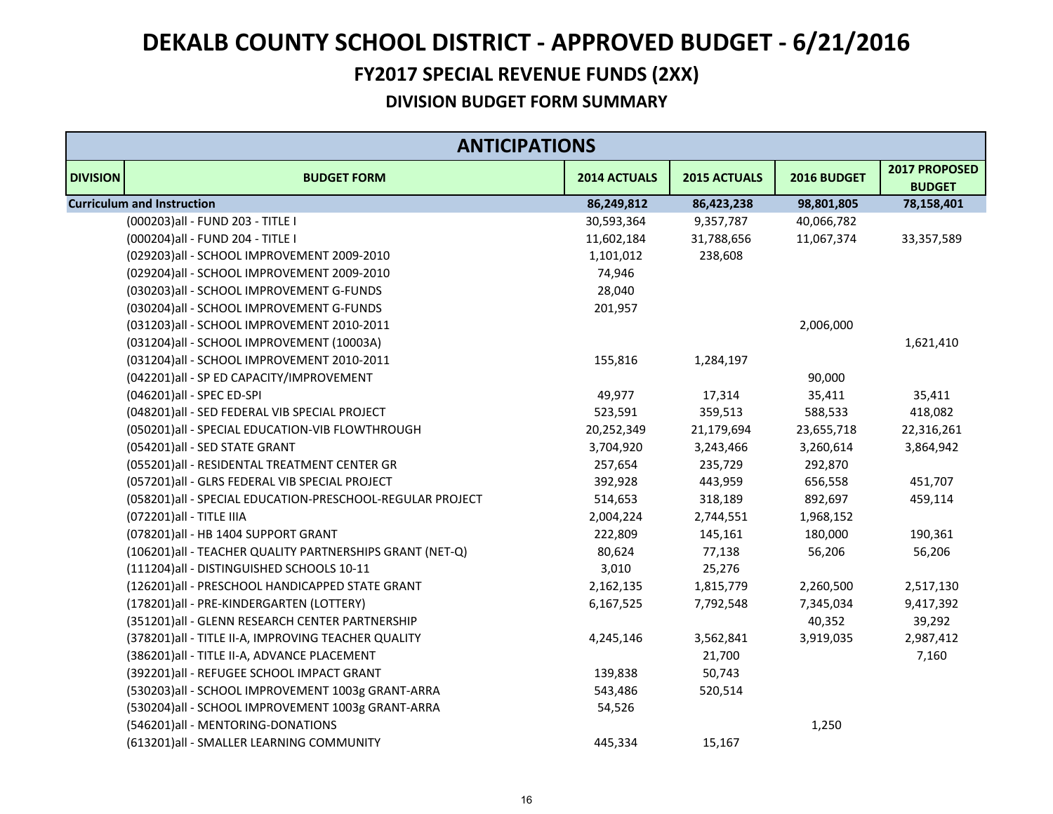### **FY2017 SPECIAL REVENUE FUNDS (2XX)**

| <b>ANTICIPATIONS</b>              |                                                           |              |              |             |                                |  |
|-----------------------------------|-----------------------------------------------------------|--------------|--------------|-------------|--------------------------------|--|
| <b>DIVISION</b>                   | <b>BUDGET FORM</b>                                        | 2014 ACTUALS | 2015 ACTUALS | 2016 BUDGET | 2017 PROPOSED<br><b>BUDGET</b> |  |
| <b>Curriculum and Instruction</b> |                                                           | 86,249,812   | 86,423,238   | 98,801,805  | 78,158,401                     |  |
|                                   | (000203) all - FUND 203 - TITLE I                         | 30,593,364   | 9,357,787    | 40,066,782  |                                |  |
|                                   | (000204) all - FUND 204 - TITLE I                         | 11,602,184   | 31,788,656   | 11,067,374  | 33,357,589                     |  |
|                                   | (029203)all - SCHOOL IMPROVEMENT 2009-2010                | 1,101,012    | 238,608      |             |                                |  |
|                                   | (029204)all - SCHOOL IMPROVEMENT 2009-2010                | 74,946       |              |             |                                |  |
|                                   | (030203)all - SCHOOL IMPROVEMENT G-FUNDS                  | 28,040       |              |             |                                |  |
|                                   | (030204) all - SCHOOL IMPROVEMENT G-FUNDS                 | 201,957      |              |             |                                |  |
|                                   | (031203)all - SCHOOL IMPROVEMENT 2010-2011                |              |              | 2,006,000   |                                |  |
|                                   | (031204)all - SCHOOL IMPROVEMENT (10003A)                 |              |              |             | 1,621,410                      |  |
|                                   | (031204)all - SCHOOL IMPROVEMENT 2010-2011                | 155,816      | 1,284,197    |             |                                |  |
|                                   | (042201)all - SP ED CAPACITY/IMPROVEMENT                  |              |              | 90,000      |                                |  |
|                                   | (046201)all - SPEC ED-SPI                                 | 49,977       | 17,314       | 35,411      | 35,411                         |  |
|                                   | (048201)all - SED FEDERAL VIB SPECIAL PROJECT             | 523,591      | 359,513      | 588,533     | 418,082                        |  |
|                                   | (050201)all - SPECIAL EDUCATION-VIB FLOWTHROUGH           | 20,252,349   | 21,179,694   | 23,655,718  | 22,316,261                     |  |
|                                   | (054201)all - SED STATE GRANT                             | 3,704,920    | 3,243,466    | 3,260,614   | 3,864,942                      |  |
|                                   | (055201)all - RESIDENTAL TREATMENT CENTER GR              | 257,654      | 235,729      | 292,870     |                                |  |
|                                   | (057201)all - GLRS FEDERAL VIB SPECIAL PROJECT            | 392,928      | 443,959      | 656,558     | 451,707                        |  |
|                                   | (058201)all - SPECIAL EDUCATION-PRESCHOOL-REGULAR PROJECT | 514,653      | 318,189      | 892,697     | 459,114                        |  |
|                                   | (072201) all - TITLE IIIA                                 | 2,004,224    | 2,744,551    | 1,968,152   |                                |  |
|                                   | (078201)all - HB 1404 SUPPORT GRANT                       | 222,809      | 145,161      | 180,000     | 190,361                        |  |
|                                   | (106201) all - TEACHER QUALITY PARTNERSHIPS GRANT (NET-Q) | 80,624       | 77,138       | 56,206      | 56,206                         |  |
|                                   | (111204)all - DISTINGUISHED SCHOOLS 10-11                 | 3,010        | 25,276       |             |                                |  |
|                                   | (126201)all - PRESCHOOL HANDICAPPED STATE GRANT           | 2,162,135    | 1,815,779    | 2,260,500   | 2,517,130                      |  |
|                                   | (178201)all - PRE-KINDERGARTEN (LOTTERY)                  | 6,167,525    | 7,792,548    | 7,345,034   | 9,417,392                      |  |
|                                   | (351201)all - GLENN RESEARCH CENTER PARTNERSHIP           |              |              | 40,352      | 39,292                         |  |
|                                   | (378201) all - TITLE II-A, IMPROVING TEACHER QUALITY      | 4,245,146    | 3,562,841    | 3,919,035   | 2,987,412                      |  |
|                                   | (386201) all - TITLE II-A, ADVANCE PLACEMENT              |              | 21,700       |             | 7,160                          |  |
|                                   | (392201)all - REFUGEE SCHOOL IMPACT GRANT                 | 139,838      | 50,743       |             |                                |  |
|                                   | (530203)all - SCHOOL IMPROVEMENT 1003g GRANT-ARRA         | 543,486      | 520,514      |             |                                |  |
|                                   | (530204)all - SCHOOL IMPROVEMENT 1003g GRANT-ARRA         | 54,526       |              |             |                                |  |
|                                   | (546201)all - MENTORING-DONATIONS                         |              |              | 1,250       |                                |  |
|                                   | (613201)all - SMALLER LEARNING COMMUNITY                  | 445,334      | 15,167       |             |                                |  |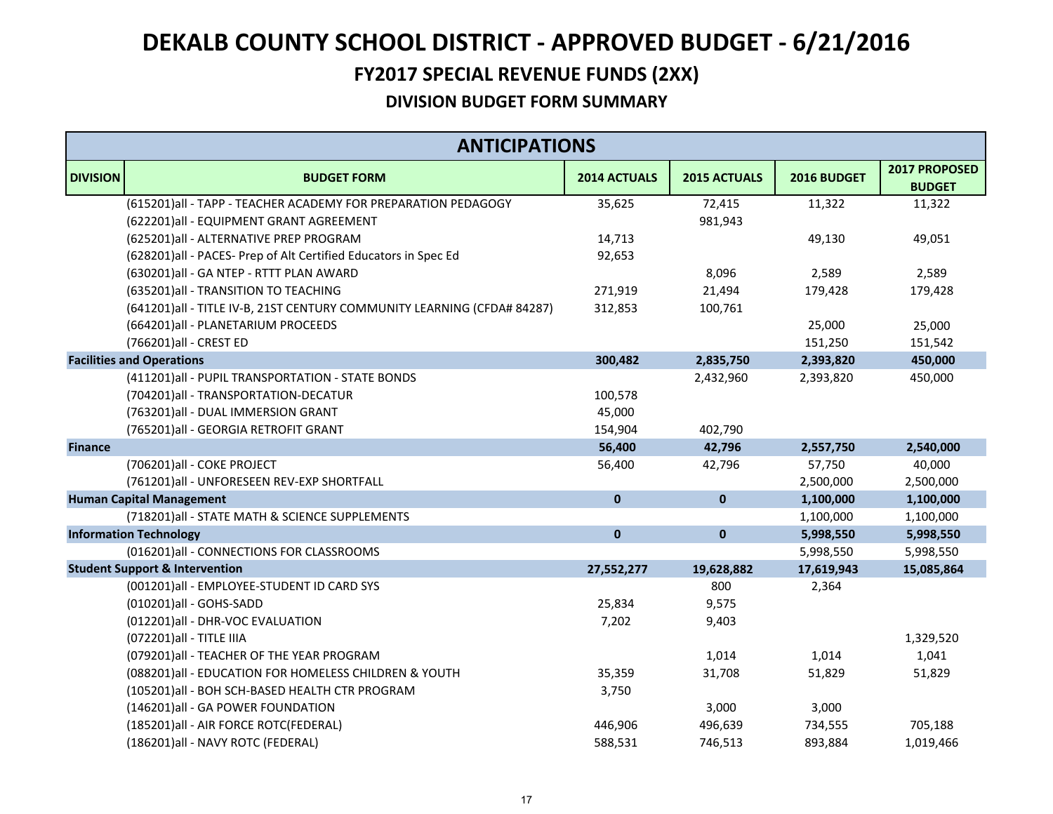### **FY2017 SPECIAL REVENUE FUNDS (2XX)**

|                 | <b>ANTICIPATIONS</b>                                                    |              |              |             |                                |  |  |
|-----------------|-------------------------------------------------------------------------|--------------|--------------|-------------|--------------------------------|--|--|
| <b>DIVISION</b> | <b>BUDGET FORM</b>                                                      | 2014 ACTUALS | 2015 ACTUALS | 2016 BUDGET | 2017 PROPOSED<br><b>BUDGET</b> |  |  |
|                 | (615201) all - TAPP - TEACHER ACADEMY FOR PREPARATION PEDAGOGY          | 35,625       | 72,415       | 11,322      | 11,322                         |  |  |
|                 | (622201)all - EQUIPMENT GRANT AGREEMENT                                 |              | 981,943      |             |                                |  |  |
|                 | (625201)all - ALTERNATIVE PREP PROGRAM                                  | 14,713       |              | 49,130      | 49,051                         |  |  |
|                 | (628201)all - PACES- Prep of Alt Certified Educators in Spec Ed         | 92,653       |              |             |                                |  |  |
|                 | (630201)all - GA NTEP - RTTT PLAN AWARD                                 |              | 8,096        | 2,589       | 2,589                          |  |  |
|                 | (635201)all - TRANSITION TO TEACHING                                    | 271,919      | 21,494       | 179,428     | 179,428                        |  |  |
|                 | (641201)all - TITLE IV-B, 21ST CENTURY COMMUNITY LEARNING (CFDA# 84287) | 312,853      | 100,761      |             |                                |  |  |
|                 | (664201)all - PLANETARIUM PROCEEDS                                      |              |              | 25,000      | 25,000                         |  |  |
|                 | (766201)all - CREST ED                                                  |              |              | 151,250     | 151,542                        |  |  |
|                 | <b>Facilities and Operations</b>                                        | 300,482      | 2,835,750    | 2,393,820   | 450,000                        |  |  |
|                 | (411201)all - PUPIL TRANSPORTATION - STATE BONDS                        |              | 2,432,960    | 2,393,820   | 450,000                        |  |  |
|                 | (704201)all - TRANSPORTATION-DECATUR                                    | 100,578      |              |             |                                |  |  |
|                 | (763201)all - DUAL IMMERSION GRANT                                      | 45,000       |              |             |                                |  |  |
|                 | (765201)all - GEORGIA RETROFIT GRANT                                    | 154,904      | 402,790      |             |                                |  |  |
| <b>Finance</b>  |                                                                         | 56,400       | 42,796       | 2,557,750   | 2,540,000                      |  |  |
|                 | (706201)all - COKE PROJECT                                              | 56,400       | 42,796       | 57,750      | 40,000                         |  |  |
|                 | (761201)all - UNFORESEEN REV-EXP SHORTFALL                              |              |              | 2,500,000   | 2,500,000                      |  |  |
|                 | <b>Human Capital Management</b>                                         | $\mathbf 0$  | $\pmb{0}$    | 1,100,000   | 1,100,000                      |  |  |
|                 | (718201) all - STATE MATH & SCIENCE SUPPLEMENTS                         |              |              | 1,100,000   | 1,100,000                      |  |  |
|                 | <b>Information Technology</b>                                           | $\mathbf{0}$ | $\mathbf 0$  | 5,998,550   | 5,998,550                      |  |  |
|                 | (016201)all - CONNECTIONS FOR CLASSROOMS                                |              |              | 5,998,550   | 5,998,550                      |  |  |
|                 | <b>Student Support &amp; Intervention</b>                               | 27,552,277   | 19,628,882   | 17,619,943  | 15,085,864                     |  |  |
|                 | (001201)all - EMPLOYEE-STUDENT ID CARD SYS                              |              | 800          | 2,364       |                                |  |  |
|                 | (010201)all - GOHS-SADD                                                 | 25,834       | 9,575        |             |                                |  |  |
|                 | (012201)all - DHR-VOC EVALUATION                                        | 7,202        | 9,403        |             |                                |  |  |
|                 | (072201) all - TITLE IIIA                                               |              |              |             | 1,329,520                      |  |  |
|                 | (079201) all - TEACHER OF THE YEAR PROGRAM                              |              | 1,014        | 1,014       | 1,041                          |  |  |
|                 | (088201)all - EDUCATION FOR HOMELESS CHILDREN & YOUTH                   | 35,359       | 31,708       | 51,829      | 51,829                         |  |  |
|                 | (105201)all - BOH SCH-BASED HEALTH CTR PROGRAM                          | 3,750        |              |             |                                |  |  |
|                 | (146201)all - GA POWER FOUNDATION                                       |              | 3,000        | 3,000       |                                |  |  |
|                 | (185201) all - AIR FORCE ROTC(FEDERAL)                                  | 446,906      | 496,639      | 734,555     | 705,188                        |  |  |
|                 | (186201)all - NAVY ROTC (FEDERAL)                                       | 588,531      | 746,513      | 893,884     | 1,019,466                      |  |  |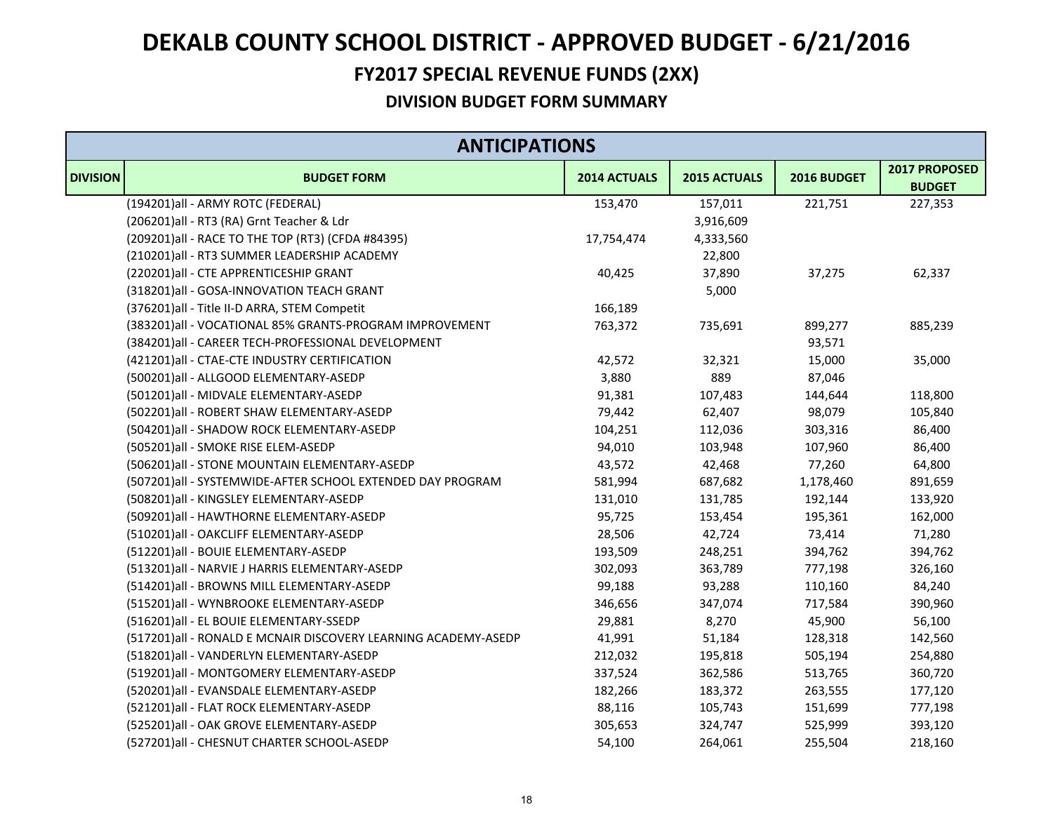### **FY2017 SPECIAL REVENUE FUNDS (2XX)**

| <b>ANTICIPATIONS</b> |                                                                |              |              |             |                                |
|----------------------|----------------------------------------------------------------|--------------|--------------|-------------|--------------------------------|
| <b>DIVISION</b>      | <b>BUDGET FORM</b>                                             | 2014 ACTUALS | 2015 ACTUALS | 2016 BUDGET | 2017 PROPOSED<br><b>BUDGET</b> |
|                      | (194201)all - ARMY ROTC (FEDERAL)                              | 153,470      | 157,011      | 221,751     | 227,353                        |
|                      | (206201)all - RT3 (RA) Grnt Teacher & Ldr                      |              | 3,916,609    |             |                                |
|                      | (209201) all - RACE TO THE TOP (RT3) (CFDA #84395)             | 17,754,474   | 4,333,560    |             |                                |
|                      | (210201)all - RT3 SUMMER LEADERSHIP ACADEMY                    |              | 22,800       |             |                                |
|                      | (220201)all - CTE APPRENTICESHIP GRANT                         | 40,425       | 37,890       | 37,275      | 62,337                         |
|                      | (318201)all - GOSA-INNOVATION TEACH GRANT                      |              | 5,000        |             |                                |
|                      | (376201)all - Title II-D ARRA, STEM Competit                   | 166,189      |              |             |                                |
|                      | (383201) all - VOCATIONAL 85% GRANTS-PROGRAM IMPROVEMENT       | 763,372      | 735,691      | 899,277     | 885,239                        |
|                      | (384201)all - CAREER TECH-PROFESSIONAL DEVELOPMENT             |              |              | 93,571      |                                |
|                      | (421201) all - CTAE-CTE INDUSTRY CERTIFICATION                 | 42,572       | 32,321       | 15,000      | 35,000                         |
|                      | (500201)all - ALLGOOD ELEMENTARY-ASEDP                         | 3,880        | 889          | 87,046      |                                |
|                      | (501201)all - MIDVALE ELEMENTARY-ASEDP                         | 91,381       | 107,483      | 144,644     | 118,800                        |
|                      | (502201)all - ROBERT SHAW ELEMENTARY-ASEDP                     | 79,442       | 62,407       | 98,079      | 105,840                        |
|                      | (504201)all - SHADOW ROCK ELEMENTARY-ASEDP                     | 104,251      | 112,036      | 303,316     | 86,400                         |
|                      | (505201)all - SMOKE RISE ELEM-ASEDP                            | 94,010       | 103,948      | 107,960     | 86,400                         |
|                      | (506201)all - STONE MOUNTAIN ELEMENTARY-ASEDP                  | 43,572       | 42,468       | 77,260      | 64,800                         |
|                      | (507201)all - SYSTEMWIDE-AFTER SCHOOL EXTENDED DAY PROGRAM     | 581,994      | 687,682      | 1,178,460   | 891,659                        |
|                      | (508201)all - KINGSLEY ELEMENTARY-ASEDP                        | 131,010      | 131,785      | 192,144     | 133,920                        |
|                      | (509201)all - HAWTHORNE ELEMENTARY-ASEDP                       | 95,725       | 153,454      | 195,361     | 162,000                        |
|                      | (510201)all - OAKCLIFF ELEMENTARY-ASEDP                        | 28,506       | 42,724       | 73,414      | 71,280                         |
|                      | (512201)all - BOUIE ELEMENTARY-ASEDP                           | 193,509      | 248,251      | 394,762     | 394,762                        |
|                      | (513201)all - NARVIE J HARRIS ELEMENTARY-ASEDP                 | 302,093      | 363,789      | 777,198     | 326,160                        |
|                      | (514201)all - BROWNS MILL ELEMENTARY-ASEDP                     | 99,188       | 93,288       | 110,160     | 84,240                         |
|                      | (515201)all - WYNBROOKE ELEMENTARY-ASEDP                       | 346,656      | 347,074      | 717,584     | 390,960                        |
|                      | (516201)all - EL BOUIE ELEMENTARY-SSEDP                        | 29,881       | 8,270        | 45,900      | 56,100                         |
|                      | (517201)all - RONALD E MCNAIR DISCOVERY LEARNING ACADEMY-ASEDP | 41,991       | 51,184       | 128,318     | 142,560                        |
|                      | (518201)all - VANDERLYN ELEMENTARY-ASEDP                       | 212,032      | 195,818      | 505,194     | 254,880                        |
|                      | (519201)all - MONTGOMERY ELEMENTARY-ASEDP                      | 337,524      | 362,586      | 513,765     | 360,720                        |
|                      | (520201)all - EVANSDALE ELEMENTARY-ASEDP                       | 182,266      | 183,372      | 263,555     | 177,120                        |
|                      | (521201)all - FLAT ROCK ELEMENTARY-ASEDP                       | 88,116       | 105,743      | 151,699     | 777,198                        |
|                      | (525201)all - OAK GROVE ELEMENTARY-ASEDP                       | 305,653      | 324,747      | 525,999     | 393,120                        |
|                      | (527201) all - CHESNUT CHARTER SCHOOL-ASEDP                    | 54,100       | 264,061      | 255,504     | 218,160                        |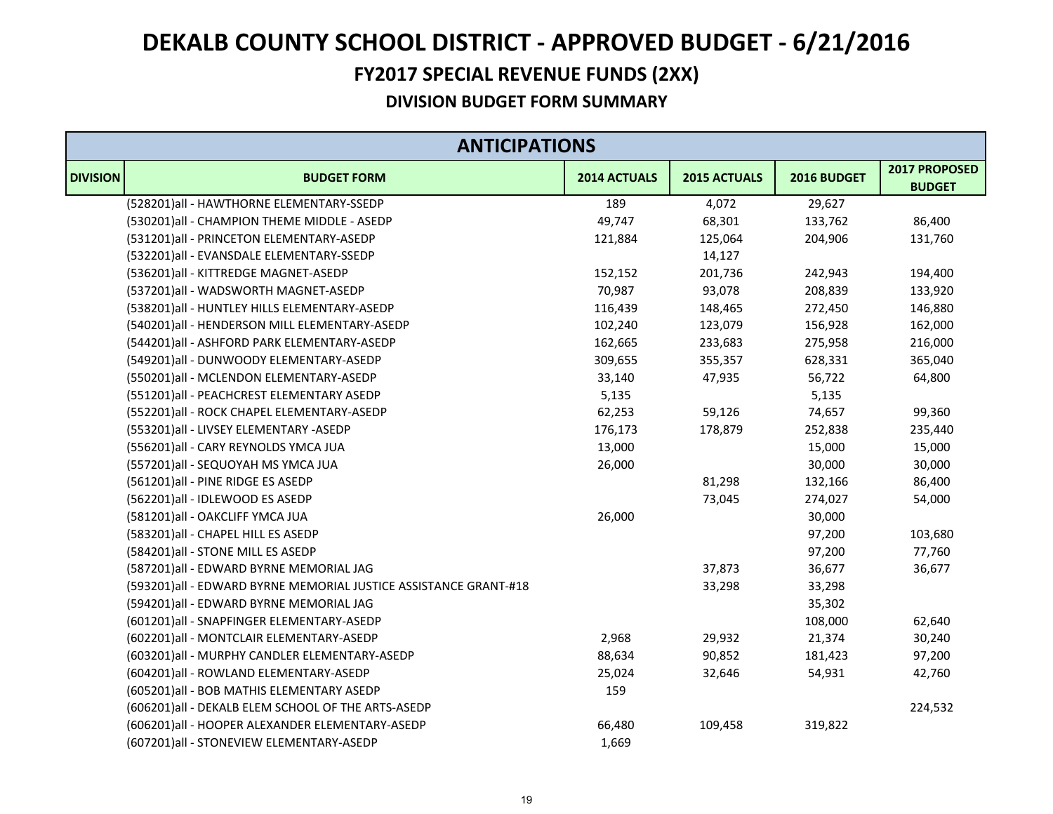### **FY2017 SPECIAL REVENUE FUNDS (2XX)**

| <b>ANTICIPATIONS</b> |                                                                  |              |              |             |                                |  |
|----------------------|------------------------------------------------------------------|--------------|--------------|-------------|--------------------------------|--|
| <b>DIVISION</b>      | <b>BUDGET FORM</b>                                               | 2014 ACTUALS | 2015 ACTUALS | 2016 BUDGET | 2017 PROPOSED<br><b>BUDGET</b> |  |
|                      | (528201)all - HAWTHORNE ELEMENTARY-SSEDP                         | 189          | 4,072        | 29,627      |                                |  |
|                      | (530201)all - CHAMPION THEME MIDDLE - ASEDP                      | 49,747       | 68,301       | 133,762     | 86,400                         |  |
|                      | (531201)all - PRINCETON ELEMENTARY-ASEDP                         | 121,884      | 125,064      | 204,906     | 131,760                        |  |
|                      | (532201)all - EVANSDALE ELEMENTARY-SSEDP                         |              | 14,127       |             |                                |  |
|                      | (536201)all - KITTREDGE MAGNET-ASEDP                             | 152,152      | 201,736      | 242,943     | 194,400                        |  |
|                      | (537201)all - WADSWORTH MAGNET-ASEDP                             | 70,987       | 93,078       | 208,839     | 133,920                        |  |
|                      | (538201)all - HUNTLEY HILLS ELEMENTARY-ASEDP                     | 116,439      | 148,465      | 272,450     | 146,880                        |  |
|                      | (540201)all - HENDERSON MILL ELEMENTARY-ASEDP                    | 102,240      | 123,079      | 156,928     | 162,000                        |  |
|                      | (544201)all - ASHFORD PARK ELEMENTARY-ASEDP                      | 162,665      | 233,683      | 275,958     | 216,000                        |  |
|                      | (549201)all - DUNWOODY ELEMENTARY-ASEDP                          | 309,655      | 355,357      | 628,331     | 365,040                        |  |
|                      | (550201)all - MCLENDON ELEMENTARY-ASEDP                          | 33,140       | 47,935       | 56,722      | 64,800                         |  |
|                      | (551201)all - PEACHCREST ELEMENTARY ASEDP                        | 5,135        |              | 5,135       |                                |  |
|                      | (552201)all - ROCK CHAPEL ELEMENTARY-ASEDP                       | 62,253       | 59,126       | 74,657      | 99,360                         |  |
|                      | (553201)all - LIVSEY ELEMENTARY -ASEDP                           | 176,173      | 178,879      | 252,838     | 235,440                        |  |
|                      | (556201)all - CARY REYNOLDS YMCA JUA                             | 13,000       |              | 15,000      | 15,000                         |  |
|                      | (557201)all - SEQUOYAH MS YMCA JUA                               | 26,000       |              | 30,000      | 30,000                         |  |
|                      | (561201)all - PINE RIDGE ES ASEDP                                |              | 81,298       | 132,166     | 86,400                         |  |
|                      | (562201)all - IDLEWOOD ES ASEDP                                  |              | 73,045       | 274,027     | 54,000                         |  |
|                      | (581201)all - OAKCLIFF YMCA JUA                                  | 26,000       |              | 30,000      |                                |  |
|                      | (583201)all - CHAPEL HILL ES ASEDP                               |              |              | 97,200      | 103,680                        |  |
|                      | (584201)all - STONE MILL ES ASEDP                                |              |              | 97,200      | 77,760                         |  |
|                      | (587201)all - EDWARD BYRNE MEMORIAL JAG                          |              | 37,873       | 36,677      | 36,677                         |  |
|                      | (593201)all - EDWARD BYRNE MEMORIAL JUSTICE ASSISTANCE GRANT-#18 |              | 33,298       | 33,298      |                                |  |
|                      | (594201)all - EDWARD BYRNE MEMORIAL JAG                          |              |              | 35,302      |                                |  |
|                      | (601201)all - SNAPFINGER ELEMENTARY-ASEDP                        |              |              | 108,000     | 62,640                         |  |
|                      | (602201)all - MONTCLAIR ELEMENTARY-ASEDP                         | 2,968        | 29,932       | 21,374      | 30,240                         |  |
|                      | (603201)all - MURPHY CANDLER ELEMENTARY-ASEDP                    | 88,634       | 90,852       | 181,423     | 97,200                         |  |
|                      | (604201)all - ROWLAND ELEMENTARY-ASEDP                           | 25,024       | 32,646       | 54,931      | 42,760                         |  |
|                      | (605201) all - BOB MATHIS ELEMENTARY ASEDP                       | 159          |              |             |                                |  |
|                      | (606201)all - DEKALB ELEM SCHOOL OF THE ARTS-ASEDP               |              |              |             | 224,532                        |  |
|                      | (606201)all - HOOPER ALEXANDER ELEMENTARY-ASEDP                  | 66,480       | 109,458      | 319,822     |                                |  |
|                      | (607201)all - STONEVIEW ELEMENTARY-ASEDP                         | 1,669        |              |             |                                |  |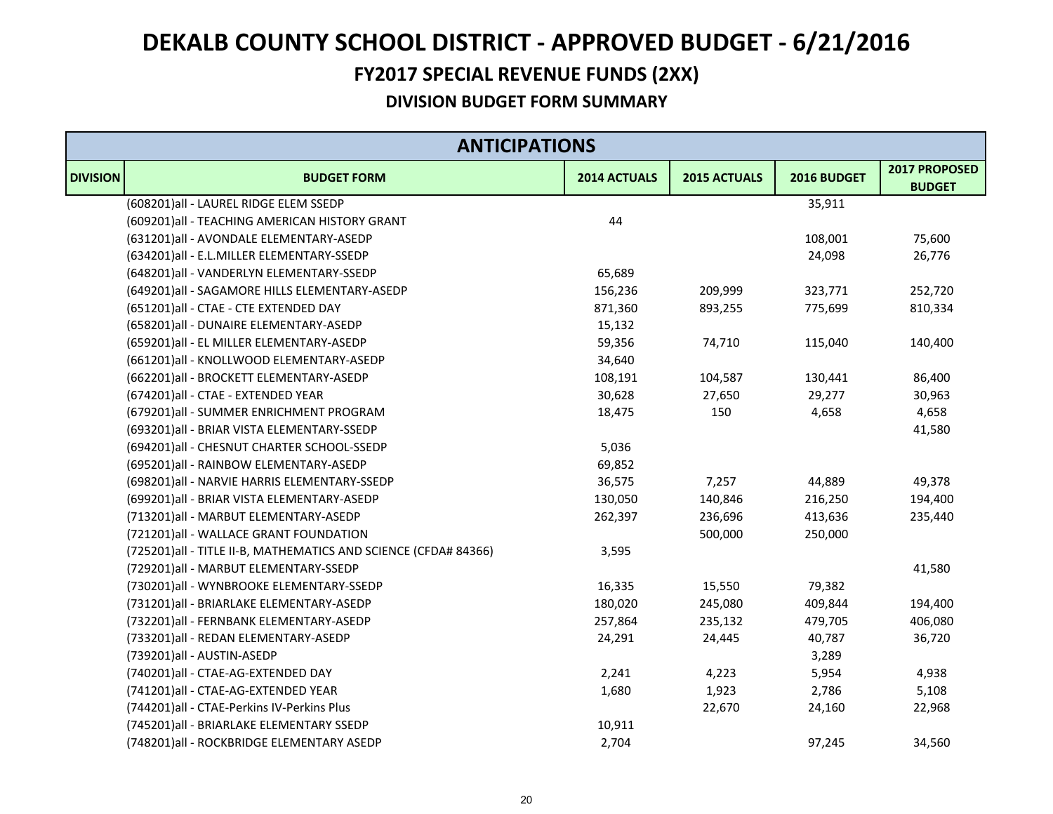### **FY2017 SPECIAL REVENUE FUNDS (2XX)**

| <b>ANTICIPATIONS</b> |                                                                  |              |              |             |                                |  |
|----------------------|------------------------------------------------------------------|--------------|--------------|-------------|--------------------------------|--|
| <b>DIVISION</b>      | <b>BUDGET FORM</b>                                               | 2014 ACTUALS | 2015 ACTUALS | 2016 BUDGET | 2017 PROPOSED<br><b>BUDGET</b> |  |
|                      | (608201)all - LAUREL RIDGE ELEM SSEDP                            |              |              | 35,911      |                                |  |
|                      | (609201)all - TEACHING AMERICAN HISTORY GRANT                    | 44           |              |             |                                |  |
|                      | (631201)all - AVONDALE ELEMENTARY-ASEDP                          |              |              | 108,001     | 75,600                         |  |
|                      | (634201)all - E.L.MILLER ELEMENTARY-SSEDP                        |              |              | 24,098      | 26,776                         |  |
|                      | (648201)all - VANDERLYN ELEMENTARY-SSEDP                         | 65,689       |              |             |                                |  |
|                      | (649201)all - SAGAMORE HILLS ELEMENTARY-ASEDP                    | 156,236      | 209,999      | 323,771     | 252,720                        |  |
|                      | (651201)all - CTAE - CTE EXTENDED DAY                            | 871,360      | 893,255      | 775,699     | 810,334                        |  |
|                      | (658201)all - DUNAIRE ELEMENTARY-ASEDP                           | 15,132       |              |             |                                |  |
|                      | (659201)all - EL MILLER ELEMENTARY-ASEDP                         | 59,356       | 74,710       | 115,040     | 140,400                        |  |
|                      | (661201)all - KNOLLWOOD ELEMENTARY-ASEDP                         | 34,640       |              |             |                                |  |
|                      | (662201)all - BROCKETT ELEMENTARY-ASEDP                          | 108,191      | 104,587      | 130,441     | 86,400                         |  |
|                      | (674201)all - CTAE - EXTENDED YEAR                               | 30,628       | 27,650       | 29,277      | 30,963                         |  |
|                      | (679201) all - SUMMER ENRICHMENT PROGRAM                         | 18,475       | 150          | 4,658       | 4,658                          |  |
|                      | (693201) all - BRIAR VISTA ELEMENTARY-SSEDP                      |              |              |             | 41,580                         |  |
|                      | (694201) all - CHESNUT CHARTER SCHOOL-SSEDP                      | 5,036        |              |             |                                |  |
|                      | (695201)all - RAINBOW ELEMENTARY-ASEDP                           | 69,852       |              |             |                                |  |
|                      | (698201) all - NARVIE HARRIS ELEMENTARY-SSEDP                    | 36,575       | 7,257        | 44,889      | 49,378                         |  |
|                      | (699201)all - BRIAR VISTA ELEMENTARY-ASEDP                       | 130,050      | 140,846      | 216,250     | 194,400                        |  |
|                      | (713201)all - MARBUT ELEMENTARY-ASEDP                            | 262,397      | 236,696      | 413,636     | 235,440                        |  |
|                      | (721201)all - WALLACE GRANT FOUNDATION                           |              | 500,000      | 250,000     |                                |  |
|                      | (725201) all - TITLE II-B, MATHEMATICS AND SCIENCE (CFDA# 84366) | 3,595        |              |             |                                |  |
|                      | (729201)all - MARBUT ELEMENTARY-SSEDP                            |              |              |             | 41,580                         |  |
|                      | (730201)all - WYNBROOKE ELEMENTARY-SSEDP                         | 16,335       | 15,550       | 79,382      |                                |  |
|                      | (731201)all - BRIARLAKE ELEMENTARY-ASEDP                         | 180,020      | 245,080      | 409,844     | 194,400                        |  |
|                      | (732201)all - FERNBANK ELEMENTARY-ASEDP                          | 257,864      | 235,132      | 479,705     | 406,080                        |  |
|                      | (733201)all - REDAN ELEMENTARY-ASEDP                             | 24,291       | 24,445       | 40,787      | 36,720                         |  |
|                      | (739201)all - AUSTIN-ASEDP                                       |              |              | 3,289       |                                |  |
|                      | (740201)all - CTAE-AG-EXTENDED DAY                               | 2,241        | 4,223        | 5,954       | 4,938                          |  |
|                      | (741201)all - CTAE-AG-EXTENDED YEAR                              | 1,680        | 1,923        | 2,786       | 5,108                          |  |
|                      | (744201)all - CTAE-Perkins IV-Perkins Plus                       |              | 22,670       | 24,160      | 22,968                         |  |
|                      | (745201) all - BRIARLAKE ELEMENTARY SSEDP                        | 10,911       |              |             |                                |  |
|                      | (748201)all - ROCKBRIDGE ELEMENTARY ASEDP                        | 2,704        |              | 97,245      | 34,560                         |  |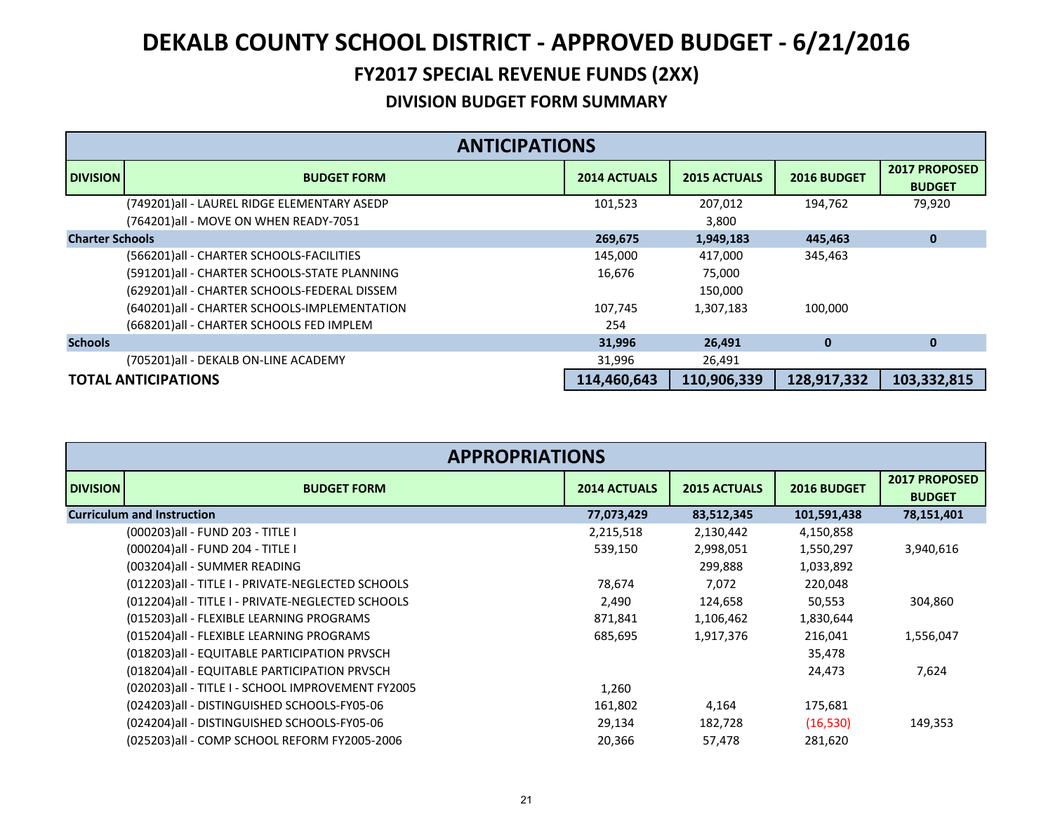### **FY2017 SPECIAL REVENUE FUNDS (2XX)**

|                        | <b>ANTICIPATIONS</b>                                                                 |                     |                     |             |                                       |  |  |
|------------------------|--------------------------------------------------------------------------------------|---------------------|---------------------|-------------|---------------------------------------|--|--|
| <b>DIVISION</b>        | <b>BUDGET FORM</b>                                                                   | <b>2014 ACTUALS</b> | <b>2015 ACTUALS</b> | 2016 BUDGET | <b>2017 PROPOSED</b><br><b>BUDGET</b> |  |  |
|                        | (749201)all - LAUREL RIDGE ELEMENTARY ASEDP<br>(764201)all - MOVE ON WHEN READY-7051 | 101,523             | 207,012<br>3,800    | 194,762     | 79,920                                |  |  |
| <b>Charter Schools</b> |                                                                                      | 269,675             | 1,949,183           | 445,463     | $\bf{0}$                              |  |  |
|                        | (566201) all - CHARTER SCHOOLS-FACILITIES                                            | 145,000             | 417,000             | 345,463     |                                       |  |  |
|                        | (591201)all - CHARTER SCHOOLS-STATE PLANNING                                         | 16.676              | 75,000              |             |                                       |  |  |
|                        | (629201)all - CHARTER SCHOOLS-FEDERAL DISSEM                                         |                     | 150,000             |             |                                       |  |  |
|                        | (640201) all - CHARTER SCHOOLS-IMPLEMENTATION                                        | 107.745             | 1,307,183           | 100,000     |                                       |  |  |
|                        | (668201) all - CHARTER SCHOOLS FED IMPLEM                                            | 254                 |                     |             |                                       |  |  |
| <b>Schools</b>         |                                                                                      | 31,996              | 26,491              | $\bf{0}$    | $\mathbf{0}$                          |  |  |
|                        | (705201)all - DEKALB ON-LINE ACADEMY                                                 | 31,996              | 26,491              |             |                                       |  |  |
|                        | <b>TOTAL ANTICIPATIONS</b>                                                           | 114,460,643         | 110,906,339         | 128,917,332 | 103,332,815                           |  |  |

| <b>APPROPRIATIONS</b> |                                                    |                     |                     |             |                                       |  |
|-----------------------|----------------------------------------------------|---------------------|---------------------|-------------|---------------------------------------|--|
| <b>DIVISION</b>       | <b>BUDGET FORM</b>                                 | <b>2014 ACTUALS</b> | <b>2015 ACTUALS</b> | 2016 BUDGET | <b>2017 PROPOSED</b><br><b>BUDGET</b> |  |
|                       | <b>Curriculum and Instruction</b>                  | 77,073,429          | 83,512,345          | 101,591,438 | 78,151,401                            |  |
|                       | (000203)all - FUND 203 - TITLE I                   | 2,215,518           | 2,130,442           | 4,150,858   |                                       |  |
|                       | (000204)all - FUND 204 - TITLE I                   | 539,150             | 2,998,051           | 1,550,297   | 3,940,616                             |  |
|                       | (003204)all - SUMMER READING                       |                     | 299,888             | 1,033,892   |                                       |  |
|                       | (012203)all - TITLE I - PRIVATE-NEGLECTED SCHOOLS  | 78,674              | 7,072               | 220,048     |                                       |  |
|                       | (012204) all - TITLE I - PRIVATE-NEGLECTED SCHOOLS | 2,490               | 124,658             | 50,553      | 304,860                               |  |
|                       | (015203) all - FLEXIBLE LEARNING PROGRAMS          | 871,841             | 1,106,462           | 1,830,644   |                                       |  |
|                       | (015204)all - FLEXIBLE LEARNING PROGRAMS           | 685,695             | 1,917,376           | 216,041     | 1,556,047                             |  |
|                       | (018203) all - EQUITABLE PARTICIPATION PRVSCH      |                     |                     | 35,478      |                                       |  |
|                       | (018204) all - EQUITABLE PARTICIPATION PRVSCH      |                     |                     | 24,473      | 7,624                                 |  |
|                       | (020203)all - TITLE I - SCHOOL IMPROVEMENT FY2005  | 1,260               |                     |             |                                       |  |
|                       | (024203)all - DISTINGUISHED SCHOOLS-FY05-06        | 161,802             | 4,164               | 175,681     |                                       |  |
|                       | (024204)all - DISTINGUISHED SCHOOLS-FY05-06        | 29,134              | 182,728             | (16, 530)   | 149,353                               |  |
|                       | (025203)all - COMP SCHOOL REFORM FY2005-2006       | 20,366              | 57,478              | 281,620     |                                       |  |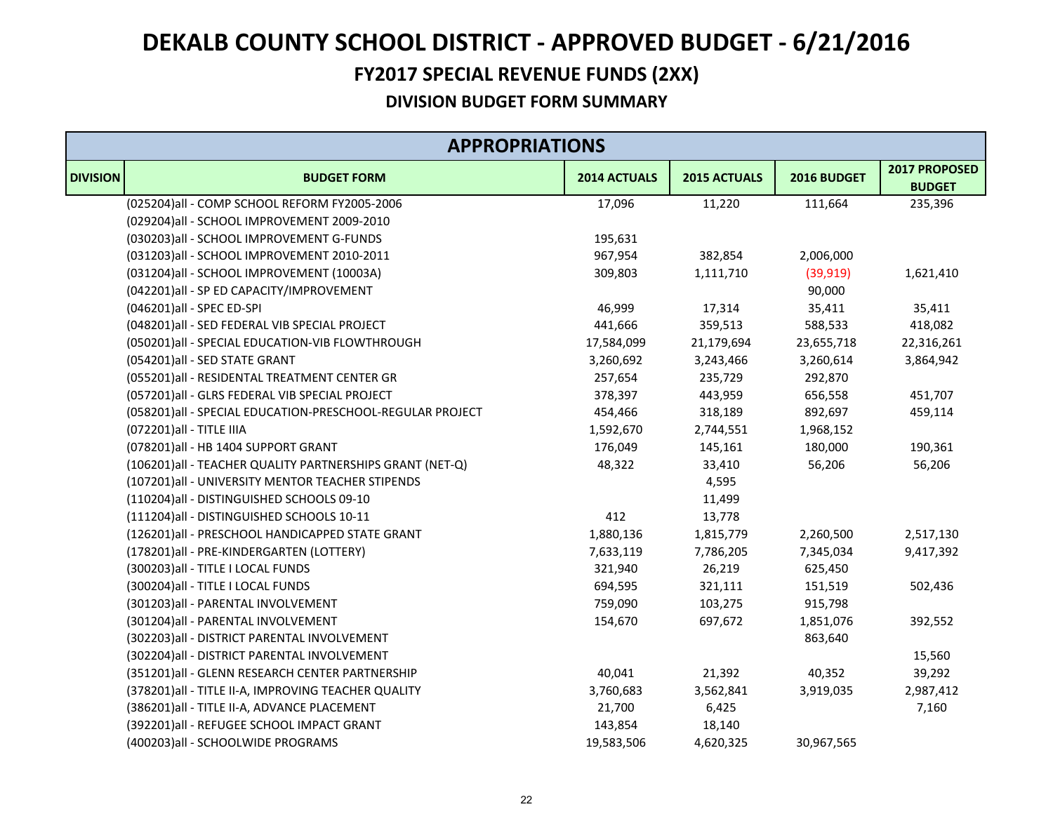### **FY2017 SPECIAL REVENUE FUNDS (2XX)**

|                 | <b>APPROPRIATIONS</b>                                     |              |              |             |                                |  |
|-----------------|-----------------------------------------------------------|--------------|--------------|-------------|--------------------------------|--|
| <b>DIVISION</b> | <b>BUDGET FORM</b>                                        | 2014 ACTUALS | 2015 ACTUALS | 2016 BUDGET | 2017 PROPOSED<br><b>BUDGET</b> |  |
|                 | (025204)all - COMP SCHOOL REFORM FY2005-2006              | 17,096       | 11,220       | 111,664     | 235,396                        |  |
|                 | (029204)all - SCHOOL IMPROVEMENT 2009-2010                |              |              |             |                                |  |
|                 | (030203)all - SCHOOL IMPROVEMENT G-FUNDS                  | 195,631      |              |             |                                |  |
|                 | (031203)all - SCHOOL IMPROVEMENT 2010-2011                | 967,954      | 382,854      | 2,006,000   |                                |  |
|                 | (031204)all - SCHOOL IMPROVEMENT (10003A)                 | 309,803      | 1,111,710    | (39, 919)   | 1,621,410                      |  |
|                 | (042201)all - SP ED CAPACITY/IMPROVEMENT                  |              |              | 90,000      |                                |  |
|                 | (046201)all - SPEC ED-SPI                                 | 46,999       | 17,314       | 35,411      | 35,411                         |  |
|                 | (048201)all - SED FEDERAL VIB SPECIAL PROJECT             | 441,666      | 359,513      | 588,533     | 418,082                        |  |
|                 | (050201)all - SPECIAL EDUCATION-VIB FLOWTHROUGH           | 17,584,099   | 21,179,694   | 23,655,718  | 22,316,261                     |  |
|                 | (054201)all - SED STATE GRANT                             | 3,260,692    | 3,243,466    | 3,260,614   | 3,864,942                      |  |
|                 | (055201)all - RESIDENTAL TREATMENT CENTER GR              | 257,654      | 235,729      | 292,870     |                                |  |
|                 | (057201)all - GLRS FEDERAL VIB SPECIAL PROJECT            | 378,397      | 443,959      | 656,558     | 451,707                        |  |
|                 | (058201)all - SPECIAL EDUCATION-PRESCHOOL-REGULAR PROJECT | 454,466      | 318,189      | 892,697     | 459,114                        |  |
|                 | (072201) all - TITLE IIIA                                 | 1,592,670    | 2,744,551    | 1,968,152   |                                |  |
|                 | (078201)all - HB 1404 SUPPORT GRANT                       | 176,049      | 145,161      | 180,000     | 190,361                        |  |
|                 | (106201) all - TEACHER QUALITY PARTNERSHIPS GRANT (NET-Q) | 48,322       | 33,410       | 56,206      | 56,206                         |  |
|                 | (107201)all - UNIVERSITY MENTOR TEACHER STIPENDS          |              | 4,595        |             |                                |  |
|                 | (110204)all - DISTINGUISHED SCHOOLS 09-10                 |              | 11,499       |             |                                |  |
|                 | (111204)all - DISTINGUISHED SCHOOLS 10-11                 | 412          | 13,778       |             |                                |  |
|                 | (126201)all - PRESCHOOL HANDICAPPED STATE GRANT           | 1,880,136    | 1,815,779    | 2,260,500   | 2,517,130                      |  |
|                 | (178201)all - PRE-KINDERGARTEN (LOTTERY)                  | 7,633,119    | 7,786,205    | 7,345,034   | 9,417,392                      |  |
|                 | (300203) all - TITLE I LOCAL FUNDS                        | 321,940      | 26,219       | 625,450     |                                |  |
|                 | (300204) all - TITLE I LOCAL FUNDS                        | 694,595      | 321,111      | 151,519     | 502,436                        |  |
|                 | (301203)all - PARENTAL INVOLVEMENT                        | 759,090      | 103,275      | 915,798     |                                |  |
|                 | (301204)all - PARENTAL INVOLVEMENT                        | 154,670      | 697,672      | 1,851,076   | 392,552                        |  |
|                 | (302203) all - DISTRICT PARENTAL INVOLVEMENT              |              |              | 863,640     |                                |  |
|                 | (302204) all - DISTRICT PARENTAL INVOLVEMENT              |              |              |             | 15,560                         |  |
|                 | (351201)all - GLENN RESEARCH CENTER PARTNERSHIP           | 40,041       | 21,392       | 40,352      | 39,292                         |  |
|                 | (378201) all - TITLE II-A, IMPROVING TEACHER QUALITY      | 3,760,683    | 3,562,841    | 3,919,035   | 2,987,412                      |  |
|                 | (386201) all - TITLE II-A, ADVANCE PLACEMENT              | 21,700       | 6,425        |             | 7,160                          |  |
|                 | (392201)all - REFUGEE SCHOOL IMPACT GRANT                 | 143,854      | 18,140       |             |                                |  |
|                 | (400203)all - SCHOOLWIDE PROGRAMS                         | 19,583,506   | 4,620,325    | 30,967,565  |                                |  |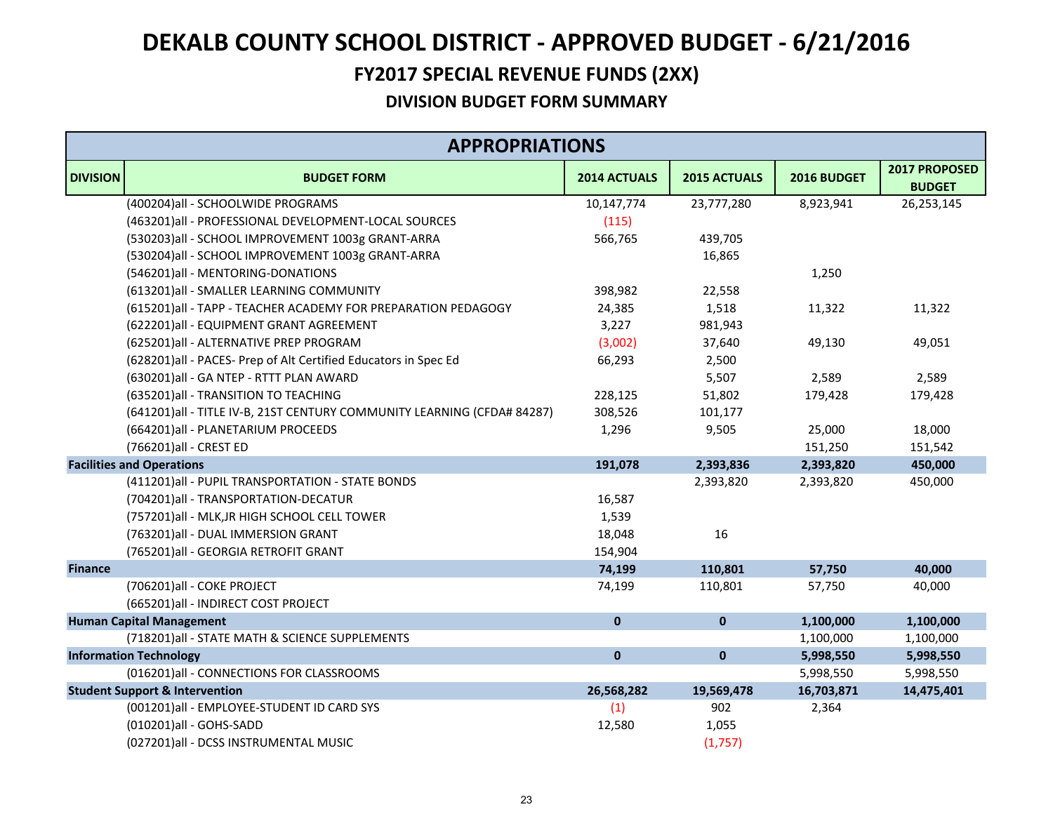### **FY2017 SPECIAL REVENUE FUNDS (2XX)**

|                 | <b>APPROPRIATIONS</b>                                                   |              |              |             |                                |  |
|-----------------|-------------------------------------------------------------------------|--------------|--------------|-------------|--------------------------------|--|
| <b>DIVISION</b> | <b>BUDGET FORM</b>                                                      | 2014 ACTUALS | 2015 ACTUALS | 2016 BUDGET | 2017 PROPOSED<br><b>BUDGET</b> |  |
|                 | (400204) all - SCHOOLWIDE PROGRAMS                                      | 10,147,774   | 23,777,280   | 8,923,941   | 26,253,145                     |  |
|                 | (463201)all - PROFESSIONAL DEVELOPMENT-LOCAL SOURCES                    | (115)        |              |             |                                |  |
|                 | (530203)all - SCHOOL IMPROVEMENT 1003g GRANT-ARRA                       | 566,765      | 439,705      |             |                                |  |
|                 | (530204)all - SCHOOL IMPROVEMENT 1003g GRANT-ARRA                       |              | 16,865       |             |                                |  |
|                 | (546201)all - MENTORING-DONATIONS                                       |              |              | 1,250       |                                |  |
|                 | (613201) all - SMALLER LEARNING COMMUNITY                               | 398,982      | 22,558       |             |                                |  |
|                 | (615201)all - TAPP - TEACHER ACADEMY FOR PREPARATION PEDAGOGY           | 24,385       | 1,518        | 11,322      | 11,322                         |  |
|                 | (622201)all - EQUIPMENT GRANT AGREEMENT                                 | 3,227        | 981,943      |             |                                |  |
|                 | (625201)all - ALTERNATIVE PREP PROGRAM                                  | (3,002)      | 37,640       | 49,130      | 49,051                         |  |
|                 | (628201)all - PACES- Prep of Alt Certified Educators in Spec Ed         | 66,293       | 2,500        |             |                                |  |
|                 | (630201)all - GA NTEP - RTTT PLAN AWARD                                 |              | 5,507        | 2,589       | 2,589                          |  |
|                 | (635201)all - TRANSITION TO TEACHING                                    | 228,125      | 51,802       | 179,428     | 179,428                        |  |
|                 | (641201)all - TITLE IV-B, 21ST CENTURY COMMUNITY LEARNING (CFDA# 84287) | 308,526      | 101,177      |             |                                |  |
|                 | (664201)all - PLANETARIUM PROCEEDS                                      | 1,296        | 9,505        | 25,000      | 18,000                         |  |
|                 | (766201)all - CREST ED                                                  |              |              | 151,250     | 151,542                        |  |
|                 | <b>Facilities and Operations</b>                                        | 191,078      | 2,393,836    | 2,393,820   | 450,000                        |  |
|                 | (411201)all - PUPIL TRANSPORTATION - STATE BONDS                        |              | 2,393,820    | 2,393,820   | 450,000                        |  |
|                 | (704201)all - TRANSPORTATION-DECATUR                                    | 16,587       |              |             |                                |  |
|                 | (757201)all - MLK, JR HIGH SCHOOL CELL TOWER                            | 1,539        |              |             |                                |  |
|                 | (763201)all - DUAL IMMERSION GRANT                                      | 18,048       | 16           |             |                                |  |
|                 | (765201)all - GEORGIA RETROFIT GRANT                                    | 154,904      |              |             |                                |  |
| <b>Finance</b>  |                                                                         | 74,199       | 110,801      | 57,750      | 40,000                         |  |
|                 | (706201)all - COKE PROJECT                                              | 74,199       | 110,801      | 57,750      | 40,000                         |  |
|                 | (665201)all - INDIRECT COST PROJECT                                     |              |              |             |                                |  |
|                 | <b>Human Capital Management</b>                                         | $\mathbf{0}$ | $\pmb{0}$    | 1,100,000   | 1,100,000                      |  |
|                 | (718201) all - STATE MATH & SCIENCE SUPPLEMENTS                         |              |              | 1,100,000   | 1,100,000                      |  |
|                 | <b>Information Technology</b>                                           | $\mathbf 0$  | $\pmb{0}$    | 5,998,550   | 5,998,550                      |  |
|                 | (016201)all - CONNECTIONS FOR CLASSROOMS                                |              |              | 5,998,550   | 5,998,550                      |  |
|                 | <b>Student Support &amp; Intervention</b>                               | 26,568,282   | 19,569,478   | 16,703,871  | 14,475,401                     |  |
|                 | (001201)all - EMPLOYEE-STUDENT ID CARD SYS                              | (1)          | 902          | 2,364       |                                |  |
|                 | (010201)all - GOHS-SADD                                                 | 12,580       | 1,055        |             |                                |  |
|                 | (027201)all - DCSS INSTRUMENTAL MUSIC                                   |              | (1,757)      |             |                                |  |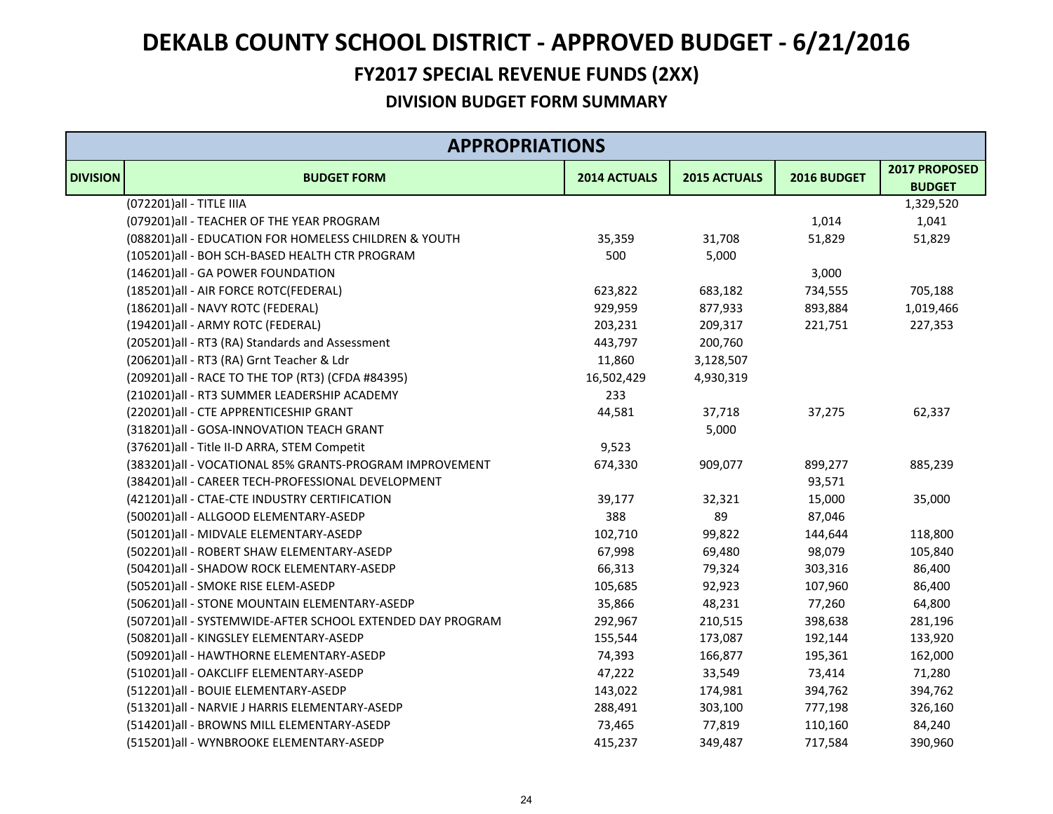### **FY2017 SPECIAL REVENUE FUNDS (2XX)**

|                 | <b>APPROPRIATIONS</b>                                      |              |              |             |                                |  |  |
|-----------------|------------------------------------------------------------|--------------|--------------|-------------|--------------------------------|--|--|
| <b>DIVISION</b> | <b>BUDGET FORM</b>                                         | 2014 ACTUALS | 2015 ACTUALS | 2016 BUDGET | 2017 PROPOSED<br><b>BUDGET</b> |  |  |
|                 | (072201) all - TITLE IIIA                                  |              |              |             | 1,329,520                      |  |  |
|                 | (079201)all - TEACHER OF THE YEAR PROGRAM                  |              |              | 1,014       | 1,041                          |  |  |
|                 | (088201)all - EDUCATION FOR HOMELESS CHILDREN & YOUTH      | 35,359       | 31,708       | 51,829      | 51,829                         |  |  |
|                 | (105201)all - BOH SCH-BASED HEALTH CTR PROGRAM             | 500          | 5,000        |             |                                |  |  |
|                 | (146201)all - GA POWER FOUNDATION                          |              |              | 3,000       |                                |  |  |
|                 | (185201) all - AIR FORCE ROTC(FEDERAL)                     | 623,822      | 683,182      | 734,555     | 705,188                        |  |  |
|                 | (186201)all - NAVY ROTC (FEDERAL)                          | 929,959      | 877,933      | 893,884     | 1,019,466                      |  |  |
|                 | (194201)all - ARMY ROTC (FEDERAL)                          | 203,231      | 209,317      | 221,751     | 227,353                        |  |  |
|                 | (205201)all - RT3 (RA) Standards and Assessment            | 443,797      | 200,760      |             |                                |  |  |
|                 | (206201)all - RT3 (RA) Grnt Teacher & Ldr                  | 11,860       | 3,128,507    |             |                                |  |  |
|                 | (209201) all - RACE TO THE TOP (RT3) (CFDA #84395)         | 16,502,429   | 4,930,319    |             |                                |  |  |
|                 | (210201)all - RT3 SUMMER LEADERSHIP ACADEMY                | 233          |              |             |                                |  |  |
|                 | (220201)all - CTE APPRENTICESHIP GRANT                     | 44,581       | 37,718       | 37,275      | 62,337                         |  |  |
|                 | (318201)all - GOSA-INNOVATION TEACH GRANT                  |              | 5,000        |             |                                |  |  |
|                 | (376201)all - Title II-D ARRA, STEM Competit               | 9,523        |              |             |                                |  |  |
|                 | (383201)all - VOCATIONAL 85% GRANTS-PROGRAM IMPROVEMENT    | 674,330      | 909,077      | 899,277     | 885,239                        |  |  |
|                 | (384201)all - CAREER TECH-PROFESSIONAL DEVELOPMENT         |              |              | 93,571      |                                |  |  |
|                 | (421201) all - CTAE-CTE INDUSTRY CERTIFICATION             | 39,177       | 32,321       | 15,000      | 35,000                         |  |  |
|                 | (500201)all - ALLGOOD ELEMENTARY-ASEDP                     | 388          | 89           | 87,046      |                                |  |  |
|                 | (501201)all - MIDVALE ELEMENTARY-ASEDP                     | 102,710      | 99,822       | 144,644     | 118,800                        |  |  |
|                 | (502201)all - ROBERT SHAW ELEMENTARY-ASEDP                 | 67,998       | 69,480       | 98,079      | 105,840                        |  |  |
|                 | (504201)all - SHADOW ROCK ELEMENTARY-ASEDP                 | 66,313       | 79,324       | 303,316     | 86,400                         |  |  |
|                 | (505201)all - SMOKE RISE ELEM-ASEDP                        | 105,685      | 92,923       | 107,960     | 86,400                         |  |  |
|                 | (506201)all - STONE MOUNTAIN ELEMENTARY-ASEDP              | 35,866       | 48,231       | 77,260      | 64,800                         |  |  |
|                 | (507201)all - SYSTEMWIDE-AFTER SCHOOL EXTENDED DAY PROGRAM | 292,967      | 210,515      | 398,638     | 281,196                        |  |  |
|                 | (508201)all - KINGSLEY ELEMENTARY-ASEDP                    | 155,544      | 173,087      | 192,144     | 133,920                        |  |  |
|                 | (509201)all - HAWTHORNE ELEMENTARY-ASEDP                   | 74,393       | 166,877      | 195,361     | 162,000                        |  |  |
|                 | (510201)all - OAKCLIFF ELEMENTARY-ASEDP                    | 47,222       | 33,549       | 73,414      | 71,280                         |  |  |
|                 | (512201)all - BOUIE ELEMENTARY-ASEDP                       | 143,022      | 174,981      | 394,762     | 394,762                        |  |  |
|                 | (513201)all - NARVIE J HARRIS ELEMENTARY-ASEDP             | 288,491      | 303,100      | 777,198     | 326,160                        |  |  |
|                 | (514201)all - BROWNS MILL ELEMENTARY-ASEDP                 | 73,465       | 77,819       | 110,160     | 84,240                         |  |  |
|                 | (515201)all - WYNBROOKE ELEMENTARY-ASEDP                   | 415,237      | 349,487      | 717,584     | 390,960                        |  |  |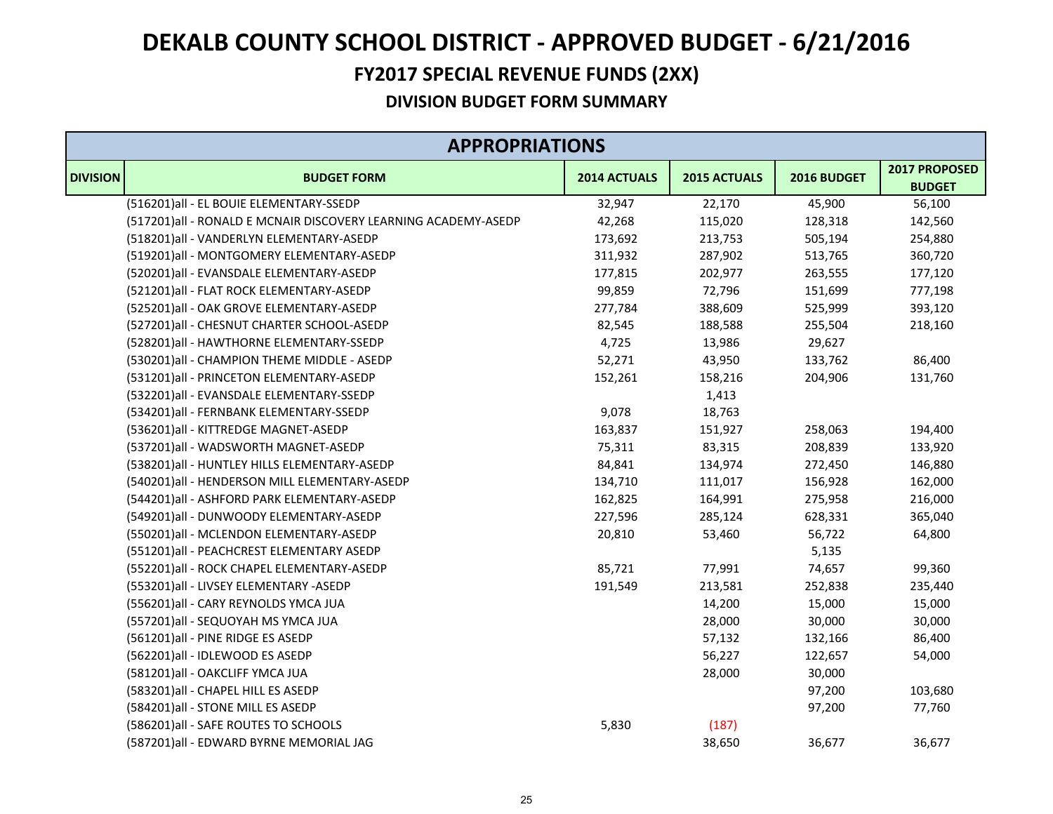### **FY2017 SPECIAL REVENUE FUNDS (2XX)**

|                 | <b>APPROPRIATIONS</b>                                          |              |              |             |                                |  |  |
|-----------------|----------------------------------------------------------------|--------------|--------------|-------------|--------------------------------|--|--|
| <b>DIVISION</b> | <b>BUDGET FORM</b>                                             | 2014 ACTUALS | 2015 ACTUALS | 2016 BUDGET | 2017 PROPOSED<br><b>BUDGET</b> |  |  |
|                 | (516201)all - EL BOUIE ELEMENTARY-SSEDP                        | 32,947       | 22,170       | 45,900      | 56,100                         |  |  |
|                 | (517201)all - RONALD E MCNAIR DISCOVERY LEARNING ACADEMY-ASEDP | 42,268       | 115,020      | 128,318     | 142,560                        |  |  |
|                 | (518201)all - VANDERLYN ELEMENTARY-ASEDP                       | 173,692      | 213,753      | 505,194     | 254,880                        |  |  |
|                 | (519201)all - MONTGOMERY ELEMENTARY-ASEDP                      | 311,932      | 287,902      | 513,765     | 360,720                        |  |  |
|                 | (520201)all - EVANSDALE ELEMENTARY-ASEDP                       | 177,815      | 202,977      | 263,555     | 177,120                        |  |  |
|                 | (521201)all - FLAT ROCK ELEMENTARY-ASEDP                       | 99,859       | 72,796       | 151,699     | 777,198                        |  |  |
|                 | (525201)all - OAK GROVE ELEMENTARY-ASEDP                       | 277,784      | 388,609      | 525,999     | 393,120                        |  |  |
|                 | (527201)all - CHESNUT CHARTER SCHOOL-ASEDP                     | 82,545       | 188,588      | 255,504     | 218,160                        |  |  |
|                 | (528201)all - HAWTHORNE ELEMENTARY-SSEDP                       | 4,725        | 13,986       | 29,627      |                                |  |  |
|                 | (530201)all - CHAMPION THEME MIDDLE - ASEDP                    | 52,271       | 43,950       | 133,762     | 86,400                         |  |  |
|                 | (531201)all - PRINCETON ELEMENTARY-ASEDP                       | 152,261      | 158,216      | 204,906     | 131,760                        |  |  |
|                 | (532201)all - EVANSDALE ELEMENTARY-SSEDP                       |              | 1,413        |             |                                |  |  |
|                 | (534201)all - FERNBANK ELEMENTARY-SSEDP                        | 9,078        | 18,763       |             |                                |  |  |
|                 | (536201)all - KITTREDGE MAGNET-ASEDP                           | 163,837      | 151,927      | 258,063     | 194,400                        |  |  |
|                 | (537201)all - WADSWORTH MAGNET-ASEDP                           | 75,311       | 83,315       | 208,839     | 133,920                        |  |  |
|                 | (538201) all - HUNTLEY HILLS ELEMENTARY-ASEDP                  | 84,841       | 134,974      | 272,450     | 146,880                        |  |  |
|                 | (540201)all - HENDERSON MILL ELEMENTARY-ASEDP                  | 134,710      | 111,017      | 156,928     | 162,000                        |  |  |
|                 | (544201)all - ASHFORD PARK ELEMENTARY-ASEDP                    | 162,825      | 164,991      | 275,958     | 216,000                        |  |  |
|                 | (549201)all - DUNWOODY ELEMENTARY-ASEDP                        | 227,596      | 285,124      | 628,331     | 365,040                        |  |  |
|                 | (550201)all - MCLENDON ELEMENTARY-ASEDP                        | 20,810       | 53,460       | 56,722      | 64,800                         |  |  |
|                 | (551201)all - PEACHCREST ELEMENTARY ASEDP                      |              |              | 5,135       |                                |  |  |
|                 | (552201)all - ROCK CHAPEL ELEMENTARY-ASEDP                     | 85,721       | 77,991       | 74,657      | 99,360                         |  |  |
|                 | (553201)all - LIVSEY ELEMENTARY -ASEDP                         | 191,549      | 213,581      | 252,838     | 235,440                        |  |  |
|                 | (556201)all - CARY REYNOLDS YMCA JUA                           |              | 14,200       | 15,000      | 15,000                         |  |  |
|                 | (557201)all - SEQUOYAH MS YMCA JUA                             |              | 28,000       | 30,000      | 30,000                         |  |  |
|                 | (561201)all - PINE RIDGE ES ASEDP                              |              | 57,132       | 132,166     | 86,400                         |  |  |
|                 | (562201)all - IDLEWOOD ES ASEDP                                |              | 56,227       | 122,657     | 54,000                         |  |  |
|                 | (581201)all - OAKCLIFF YMCA JUA                                |              | 28,000       | 30,000      |                                |  |  |
|                 | (583201)all - CHAPEL HILL ES ASEDP                             |              |              | 97,200      | 103,680                        |  |  |
|                 | (584201)all - STONE MILL ES ASEDP                              |              |              | 97,200      | 77,760                         |  |  |
|                 | (586201)all - SAFE ROUTES TO SCHOOLS                           | 5,830        | (187)        |             |                                |  |  |
|                 | (587201)all - EDWARD BYRNE MEMORIAL JAG                        |              | 38,650       | 36,677      | 36,677                         |  |  |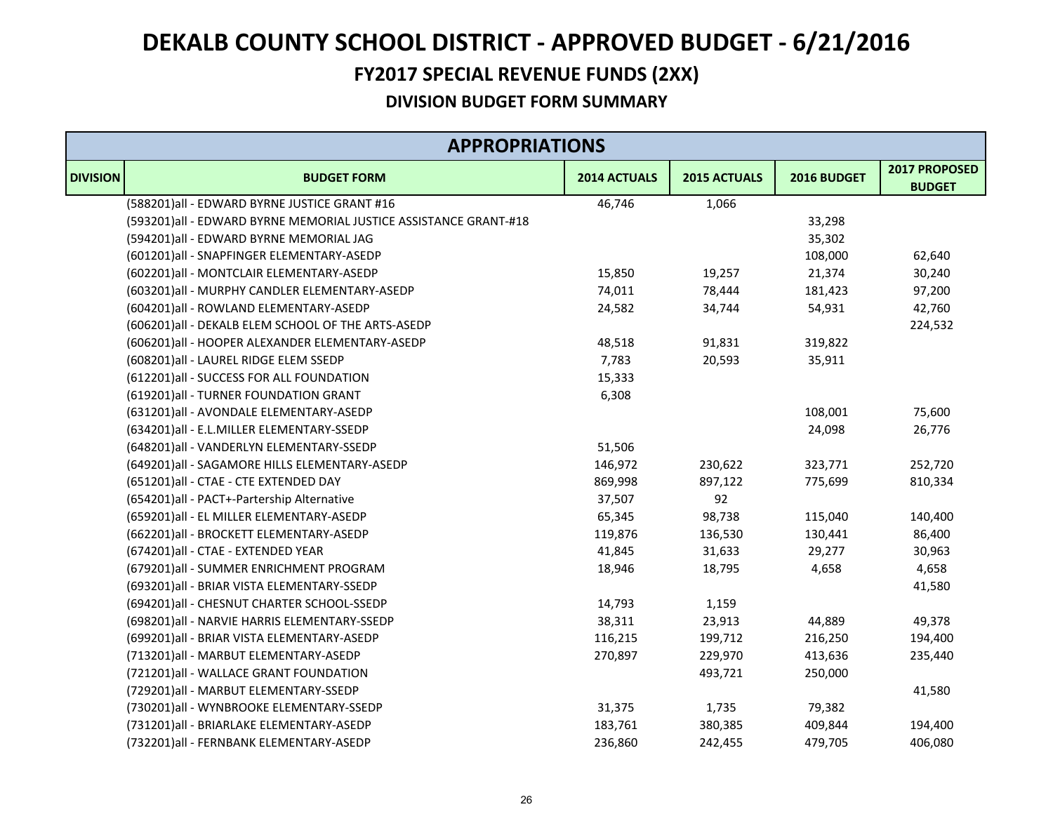### **FY2017 SPECIAL REVENUE FUNDS (2XX)**

|                 | <b>APPROPRIATIONS</b>                                            |              |              |             |                                |  |
|-----------------|------------------------------------------------------------------|--------------|--------------|-------------|--------------------------------|--|
| <b>DIVISION</b> | <b>BUDGET FORM</b>                                               | 2014 ACTUALS | 2015 ACTUALS | 2016 BUDGET | 2017 PROPOSED<br><b>BUDGET</b> |  |
|                 | (588201)all - EDWARD BYRNE JUSTICE GRANT #16                     | 46,746       | 1,066        |             |                                |  |
|                 | (593201)all - EDWARD BYRNE MEMORIAL JUSTICE ASSISTANCE GRANT-#18 |              |              | 33,298      |                                |  |
|                 | (594201)all - EDWARD BYRNE MEMORIAL JAG                          |              |              | 35,302      |                                |  |
|                 | (601201)all - SNAPFINGER ELEMENTARY-ASEDP                        |              |              | 108,000     | 62,640                         |  |
|                 | (602201)all - MONTCLAIR ELEMENTARY-ASEDP                         | 15,850       | 19,257       | 21,374      | 30,240                         |  |
|                 | (603201)all - MURPHY CANDLER ELEMENTARY-ASEDP                    | 74,011       | 78,444       | 181,423     | 97,200                         |  |
|                 | (604201)all - ROWLAND ELEMENTARY-ASEDP                           | 24,582       | 34,744       | 54,931      | 42,760                         |  |
|                 | (606201)all - DEKALB ELEM SCHOOL OF THE ARTS-ASEDP               |              |              |             | 224,532                        |  |
|                 | (606201)all - HOOPER ALEXANDER ELEMENTARY-ASEDP                  | 48,518       | 91,831       | 319,822     |                                |  |
|                 | (608201)all - LAUREL RIDGE ELEM SSEDP                            | 7,783        | 20,593       | 35,911      |                                |  |
|                 | (612201)all - SUCCESS FOR ALL FOUNDATION                         | 15,333       |              |             |                                |  |
|                 | (619201)all - TURNER FOUNDATION GRANT                            | 6,308        |              |             |                                |  |
|                 | (631201)all - AVONDALE ELEMENTARY-ASEDP                          |              |              | 108,001     | 75,600                         |  |
|                 | (634201)all - E.L.MILLER ELEMENTARY-SSEDP                        |              |              | 24,098      | 26,776                         |  |
|                 | (648201)all - VANDERLYN ELEMENTARY-SSEDP                         | 51,506       |              |             |                                |  |
|                 | (649201)all - SAGAMORE HILLS ELEMENTARY-ASEDP                    | 146,972      | 230,622      | 323,771     | 252,720                        |  |
|                 | (651201)all - CTAE - CTE EXTENDED DAY                            | 869,998      | 897,122      | 775,699     | 810,334                        |  |
|                 | (654201)all - PACT+-Partership Alternative                       | 37,507       | 92           |             |                                |  |
|                 | (659201)all - EL MILLER ELEMENTARY-ASEDP                         | 65,345       | 98,738       | 115,040     | 140,400                        |  |
|                 | (662201)all - BROCKETT ELEMENTARY-ASEDP                          | 119,876      | 136,530      | 130,441     | 86,400                         |  |
|                 | (674201)all - CTAE - EXTENDED YEAR                               | 41,845       | 31,633       | 29,277      | 30,963                         |  |
|                 | (679201)all - SUMMER ENRICHMENT PROGRAM                          | 18,946       | 18,795       | 4,658       | 4,658                          |  |
|                 | (693201)all - BRIAR VISTA ELEMENTARY-SSEDP                       |              |              |             | 41,580                         |  |
|                 | (694201) all - CHESNUT CHARTER SCHOOL-SSEDP                      | 14,793       | 1,159        |             |                                |  |
|                 | (698201) all - NARVIE HARRIS ELEMENTARY-SSEDP                    | 38,311       | 23,913       | 44,889      | 49,378                         |  |
|                 | (699201) all - BRIAR VISTA ELEMENTARY-ASEDP                      | 116,215      | 199,712      | 216,250     | 194,400                        |  |
|                 | (713201)all - MARBUT ELEMENTARY-ASEDP                            | 270,897      | 229,970      | 413,636     | 235,440                        |  |
|                 | (721201)all - WALLACE GRANT FOUNDATION                           |              | 493,721      | 250,000     |                                |  |
|                 | (729201)all - MARBUT ELEMENTARY-SSEDP                            |              |              |             | 41,580                         |  |
|                 | (730201)all - WYNBROOKE ELEMENTARY-SSEDP                         | 31,375       | 1,735        | 79,382      |                                |  |
|                 | (731201)all - BRIARLAKE ELEMENTARY-ASEDP                         | 183,761      | 380,385      | 409,844     | 194,400                        |  |
|                 | (732201)all - FERNBANK ELEMENTARY-ASEDP                          | 236,860      | 242,455      | 479,705     | 406,080                        |  |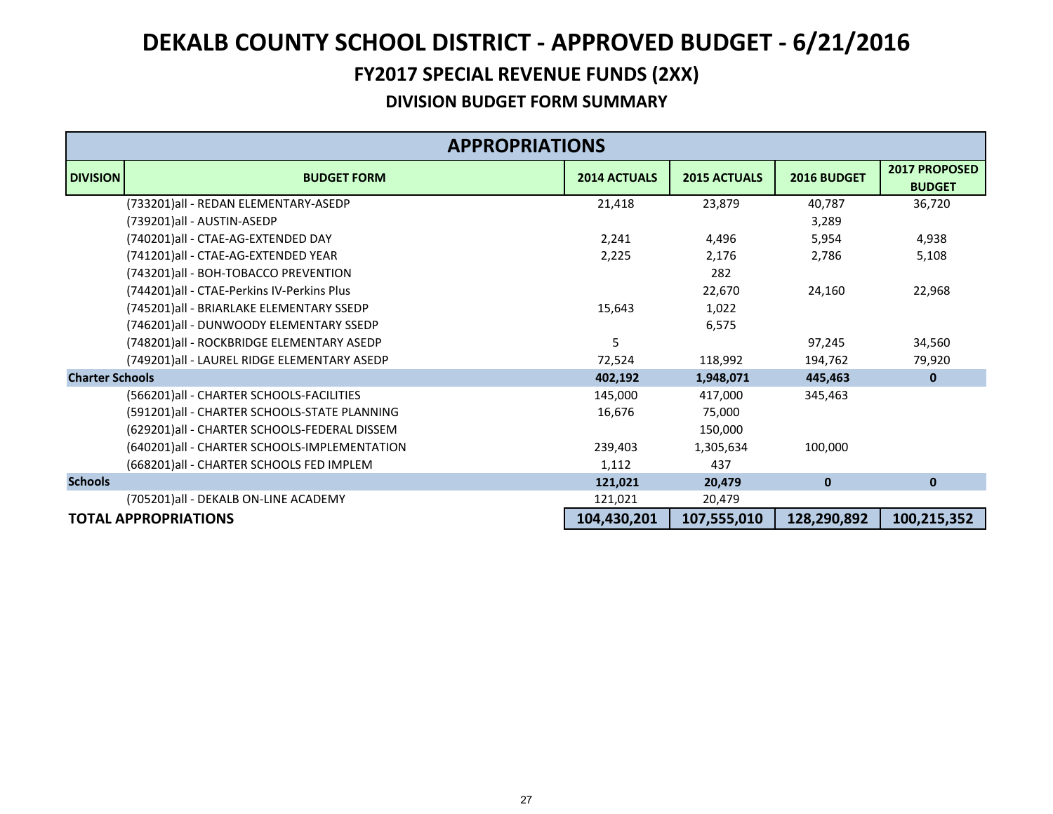### **FY2017 SPECIAL REVENUE FUNDS (2XX)**

|                        | <b>APPROPRIATIONS</b>                        |                     |                     |              |                                |  |  |
|------------------------|----------------------------------------------|---------------------|---------------------|--------------|--------------------------------|--|--|
| <b>DIVISION</b>        | <b>BUDGET FORM</b>                           | <b>2014 ACTUALS</b> | <b>2015 ACTUALS</b> | 2016 BUDGET  | 2017 PROPOSED<br><b>BUDGET</b> |  |  |
|                        | (733201)all - REDAN ELEMENTARY-ASEDP         | 21,418              | 23,879              | 40,787       | 36,720                         |  |  |
|                        | (739201)all - AUSTIN-ASEDP                   |                     |                     | 3,289        |                                |  |  |
|                        | (740201)all - CTAE-AG-EXTENDED DAY           | 2,241               | 4,496               | 5,954        | 4,938                          |  |  |
|                        | (741201)all - CTAE-AG-EXTENDED YEAR          | 2,225               | 2,176               | 2,786        | 5,108                          |  |  |
|                        | (743201)all - BOH-TOBACCO PREVENTION         |                     | 282                 |              |                                |  |  |
|                        | (744201)all - CTAE-Perkins IV-Perkins Plus   |                     | 22,670              | 24,160       | 22,968                         |  |  |
|                        | (745201)all - BRIARLAKE ELEMENTARY SSEDP     | 15,643              | 1,022               |              |                                |  |  |
|                        | (746201)all - DUNWOODY ELEMENTARY SSEDP      |                     | 6,575               |              |                                |  |  |
|                        | (748201)all - ROCKBRIDGE ELEMENTARY ASEDP    | 5                   |                     | 97,245       | 34,560                         |  |  |
|                        | (749201)all - LAUREL RIDGE ELEMENTARY ASEDP  | 72,524              | 118,992             | 194,762      | 79,920                         |  |  |
| <b>Charter Schools</b> |                                              | 402,192             | 1,948,071           | 445,463      | $\mathbf{0}$                   |  |  |
|                        | (566201) all - CHARTER SCHOOLS-FACILITIES    | 145,000             | 417,000             | 345,463      |                                |  |  |
|                        | (591201)all - CHARTER SCHOOLS-STATE PLANNING | 16,676              | 75,000              |              |                                |  |  |
|                        | (629201)all - CHARTER SCHOOLS-FEDERAL DISSEM |                     | 150,000             |              |                                |  |  |
|                        | (640201)all - CHARTER SCHOOLS-IMPLEMENTATION | 239,403             | 1,305,634           | 100,000      |                                |  |  |
|                        | (668201) all - CHARTER SCHOOLS FED IMPLEM    | 1,112               | 437                 |              |                                |  |  |
| <b>Schools</b>         |                                              | 121,021             | 20,479              | $\mathbf{0}$ | $\mathbf{0}$                   |  |  |
|                        | (705201)all - DEKALB ON-LINE ACADEMY         | 121,021             | 20,479              |              |                                |  |  |
|                        | <b>TOTAL APPROPRIATIONS</b>                  | 104,430,201         | 107,555,010         | 128,290,892  | 100,215,352                    |  |  |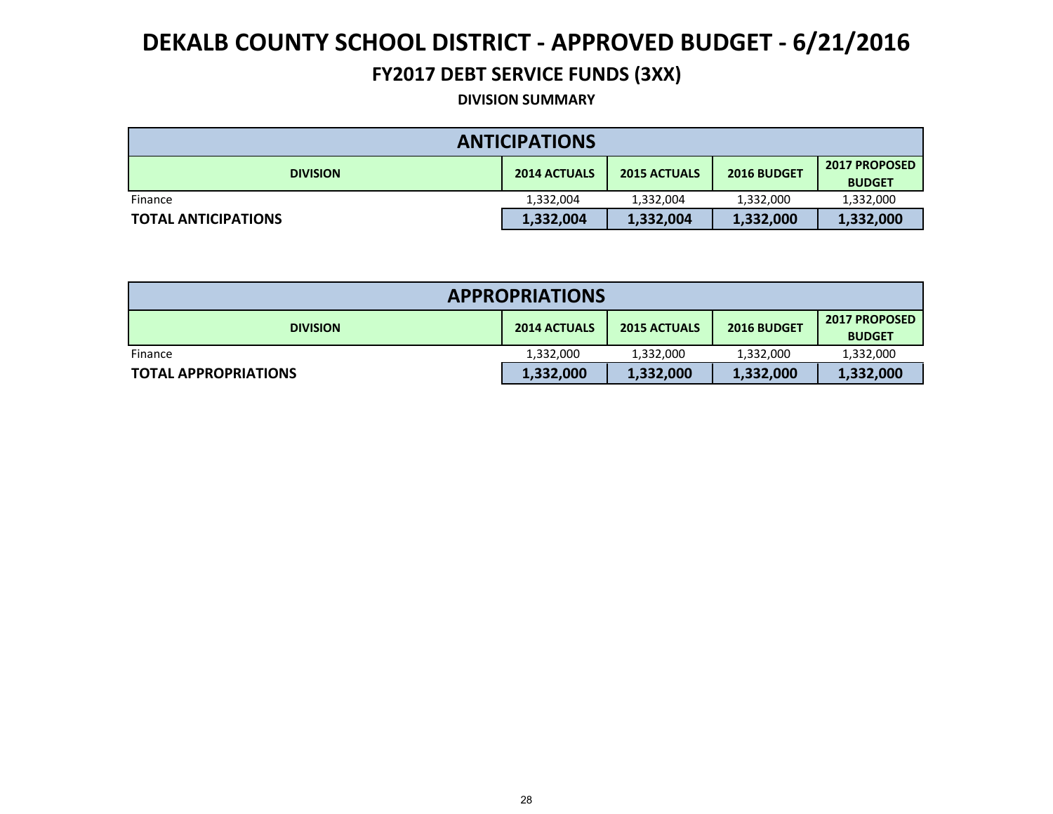### **FY2017 DEBT SERVICE FUNDS (3XX)**

#### **DIVISION SUMMARY**

| <b>ANTICIPATIONS</b>       |                     |                     |             |                                       |  |  |  |
|----------------------------|---------------------|---------------------|-------------|---------------------------------------|--|--|--|
| <b>DIVISION</b>            | <b>2014 ACTUALS</b> | <b>2015 ACTUALS</b> | 2016 BUDGET | <b>2017 PROPOSED</b><br><b>BUDGET</b> |  |  |  |
| Finance                    | 1,332,004           | 1,332,004           | 1,332,000   | 1,332,000                             |  |  |  |
| <b>TOTAL ANTICIPATIONS</b> | 1,332,004           | 1,332,004           | 1,332,000   | 1,332,000                             |  |  |  |

| <b>APPROPRIATIONS</b>       |                     |                     |             |                                       |  |  |  |
|-----------------------------|---------------------|---------------------|-------------|---------------------------------------|--|--|--|
| <b>DIVISION</b>             | <b>2014 ACTUALS</b> | <b>2015 ACTUALS</b> | 2016 BUDGET | <b>2017 PROPOSED</b><br><b>BUDGET</b> |  |  |  |
| Finance                     | 1,332,000           | 1,332,000           | 1,332,000   | 1,332,000                             |  |  |  |
| <b>TOTAL APPROPRIATIONS</b> | 1,332,000           | 1,332,000           | 1,332,000   | 1,332,000                             |  |  |  |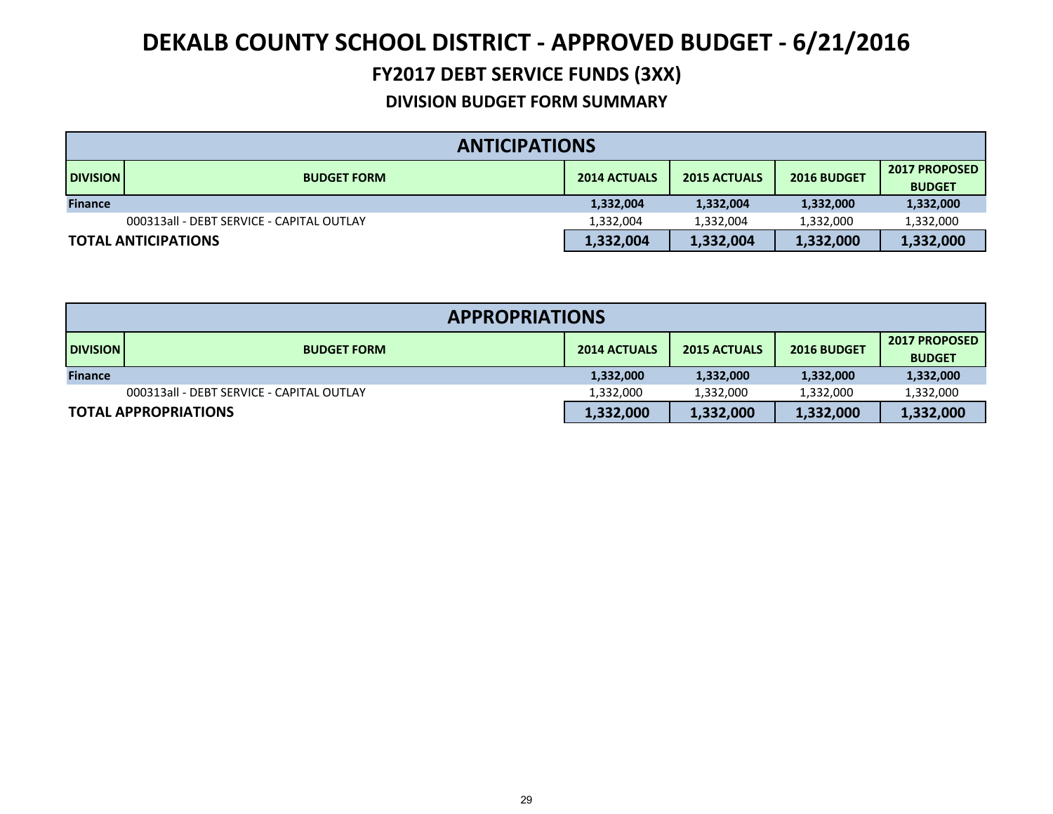### **FY2017 DEBT SERVICE FUNDS (3XX)**

|                 | <b>ANTICIPATIONS</b>                      |                     |                                    |           |                                       |  |  |
|-----------------|-------------------------------------------|---------------------|------------------------------------|-----------|---------------------------------------|--|--|
| <b>DIVISION</b> | <b>BUDGET FORM</b>                        | <b>2014 ACTUALS</b> | <b>2015 ACTUALS</b><br>2016 BUDGET |           | <b>2017 PROPOSED</b><br><b>BUDGET</b> |  |  |
| <b>Finance</b>  |                                           | 1,332,004           | 1,332,004                          | 1,332,000 | 1,332,000                             |  |  |
|                 | 000313all - DEBT SERVICE - CAPITAL OUTLAY | 1,332,004           | 1,332,004                          | 1,332,000 | 1,332,000                             |  |  |
|                 | <b>TOTAL ANTICIPATIONS</b>                | 1,332,004           | 1,332,004                          | 1,332,000 | 1,332,000                             |  |  |

| <b>APPROPRIATIONS</b> |                                           |                     |                     |                    |                                       |  |  |
|-----------------------|-------------------------------------------|---------------------|---------------------|--------------------|---------------------------------------|--|--|
| <b>DIVISION</b>       | <b>BUDGET FORM</b>                        | <b>2014 ACTUALS</b> | <b>2015 ACTUALS</b> | <b>2016 BUDGET</b> | <b>2017 PROPOSED</b><br><b>BUDGET</b> |  |  |
| <b>Finance</b>        |                                           | 1,332,000           | 1,332,000           | 1,332,000          | 1,332,000                             |  |  |
|                       | 000313all - DEBT SERVICE - CAPITAL OUTLAY | 1,332,000           | 1,332,000           | 1,332,000          | 1,332,000                             |  |  |
|                       | <b>TOTAL APPROPRIATIONS</b>               | 1,332,000           | 1,332,000           | 1,332,000          | 1,332,000                             |  |  |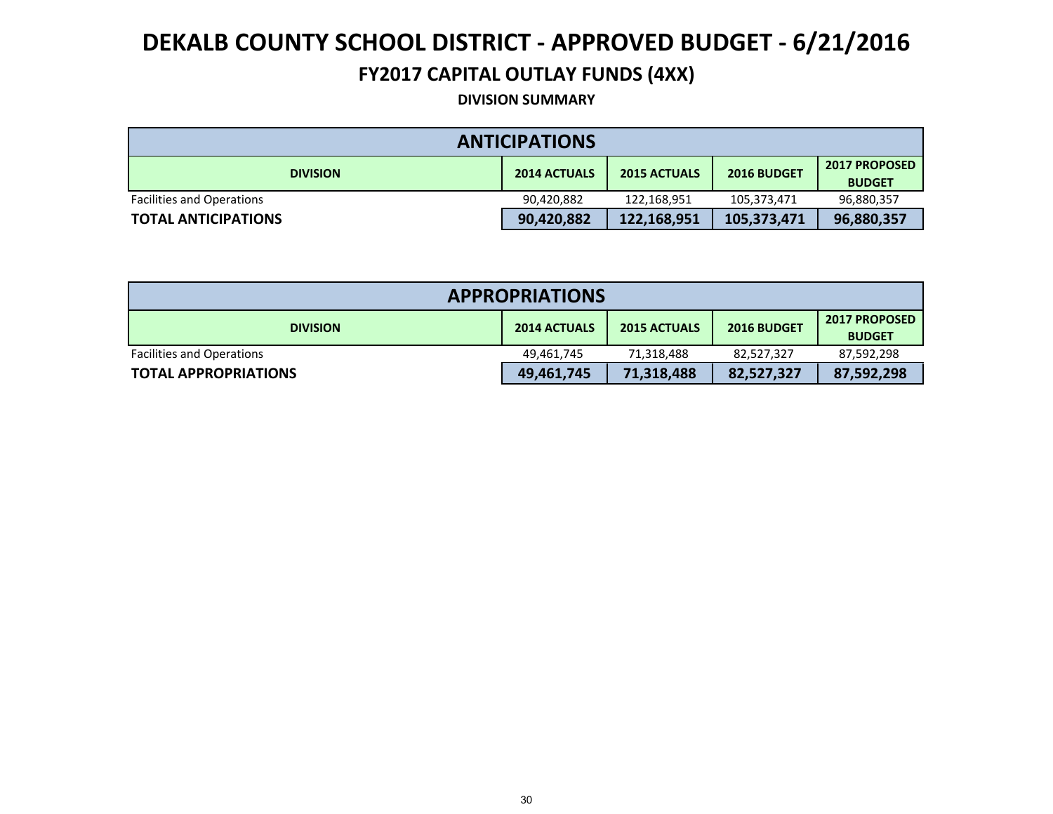### **FY2017 CAPITAL OUTLAY FUNDS (4XX)**

**DIVISION SUMMARY**

| <b>ANTICIPATIONS</b>             |                     |                     |             |                                       |  |  |  |
|----------------------------------|---------------------|---------------------|-------------|---------------------------------------|--|--|--|
| <b>DIVISION</b>                  | <b>2014 ACTUALS</b> | <b>2015 ACTUALS</b> | 2016 BUDGET | <b>2017 PROPOSED</b><br><b>BUDGET</b> |  |  |  |
| <b>Facilities and Operations</b> | 90,420,882          | 122.168.951         | 105,373,471 | 96,880,357                            |  |  |  |
| <b>TOTAL ANTICIPATIONS</b>       | 90,420,882          | 122,168,951         | 105,373,471 | 96,880,357                            |  |  |  |

| <b>APPROPRIATIONS</b>            |                     |                     |             |                                       |  |  |  |
|----------------------------------|---------------------|---------------------|-------------|---------------------------------------|--|--|--|
| <b>DIVISION</b>                  | <b>2014 ACTUALS</b> | <b>2015 ACTUALS</b> | 2016 BUDGET | <b>2017 PROPOSED</b><br><b>BUDGET</b> |  |  |  |
| <b>Facilities and Operations</b> | 49,461,745          | 71,318,488          | 82,527,327  | 87,592,298                            |  |  |  |
| <b>TOTAL APPROPRIATIONS</b>      | 49,461,745          | 71,318,488          | 82,527,327  | 87,592,298                            |  |  |  |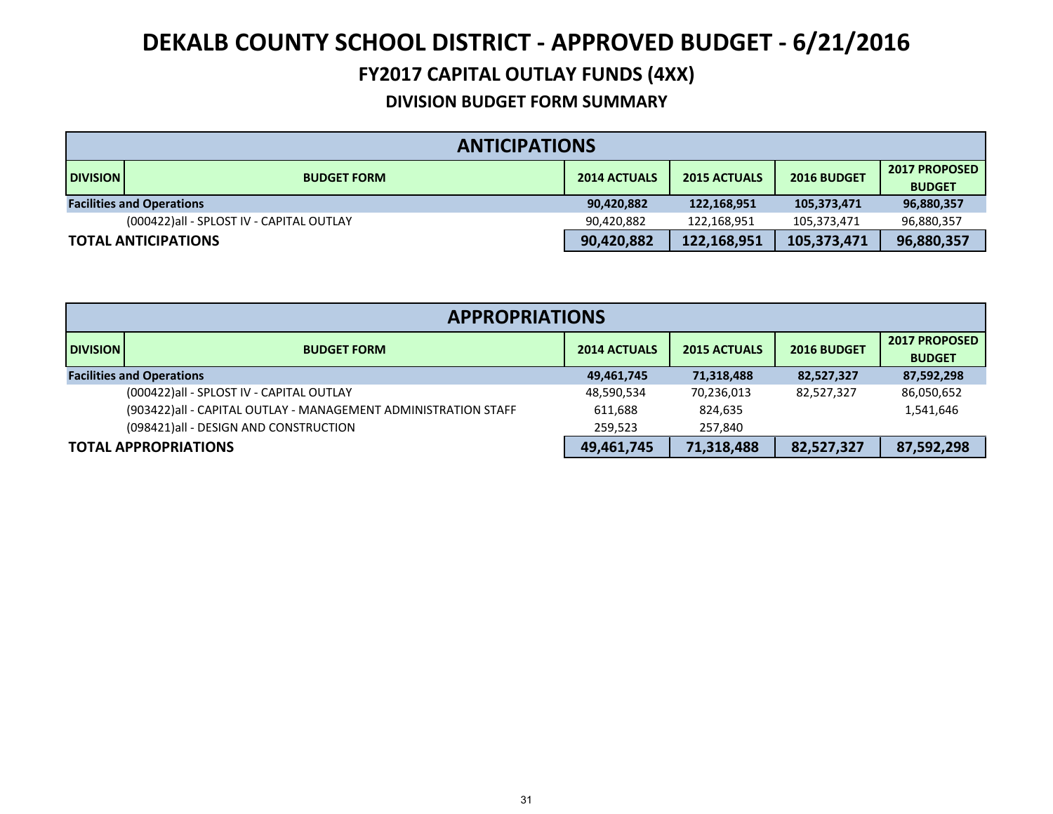### **DEKALB COUNTY SCHOOL DISTRICT ‐ APPROVED BUDGET ‐ 6/21/2016 FY2017 CAPITAL OUTLAY FUNDS (4XX)**

|                            | <b>ANTICIPATIONS</b>                      |                     |             |                                       |            |  |  |
|----------------------------|-------------------------------------------|---------------------|-------------|---------------------------------------|------------|--|--|
| <b>DIVISION</b>            | <b>BUDGET FORM</b>                        | <b>2015 ACTUALS</b> | 2016 BUDGET | <b>2017 PROPOSED</b><br><b>BUDGET</b> |            |  |  |
|                            | <b>Facilities and Operations</b>          | 90,420,882          | 122,168,951 | 105,373,471                           | 96,880,357 |  |  |
|                            | (000422) all - SPLOST IV - CAPITAL OUTLAY | 90.420.882          | 122,168,951 | 105,373,471                           | 96,880,357 |  |  |
| <b>TOTAL ANTICIPATIONS</b> |                                           | 90,420,882          | 122,168,951 | 105,373,471                           | 96,880,357 |  |  |

| <b>APPROPRIATIONS</b> |                                                                |                     |                     |             |                                       |  |
|-----------------------|----------------------------------------------------------------|---------------------|---------------------|-------------|---------------------------------------|--|
| <b>DIVISION</b>       | <b>BUDGET FORM</b>                                             | <b>2014 ACTUALS</b> | <b>2015 ACTUALS</b> | 2016 BUDGET | <b>2017 PROPOSED</b><br><b>BUDGET</b> |  |
|                       | <b>Facilities and Operations</b>                               | 49,461,745          | 71,318,488          | 82,527,327  | 87,592,298                            |  |
|                       | (000422) all - SPLOST IV - CAPITAL OUTLAY                      | 48,590,534          | 70,236,013          | 82,527,327  | 86,050,652                            |  |
|                       | (903422)all - CAPITAL OUTLAY - MANAGEMENT ADMINISTRATION STAFF | 611,688             | 824,635             |             | 1,541,646                             |  |
|                       | (098421) all - DESIGN AND CONSTRUCTION                         | 259.523             | 257.840             |             |                                       |  |
|                       | <b>TOTAL APPROPRIATIONS</b>                                    | 49,461,745          | 71,318,488          | 82,527,327  | 87,592,298                            |  |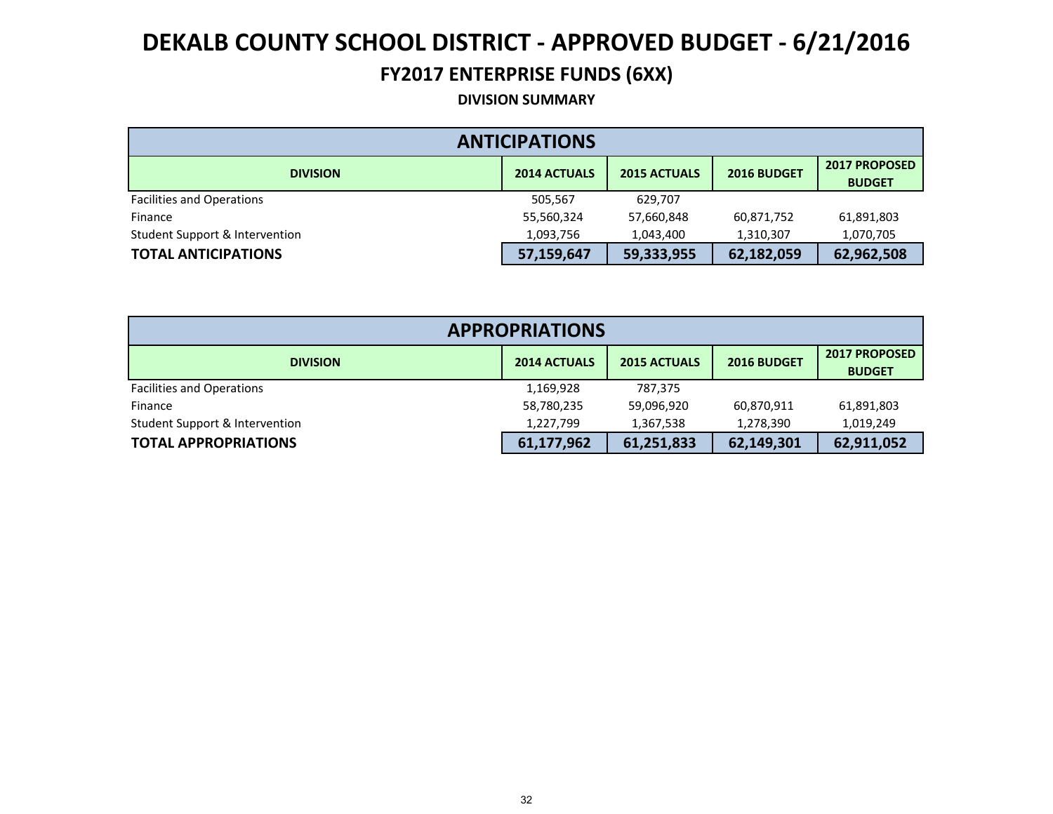### **FY2017 ENTERPRISE FUNDS (6XX)**

**DIVISION SUMMARY**

| <b>ANTICIPATIONS</b>             |                     |                     |             |                                       |  |  |  |  |
|----------------------------------|---------------------|---------------------|-------------|---------------------------------------|--|--|--|--|
| <b>DIVISION</b>                  | <b>2014 ACTUALS</b> | <b>2015 ACTUALS</b> | 2016 BUDGET | <b>2017 PROPOSED</b><br><b>BUDGET</b> |  |  |  |  |
| <b>Facilities and Operations</b> | 505,567             | 629.707             |             |                                       |  |  |  |  |
| Finance                          | 55,560,324          | 57,660,848          | 60,871,752  | 61,891,803                            |  |  |  |  |
| Student Support & Intervention   | 1,093,756           | 1,043,400           | 1,310,307   | 1,070,705                             |  |  |  |  |
| <b>TOTAL ANTICIPATIONS</b>       | 57,159,647          | 59,333,955          | 62,182,059  | 62,962,508                            |  |  |  |  |

| <b>APPROPRIATIONS</b>            |                     |             |                                       |            |  |  |  |
|----------------------------------|---------------------|-------------|---------------------------------------|------------|--|--|--|
| <b>DIVISION</b>                  | <b>2015 ACTUALS</b> | 2016 BUDGET | <b>2017 PROPOSED</b><br><b>BUDGET</b> |            |  |  |  |
| <b>Facilities and Operations</b> | 1,169,928           | 787,375     |                                       |            |  |  |  |
| Finance                          | 58,780,235          | 59,096,920  | 60,870,911                            | 61,891,803 |  |  |  |
| Student Support & Intervention   | 1,227,799           | 1,367,538   | 1,278,390                             | 1,019,249  |  |  |  |
| <b>TOTAL APPROPRIATIONS</b>      | 61,177,962          | 61,251,833  | 62,149,301                            | 62,911,052 |  |  |  |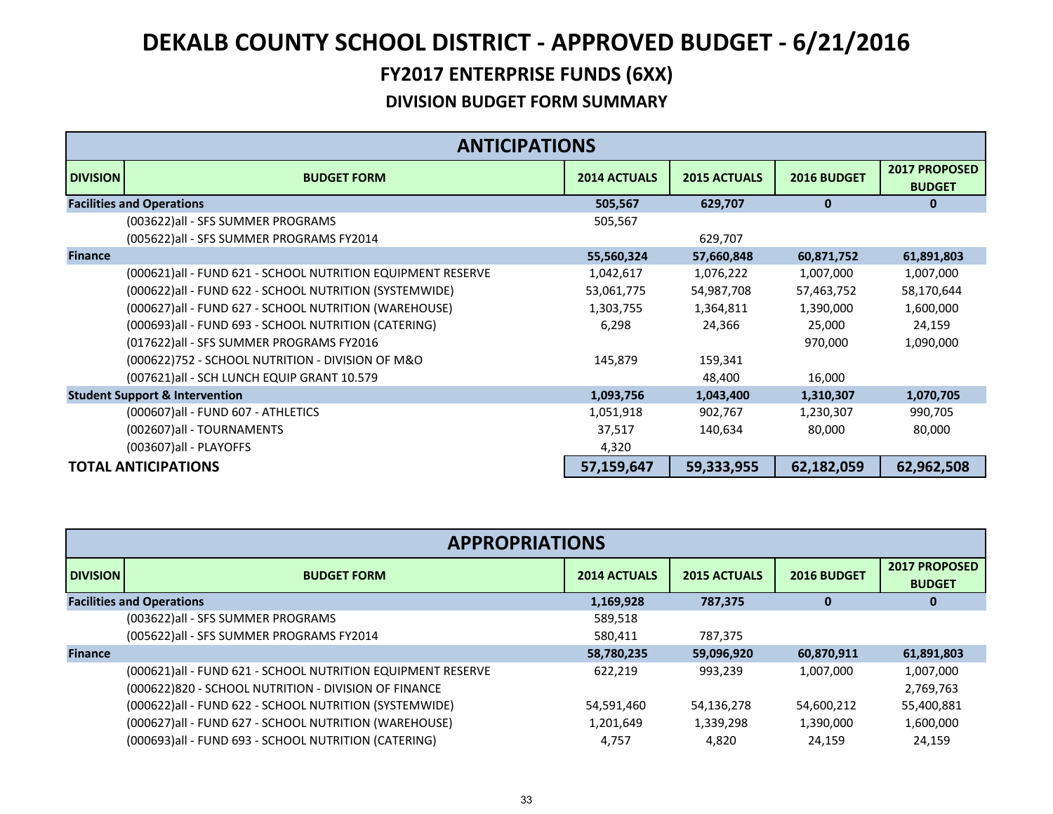|                 | <b>ANTICIPATIONS</b>                                         |                     |                     |              |                                       |
|-----------------|--------------------------------------------------------------|---------------------|---------------------|--------------|---------------------------------------|
| <b>DIVISION</b> | <b>BUDGET FORM</b>                                           | <b>2014 ACTUALS</b> | <b>2015 ACTUALS</b> | 2016 BUDGET  | <b>2017 PROPOSED</b><br><b>BUDGET</b> |
|                 | <b>Facilities and Operations</b>                             | 505,567             | 629,707             | $\mathbf{0}$ | $\bf{0}$                              |
|                 | (003622) all - SFS SUMMER PROGRAMS                           | 505,567             |                     |              |                                       |
|                 | (005622) all - SFS SUMMER PROGRAMS FY2014                    |                     | 629,707             |              |                                       |
| <b>Finance</b>  |                                                              | 55,560,324          | 57,660,848          | 60,871,752   | 61,891,803                            |
|                 | (000621) all - FUND 621 - SCHOOL NUTRITION EQUIPMENT RESERVE | 1,042,617           | 1,076,222           | 1,007,000    | 1,007,000                             |
|                 | (000622) all - FUND 622 - SCHOOL NUTRITION (SYSTEMWIDE)      | 53,061,775          | 54,987,708          | 57,463,752   | 58,170,644                            |
|                 | (000627) all - FUND 627 - SCHOOL NUTRITION (WAREHOUSE)       | 1,303,755           | 1,364,811           | 1,390,000    | 1,600,000                             |
|                 | (000693)all - FUND 693 - SCHOOL NUTRITION (CATERING)         | 6,298               | 24,366              | 25,000       | 24,159                                |
|                 | (017622) all - SFS SUMMER PROGRAMS FY2016                    |                     |                     | 970,000      | 1,090,000                             |
|                 | (000622)752 - SCHOOL NUTRITION - DIVISION OF M&O             | 145,879             | 159,341             |              |                                       |
|                 | (007621) all - SCH LUNCH EQUIP GRANT 10.579                  |                     | 48,400              | 16,000       |                                       |
|                 | <b>Student Support &amp; Intervention</b>                    | 1,093,756           | 1,043,400           | 1,310,307    | 1,070,705                             |
|                 | (000607) all - FUND 607 - ATHLETICS                          | 1,051,918           | 902,767             | 1,230,307    | 990,705                               |
|                 | (002607) all - TOURNAMENTS                                   | 37,517              | 140,634             | 80,000       | 80,000                                |
|                 | (003607) all - PLAYOFFS                                      | 4,320               |                     |              |                                       |
|                 | <b>TOTAL ANTICIPATIONS</b>                                   | 57,159,647          | 59,333,955          | 62,182,059   | 62,962,508                            |

|                                  | <b>APPROPRIATIONS</b>                                       |                     |                     |             |                                       |  |  |
|----------------------------------|-------------------------------------------------------------|---------------------|---------------------|-------------|---------------------------------------|--|--|
| <b>DIVISION</b>                  | <b>BUDGET FORM</b>                                          | <b>2014 ACTUALS</b> | <b>2015 ACTUALS</b> | 2016 BUDGET | <b>2017 PROPOSED</b><br><b>BUDGET</b> |  |  |
| <b>Facilities and Operations</b> |                                                             | 1,169,928           | 787,375             | U           | 0                                     |  |  |
|                                  | (003622) all - SFS SUMMER PROGRAMS                          | 589,518             |                     |             |                                       |  |  |
|                                  | (005622) all - SFS SUMMER PROGRAMS FY2014                   | 580.411             | 787,375             |             |                                       |  |  |
| <b>Finance</b>                   |                                                             | 58,780,235          | 59,096,920          | 60,870,911  | 61,891,803                            |  |  |
|                                  | (000621)all - FUND 621 - SCHOOL NUTRITION EQUIPMENT RESERVE | 622.219             | 993,239             | 1,007,000   | 1,007,000                             |  |  |
|                                  | (000622)820 - SCHOOL NUTRITION - DIVISION OF FINANCE        |                     |                     |             | 2,769,763                             |  |  |
|                                  | (000622) all - FUND 622 - SCHOOL NUTRITION (SYSTEMWIDE)     | 54,591,460          | 54,136,278          | 54,600,212  | 55,400,881                            |  |  |
|                                  | (000627) all - FUND 627 - SCHOOL NUTRITION (WAREHOUSE)      | 1,201,649           | 1,339,298           | 1,390,000   | 1,600,000                             |  |  |
|                                  | (000693)all - FUND 693 - SCHOOL NUTRITION (CATERING)        | 4.757               | 4,820               | 24.159      | 24.159                                |  |  |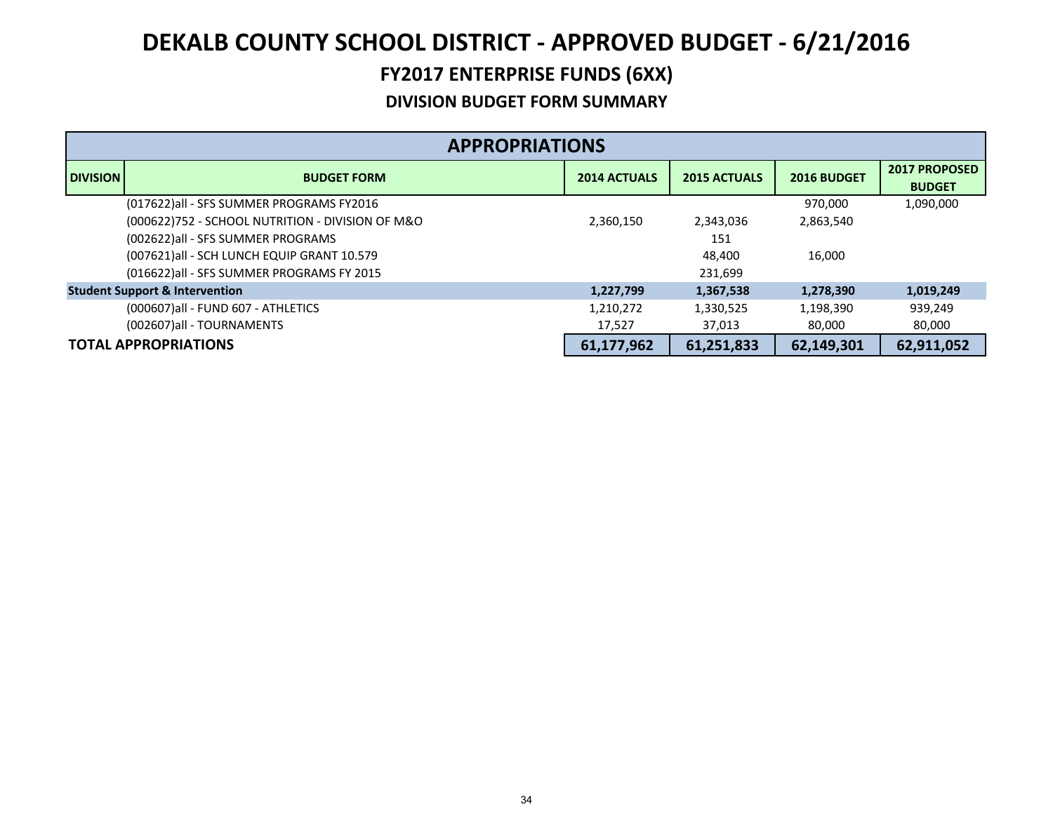|                 | <b>APPROPRIATIONS</b>                            |                     |                     |             |                                       |  |  |
|-----------------|--------------------------------------------------|---------------------|---------------------|-------------|---------------------------------------|--|--|
| <b>DIVISION</b> | <b>BUDGET FORM</b>                               | <b>2014 ACTUALS</b> | <b>2015 ACTUALS</b> | 2016 BUDGET | <b>2017 PROPOSED</b><br><b>BUDGET</b> |  |  |
|                 | (017622)all - SFS SUMMER PROGRAMS FY2016         |                     |                     | 970,000     | 1,090,000                             |  |  |
|                 | (000622)752 - SCHOOL NUTRITION - DIVISION OF M&O | 2,360,150           | 2,343,036           | 2,863,540   |                                       |  |  |
|                 | (002622)all - SFS SUMMER PROGRAMS                |                     | 151                 |             |                                       |  |  |
|                 | (007621) all - SCH LUNCH EQUIP GRANT 10.579      |                     | 48,400              | 16,000      |                                       |  |  |
|                 | (016622) all - SFS SUMMER PROGRAMS FY 2015       |                     | 231,699             |             |                                       |  |  |
|                 | <b>Student Support &amp; Intervention</b>        | 1,227,799           | 1,367,538           | 1,278,390   | 1,019,249                             |  |  |
|                 | (000607) all - FUND 607 - ATHLETICS              | 1,210,272           | 1,330,525           | 1,198,390   | 939,249                               |  |  |
|                 | (002607)all - TOURNAMENTS                        | 17.527              | 37,013              | 80,000      | 80,000                                |  |  |
|                 | <b>TOTAL APPROPRIATIONS</b>                      | 61,177,962          | 61,251,833          | 62,149,301  | 62,911,052                            |  |  |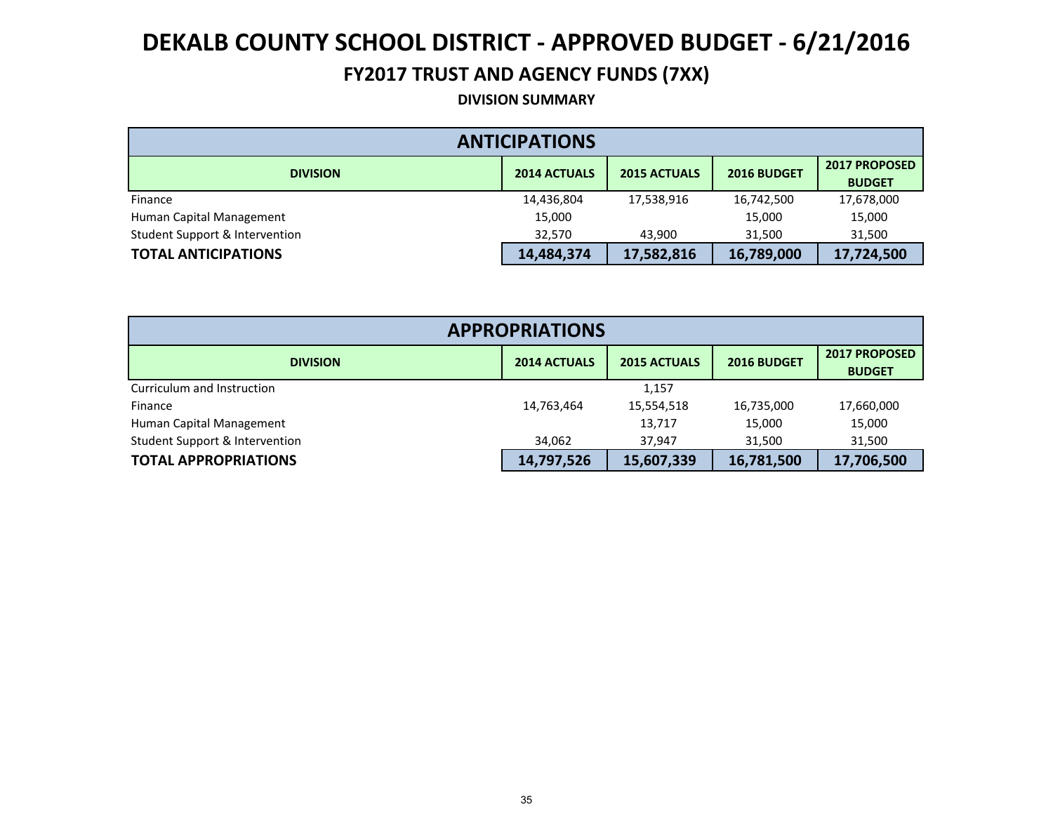### **FY2017 TRUST AND AGENCY FUNDS (7XX)**

**DIVISION SUMMARY**

| <b>ANTICIPATIONS</b>           |                     |                     |             |                                       |  |  |  |  |
|--------------------------------|---------------------|---------------------|-------------|---------------------------------------|--|--|--|--|
| <b>DIVISION</b>                | <b>2014 ACTUALS</b> | <b>2015 ACTUALS</b> | 2016 BUDGET | <b>2017 PROPOSED</b><br><b>BUDGET</b> |  |  |  |  |
| Finance                        | 14,436,804          | 17,538,916          | 16,742,500  | 17,678,000                            |  |  |  |  |
| Human Capital Management       | 15,000              |                     | 15,000      | 15,000                                |  |  |  |  |
| Student Support & Intervention | 32,570              | 43,900              | 31,500      | 31,500                                |  |  |  |  |
| <b>TOTAL ANTICIPATIONS</b>     | 14,484,374          | 17,582,816          | 16,789,000  | 17,724,500                            |  |  |  |  |

| <b>APPROPRIATIONS</b>          |                                                                                   |            |            |            |  |  |  |
|--------------------------------|-----------------------------------------------------------------------------------|------------|------------|------------|--|--|--|
| <b>DIVISION</b>                | <b>2017 PROPOSED</b><br><b>2014 ACTUALS</b><br><b>2015 ACTUALS</b><br>2016 BUDGET |            |            |            |  |  |  |
| Curriculum and Instruction     |                                                                                   | 1,157      |            |            |  |  |  |
| Finance                        | 14,763,464                                                                        | 15,554,518 | 16,735,000 | 17,660,000 |  |  |  |
| Human Capital Management       |                                                                                   | 13,717     | 15,000     | 15,000     |  |  |  |
| Student Support & Intervention | 34.062                                                                            | 37.947     | 31,500     | 31,500     |  |  |  |
| <b>TOTAL APPROPRIATIONS</b>    | 14,797,526                                                                        | 15,607,339 | 16,781,500 | 17,706,500 |  |  |  |